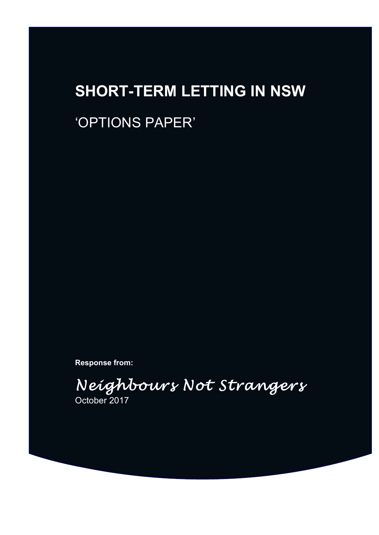# **SHORT-TERM LETTING IN NSW**

# 'OPTIONS PAPER'

**Response from:**

*Neighbours Not Strangers* October 2017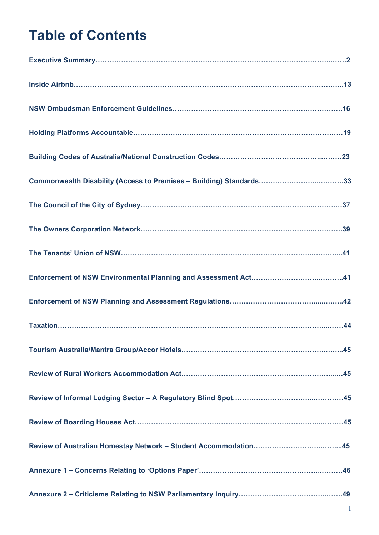# **Table of Contents**

| Commonwealth Disability (Access to Premises - Building) Standards33 |
|---------------------------------------------------------------------|
|                                                                     |
|                                                                     |
|                                                                     |
|                                                                     |
|                                                                     |
|                                                                     |
|                                                                     |
|                                                                     |
|                                                                     |
|                                                                     |
|                                                                     |
|                                                                     |
|                                                                     |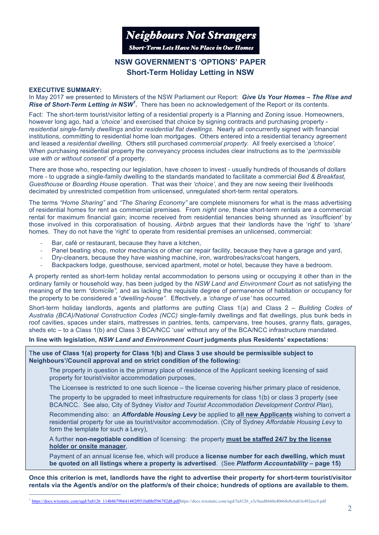

# **NSW GOVERNMENT'S 'OPTIONS' PAPER Short-Term Holiday Letting in NSW**

#### **EXECUTIVE SUMMARY:**

In May 2017 we presented to Ministers of the NSW Parliament our Report: *Give Us Your Homes – The Rise and Rise of Short-Term Letting in NSW<sup>1</sup> .* There has been no acknowledgement of the Report or its contents.

Fact: The short-term tourist/visitor letting of a residential property is a Planning and Zoning issue. Homeowners, however long ago, had a *'choice'* and exercised that choice by signing contracts and purchasing property *residential single-family dwellings* and/or *residential flat dwellings*. Nearly all concurrently signed with financial institutions, committing to residential home loan mortgages. Others entered into a residential tenancy agreement and leased a *residential dwelling.* Others still purchased *commercial property.* All freely exercised a *'choice'*. When purchasing residential property the conveyancy process includes clear instructions as to the '*permissible use with or without consent'* of a property.

There are those who, respecting our legislation, have *chosen* to invest - usually hundreds of thousands of dollars more - to upgrade a single-family dwelling to the standards mandated to facilitate a commercial *Bed & Breakfast, Guesthouse* or *Boarding House* operation. That was their *'choice'*, and they are now seeing their livelihoods decimated by unrestricted competition from unlicensed, unregulated short-term rental operators.

The terms *"Home Sharing"* and *"The Sharing Economy"* are complete misnomers for what is the mass advertising of residential homes for rent as commercial premises. From *night one*, these short-term rentals are a commercial rental for maximum financial gain; income received from residential tenancies being shunned as *'insufficient'* by those involved in this corporatisation of housing. *Airbnb* argues that their landlords have the 'right' to *'share'* homes. They do not have the 'right' to operate from residential premises an unlicensed, commercial:

- Bar, café or restaurant, because they have a kitchen,
- Panel beating shop, motor mechanics or other car repair facility, because they have a garage and yard,
- Dry-cleaners, because they have washing machine, iron, wardrobes/racks/coat hangers,
- Backpackers lodge, guesthouse, serviced apartment, motel or hotel, because they have a bedroom.

A property rented as short-term holiday rental accommodation to persons using or occupying it other than in the ordinary family or household way, has been judged by the *NSW Land and Environment Court* as not satisfying the meaning of the term *"domicile",* and as lacking the requisite degree of permanence of habitation or occupancy for the property to be considered a "*dwelling-house".* Effectively, a *'change of use'* has occurred.

Short-term holiday landlords, agents and platforms are putting Class 1(a) and Class 2 – *Building Codes of Australia (BCA)/National Construction Codes (NCC)* single-family dwellings and flat dwellings, plus bunk beds in roof cavities, spaces under stairs, mattresses in pantries, tents, campervans, tree houses, granny flats, garages, sheds etc – to a Class 1(b) and Class 3 BCA/NCC 'use' without any of the BCA/NCC infrastructure mandated.

#### **In line with legislation,** *NSW Land and Environment Court* **judgments plus Residents' expectations:**

T**he use of Class 1(a) property for Class 1(b) and Class 3 use should be permissible subject to Neighbours'/Council approval and on strict condition of the following:**

The property in question is the primary place of residence of the Applicant seeking licensing of said property for tourist/visitor accommodation purposes,

The Licensee is restricted to one such licence – the license covering his/her primary place of residence,

The property to be upgraded to meet infrastructure requirements for class 1(b) or class 3 property (see BCA/NCC. See also, City of Sydney *Visitor and Tourist Accommodation Development Control Plan*),

Recommending also: an *Affordable Housing Levy* be applied to **all new Applicants** wishing to convert a residential property for use as tourist/visitor accommodation. (City of Sydney *Affordable Housing Levy* to form the template for such a Levy),

A further **non-negotiable condition** of licensing: the property **must be staffed 24/7 by the license holder or onsite manager**,

Payment of an annual license fee, which will produce **a license number for each dwelling, which must be quoted on all listings where a property is advertised**. (See *Platform Accountability* **– page 15)**

**Once this criterion is met, landlords have the right to advertise their property for short-term tourist/visitor rentals via the Agent/s and/or on the platform/s of their choice; hundreds of options are available to them.**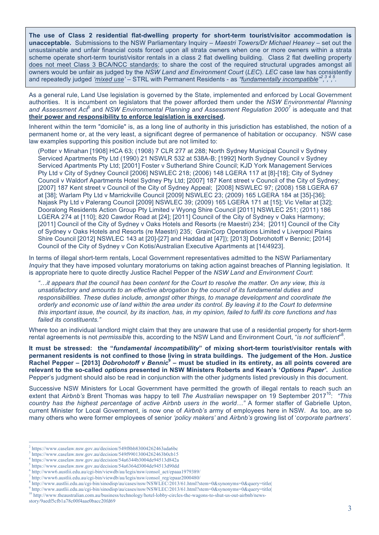**The use of Class 2 residential flat-dwelling property for short-term tourist/visitor accommodation is unacceptable.** Submissions to the NSW Parliamentary Inquiry – *Maestri Towers/Dr Michael Heaney* – set out the unsustainable and unfair financial costs forced upon all strata owners when one or more owners within a strata scheme operate short-term tourist/visitor rentals in a class 2 flat dwelling building. Class 2 flat dwelling property does not meet Class 3 BCA/NCC standards; to share the cost of the required structural upgrades amongst all owners would be unfair as judged by the *NSW Land and Environment Court* (*LEC*). *LEC* case law has consistently and repeatedly judged *'mixed use'* – STRL with Permanent Residents - as *"fundamentally incompatible" 2 , 3 , 4 , 5 .*

As a general rule, Land Use legislation is governed by the State, implemented and enforced by Local Government authorities. It is incumbent on legislators that the power afforded them under the *NSW Environmental Planning*  and Assessment Act<sup>6</sup> and NSW Environmental Planning and Assessment Regulation 2000<sup>7</sup> is adequate and that **their power and responsibility to enforce legislation is exercised.**

Inherent within the term "domicile" is, as a long line of authority in this jurisdiction has established, the notion of a permanent home or, at the very least, a significant degree of permanence of habitation or occupancy. NSW case law examples supporting this position include but are not limited to:

(Potter v Minahan [1908] HCA 63; (1908) 7 CLR 277 at 288; North Sydney Municipal Council v Sydney Serviced Apartments Pty Ltd (1990) 21 NSWLR 532 at 538A-B; [1992] North Sydney Council v Sydney Serviced Apartments Pty Ltd; [2001] Foster v Sutherland Shire Council; KJD York Management Services Pty Ltd v City of Sydney Council [2006] NSWLEC 218; (2006) 148 LGERA 117 at [8]-[18]; City of Sydney Council v Waldorf Apartments Hotel Sydney Pty Ltd; [2007] 187 Kent street v Council of the City of Sydney; [2007] 187 Kent street v Council of the City of Sydney Appeal; [2008] NSWLEC 97; (2008) 158 LGERA 67 at [38]; Warlam Pty Ltd v Marrickville Council [2009] NSWLEC 23; (2009) 165 LGERA 184 at [35]-[36]; Najask Pty Ltd v Palerang Council [2009] NSWLEC 39; (2009) 165 LGERA 171 at [15]; Vic Vellar at [32]; Dooralong Residents Action Group Pty Limited v Wyong Shire Council [2011] NSWLEC 251; (2011) 186 LGERA 274 at [110]; 820 Cawdor Road at [24]; [2011] Council of the City of Sydney v Oaks Harmony; [2011] Council of the City of Sydney v Oaks Hotels and Resorts (re Maestri) 234; [2011] Council of the City of Sydney v Oaks Hotels and Resorts (re Maestri) 235; GrainCorp Operations Limited v Liverpool Plains Shire Council [2012] NSWLEC 143 at [20]-[27] and Haddad at [47]); [2013] Dobrohotoff v Bennic; [2014] Council of the City of Sydney v Con Kotis/Australian Executive Apartments at [14/4923].

In terms of illegal short-term rentals, Local Government representatives admitted to the NSW Parliamentary *Inquiry* that they have imposed voluntary moratoriums on taking action against breaches of Planning legislation. It is appropriate here to quote directly Justice Rachel Pepper of the *NSW Land and Environment Court*:

*"…it appears that the council has been content for the Court to resolve the matter. On any view, this is unsatisfactory and amounts to an effective abrogation by the council of its fundamental duties and responsibilities. These duties include, amongst other things, to manage development and coordinate the orderly and economic use of land within the area under its control. By leaving it to the Court to determine this important issue, the council, by its inaction, has, in my opinion, failed to fulfil its core functions and has failed its constituents."* 

Where too an individual landlord might claim that they are unaware that use of a residential property for short-term rental agreements is not *permissible* this, according to the NSW Land and Environment Court, "*is not sufficient*" 8 .

**It must be stressed: the "***fundamental incompatibility***" of mixing short-term tourist/visitor rentals with permanent residents is not confined to those living in strata buildings. The judgement of the Hon. Justice Rachel Pepper – [2013]** *Dobrohotoff v Bennic***<sup>9</sup> – must be studied in its entirety, as all points covered are relevant to the so-called** *options* **presented in NSW Ministers Roberts and Kean's '***Options Paper'***.** Justice Pepper's judgment should also be read in conjunction with the other judgments listed previously in this document.

Successive NSW Ministers for Local Government have permitted the growth of illegal rentals to reach such an extent that *Airbnb's* Brent Thomas was happy to tell *The Australian* newspaper on 19 September 2017<sup>10</sup>: *"This country has the highest percentage of active Airbnb users in the world…"* A former staffer of Gabrielle Upton, current Minister for Local Government, is now one of *Airbnb's* army of employees here in NSW. As too, are so many others who were former employees of senior *'policy makers'* and *Airbnb's* growing list of '*corporate partners'.*

story/9aedf5cfb1a78c00f4aae0bacc20fd69

 $\frac{1}{2}$ https://www.caselaw.nsw.gov.au/decision/549f8bb83004262463ada6bc

<sup>3</sup> https://www.caselaw.nsw.gov.au/decision/549f99013004262463b0cb15

<sup>4</sup> https://www.caselaw.nsw.gov.au/decision/54a6344b3004de94513d842a

<sup>5</sup> https://www.caselaw.nsw.gov.au/decision/54a6364d3004de94513d90dd

<sup>6</sup> http://www6.austlii.edu.au/cgi-bin/viewdb/au/legis/nsw/consol\_act/epaaa1979389/

<sup>7</sup> http://www6.austlii.edu.au/cgi-bin/viewdb/au/legis/nsw/consol\_reg/epaar2000480/

<sup>8</sup> http://www.austlii.edu.au/cgi-bin/sinodisp/au/cases/nsw/NSWLEC/2013/61.html?stem=0&synonyms=0&query=title(

<sup>9</sup> http://www.austlii.edu.au/cgi-bin/sinodisp/au/cases/nsw/NSWLEC/2013/61.html?stem=0&synonyms=0&query=title( 10 http://www.theaustralian.com.au/business/technology/hotel-lobby-circles-the-wagons-to-shut-us-out-airbnb/news-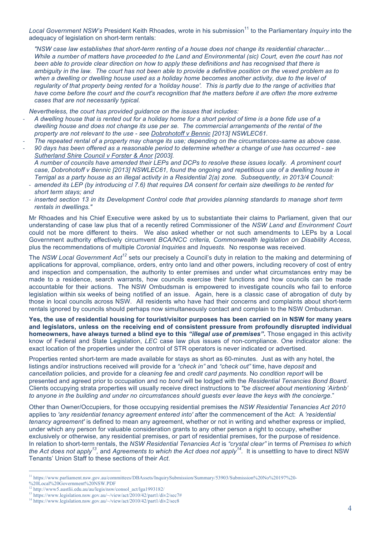Local Government NSW's President Keith Rhoades, wrote in his submission<sup>11</sup> to the Parliamentary *Inquiry* into the adequacy of legislation on short-term rentals:

*"NSW case law establishes that short-term renting of a house does not change its residential character… While a number of matters have proceeded to the Land and Environmental (sic) Court, even the court has not been able to provide clear direction on how to apply these definitions and has recognised that there is ambiguity in the law. The court has not been able to provide a definitive position on the vexed problem as to when a dwelling or dwelling house used as a holiday home becomes another activity, due to the level of regularity of that property being rented for a 'holiday house'. This is partly due to the range of activities that have come before the court and the court's recognition that the matters before it are often the more extreme cases that are not necessarily typical.*

*Nevertheless, the court has provided guidance on the issues that includes:*

- *A dwelling house that is rented out for a holiday home for a short period of time is a bone fide use of a dwelling house and does not change its use per se. The commercial arrangements of the rental of the property are not relevant to the use - see Dobrohotoff v Bennic [2013] NSWLEC61.*
- *The repeated rental of a property may change its use; depending on the circumstances-same as above case.*
- *90 days has been offered as a reasonable period to determine whether a change of use has occurred see Sutherland Shire Council v Forster & Anor [2003]. A number of councils have amended their LEPs and DCPs to resolve these issues locally. A prominent court case, Dobrohotoff v Bennic [2013] NSWLEC61, found the ongoing and repetitious use of a dwelling house in Terrigal as a party house as an illegal activity in a Residential 2(a) zone. Subsequently, in 2013/4 Council:*
	- amended its LEP (by introducing cl 7.6) that requires DA consent for certain size dwellings to be rented for *short term stays; and*
	- *inserted section 13 in its Development Control code that provides planning standards to manage short term rentals in dwellings."*

Mr Rhoades and his Chief Executive were asked by us to substantiate their claims to Parliament, given that our understanding of case law plus that of a recently retired Commissioner of the *NSW Land and Environment Court* could not be more different to theirs. We also asked whether or not such amendments to LEPs by a Local Government authority effectively circumvent *BCA/NCC criteria, Commonwealth legislation on Disability Access,*  plus the recommendations of multiple *Coronial Inquiries* and *Inquests.* No response was received.

The *NSW Local Government Act<sup>12</sup>* sets our precisely a Council's duty in relation to the making and determining of applications for approval, compliance, orders, entry onto land and other powers, including recovery of cost of entry and inspection and compensation, the authority to enter premises and under what circumstances entry may be made to a residence, search warrants, how councils exercise their functions and how councils can be made accountable for their actions. The NSW Ombudsman is empowered to investigate councils who fail to enforce legislation within six weeks of being notified of an issue. Again, here is a classic case of abrogation of duty by those in local councils across NSW. All residents who have had their concerns and complaints about short-term rentals ignored by councils should perhaps now simultaneously contact and complain to the NSW Ombudsman.

**Yes, the use of residential housing for tourist/visitor purposes has been carried on in NSW for many years and legislators, unless on the receiving end of consistent pressure from profoundly disrupted individual homeowners, have always turned a blind eye to this** *"illegal use of premises"***.** Those engaged in this activity know of Federal and State Legislation, *LEC* case law plus issues of non-compliance. One indicator alone: the exact location of the properties under the control of STR operators is never indicated or advertised.

Properties rented short-term are made available for stays as short as 60-minutes. Just as with any hotel, the listings and/or instructions received will provide for a *"check in"* and *"check out"* time, have *deposit* and *cancellation* policies, and provide for a *cleaning fee* and *credit card payments*. No *condition report* will be presented and agreed prior to occupation and no *bond* will be lodged with the *Residential Tenancies Bond Board.*  Clients occupying strata properties will usually receive direct instructions to *"be discreet about mentioning 'Airbnb' to anyone in the building and under no circumstances should guests ever leave the keys with the concierge*."

Other than Owner/Occupiers, for those occupying residential premises the *NSW Residential Tenancies Act 2010*  applies to *'any residential tenancy agreement entered into'* after the commencement of the Act: A *'residential tenancy agreement'* is defined to mean any agreement, whether or not in writing and whether express or implied, under which any person for valuable consideration grants to any other person a right to occupy, whether exclusively or otherwise, any residential premises, or part of residential premises, for the purpose of residence. In relation to short-term rentals, the *NSW Residential Tenancies Act* is *"crystal clear"* in terms of *Premises to which the Act does not apply13,* and *Agreements to which the Act does not apply14.* It is unsettling to have to direct NSW Tenants' Union Staff to these sections of their *Act*.

 <sup>11</sup> https://www.parliament.nsw.gov.au/committees/DBAssets/InquirySubmission/Summary/53903/Submission%20No%20197%20-

<sup>%20</sup>Local%20Government%20NSW.PDF

<sup>12</sup> http://www5.austlii.edu.au/au/legis/nsw/consol\_act/lga1993182/

<sup>13</sup> https://www.legislation.nsw.gov.au/~/view/act/2010/42/part1/div2/sec7#

<sup>&</sup>lt;sup>14</sup> https://www.legislation.nsw.gov.au/~/view/act/2010/42/part1/div2/sec8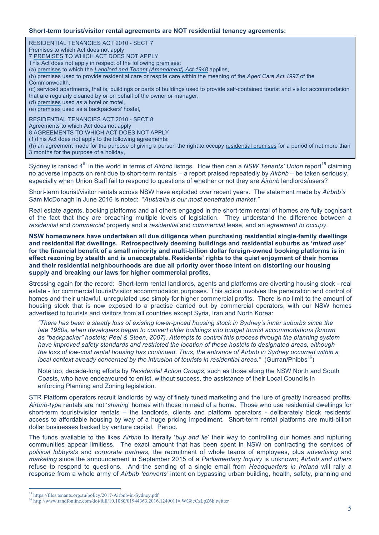#### **Short-term tourist/visitor rental agreements are NOT residential tenancy agreements:**

RESIDENTIAL TENANCIES ACT 2010 - SECT 7 Premises to which Act does not apply 7 PREMISES TO WHICH ACT DOES NOT APPLY This Act does not apply in respect of the following premises: (a) premises to which the *Landlord and Tenant (Amendment) Act 1948* applies, (b) premises used to provide residential care or respite care within the meaning of the *Aged Care Act 1997* of the Commonwealth, (c) serviced apartments, that is, buildings or parts of buildings used to provide self-contained tourist and visitor accommodation that are regularly cleaned by or on behalf of the owner or manager, (d) premises used as a hotel or motel, (e) premises used as a backpackers' hostel, RESIDENTIAL TENANCIES ACT 2010 - SECT 8 Agreements to which Act does not apply 8 AGREEMENTS TO WHICH ACT DOES NOT APPLY (1)This Act does not apply to the following agreements: (h) an agreement made for the purpose of giving a person the right to occupy residential premises for a period of not more than 3 months for the purpose of a holiday,

Sydney is ranked 4<sup>th</sup> in the world in terms of *Airbnb* listngs. How then can a NSW Tenants' Union report<sup>15</sup> claiming no adverse impacts on rent due to short-term rentals – a report praised repeatedly by *Airbnb* – be taken seriously, especially when Union Staff fail to respond to questions of whether or not they are *Airbnb* landlords/users?

Short-term tourist/visitor rentals across NSW have exploded over recent years. The statement made by *Airbnb's*  Sam McDonagh in June 2016 is noted: "*Australia is our most penetrated market."* 

Real estate agents, booking platforms and all others engaged in the short-term rental of homes are fully cognisant of the fact that they are breaching multiple levels of legislation. They understand the difference between a *residential* and *commercial* property and a *residential* and *commercial* lease, and an *agreement to occupy*.

**NSW homeowners have undertaken all due diligence when purchasing residential single-family dwellings and residential flat dwellings. Retrospectively deeming buildings and residential suburbs as '***mixed use'* **for the financial benefit of a small minority and multi-billion dollar foreign-owned booking platforms is in effect rezoning by stealth and is unacceptable. Residents' rights to the quiet enjoyment of their homes and their residential neighbourhoods are due all priority over those intent on distorting our housing supply and breaking our laws for higher commercial profits.**

Stressing again for the record: Short-term rental landlords, agents and platforms are diverting housing stock - real estate - for commercial tourist/visitor accommodation purposes. This action involves the penetration and control of homes and their unlawful, unregulated use simply for higher commercial profits. There is no limit to the amount of housing stock that is now exposed to a practise carried out by commercial operators, with our NSW homes advertised to tourists and visitors from all countries except Syria, Iran and North Korea:

*"There has been a steady loss of existing lower-priced housing stock in Sydney's inner suburbs since the late 1980s, when developers began to convert older buildings into budget tourist accommodations (known as "backpacker" hostels; Peel & Steen, 2007). Attempts to control this process through the planning system have improved safety standards and restricted the location of these hostels to designated areas, although the loss of low-cost rental housing has continued. Thus, the entrance of Airbnb in Sydney occurred within a local context already concerned by the intrusion of tourists in residential areas." (Gurran/Phibbs*<sup>16</sup>)

Note too, decade-long efforts by *Residential Action Groups*, such as those along the NSW North and South Coasts, who have endeavoured to enlist, without success, the assistance of their Local Councils in enforcing Planning and Zoning legislation.

STR Platform operators recruit landlords by way of finely tuned marketing and the lure of greatly increased profits. *Airbnb-type* rentals are not '*sharing*' homes with those in need of a home. Those who use residential dwellings for short-term tourist/visitor rentals – the landlords, clients and platform operators - deliberately block residents' access to affordable housing by way of a huge pricing impediment. Short-term rental platforms are multi-billion dollar businesses backed by venture capital. Period.

The funds available to the likes *Airbnb* to literally '*buy and lie*' their way to controlling our homes and rupturing communities appear limitless. The exact amount that has been spent in NSW on contracting the services of *political lobbyists* and *corporate partners,* the recruitment of whole teams of employees, plus *advertising* and *marketing* since the announcement in September 2015 of a *Parliamentary Inquiry* is unknown; *Airbnb and others* refuse to respond to questions. And the sending of a single email from *Headquarters in Ireland* will rally a response from a whole army of *Airbnb 'converts'* intent on bypassing urban building, health, safety, planning and

 <sup>15</sup> https://files.tenants.org.au/policy/2017-Airbnb-in-Sydney.pdf

<sup>16</sup> http://www.tandfonline.com/doi/full/10.1080/01944363.2016.1249011#.WG8eCzLpZ6k.twitter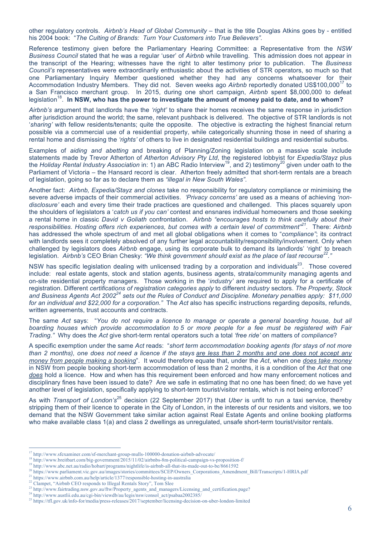other regulatory controls. *Airbnb's Head of Global Community* – that is the title Douglas Atkins goes by - entitled his 2004 book: "*The Culting of Brands: Turn Your Customers into True Believers".*

Reference testimony given before the Parliamentary Hearing Committee: a Representative from the *NSW Business Council* stated that he was a regular 'user' of *Airbnb* while travelling. This admission does not appear in the transcript of the Hearing; witnesses have the right to alter testimony prior to publication. The *Business Council's* representatives were extraordinarily enthusiastic about the activities of STR operators, so much so that one Parliamentary Inquiry Member questioned whether they had any concerns whatsoever for their Accommodation Industry Members. They did not. Seven weeks ago Airbnb reportedly donated US\$100,000<sup>17</sup> to a San Francisco merchant group. In 2015, during one short campaign, *Airbnb* spent \$8,000,000 to defeat legislation<sup>18</sup>. In NSW, who has the power to investigate the amount of money paid to date, and to whom?

*Airbnb's* argument that landlords have the *'right'* to share their homes receives the same response in jurisdiction after jurisdiction around the world; the same, relevant pushback is delivered. The objective of STR landlords is not '*sharing'* with fellow residents/tenants; quite the opposite. The objective is extracting the highest financial return possible via a commercial use of a residential property, while categorically shunning those in need of sharing a rental home and dismissing the *'rights'* of others to live in designated residential buildings and residential suburbs.

Examples of *aiding and abetting* and breaking of Planning/Zoning legislation on a massive scale include statements made by Trevor Atherton of *Atherton Advisory Pty Ltd*, the registered lobbyist for *Expedia/Stayz* plus the *Holiday Rental Industry Association* in: 1) an ABC Radio Interview<sup>19</sup>, and 2) testimony<sup>20</sup> given under oath to the Parliament of Victoria – the Hansard record is clear. Atherton freely admitted that short-term rentals are a breach of legislation, going so far as to declare them as *"illegal in New South Wales"*.

Another fact: *Airbnb, Expedia/Stayz and clones* take no responsibility for regulatory compliance or minimising the severe adverse impacts of their commercial activities. *'Privacy concerns'* are used as a means of achieving *'nondisclosure'* each and every time their trade practices are questioned and challenged. This places squarely upon the shoulders of legislators a '*catch us if you can'* contest and ensnares individual homeowners and those seeking a rental home in classic *David v Goliath* confrontation. *Airbnb "encourages hosts to think carefully about their responsibilities. Hosting offers rich experiences, but comes with a certain level of commitment"21.* There: *Airbnb*  has addressed the whole spectrum of and met all global obligations when it comes to "*compliance"*; its contract with landlords sees it completely absolved of any further legal accountability/responsibility/involvement. Only when challenged by legislators does *Airbnb* engage, using its corporate bulk to demand its landlords' 'right' to breach legislation. *Airbnb's* CEO Brian Chesky: *"We think government should exist as the place of last recourse22."* 

NSW has specific legislation dealing with unlicensed trading by a corporation and individuals $^{23}$ . Those covered include: real estate agents, stock and station agents, business agents, strata/community managing agents and on-site residential property managers. Those working in the '*industry'* are required to apply for a certificate of registration. Different *certifications of registration categories apply* to different *industry* sectors. *The Property, Stock and Business Agents Act 200224 sets out the Rules of Conduct and Discipline. Monetary penalties apply: \$11,000 for an individual and \$22,000 for a corporation."* The *Act* also has specific instructions regarding deposits, refunds, written agreements, trust accounts and contracts.

The same *Act* says: "*You do not require a licence to manage or operate a general boarding house, but all boarding houses which provide accommodation to 5 or more people for a fee must be registered with Fair Trading."* Why does the *Act* give short-term rental operators such a total *'free ride'* on matters of *compliance*?

A specific exemption under the same *Act* reads: "*short term accommodation booking agents (for stays of not more than 2 months), one does not need a licence if the stays are less than 2 months and one does not accept any money from people making a booking*". It would therefore equate that, under the *Act*, when one *does take money* in NSW from people booking short-term accommodation of less than 2 months, it is a condition of the *Act* that one *does* hold a licence. How and when has this requirement been enforced and how many enforcement notices and disciplinary fines have been issued to date? Are we safe in estimating that no one has been fined; do we have yet another level of legislation, specifically applying to short-term tourist/visitor rentals, which is not being enforced?

As with *Transport of London's*25 decision (22 September 2017) that *Uber* is unfit to run a taxi service, thereby stripping them of their licence to operate in the City of London, in the interests of our residents and visitors, we too demand that the NSW Government take similar action against Real Estate Agents and online booking platforms who make available class 1(a) and class 2 dwellings as unregulated, unsafe short-term tourist/visitor rentals.

 <sup>17</sup> http://www.sfexaminer.com/sf-merchant-group-mulls-100000-donation-airbnb-advocate/

<sup>&</sup>lt;sup>18</sup> http://www.breitbart.com/big-government/2015/11/02/airbnbs-8m-political-campaign-vs-proposition-f/

<sup>&</sup>lt;sup>19</sup> http://www.abc.net.au/radio/hobart/programs/nightlife/is-airbnb-all-that-its-made-out-to-be/8661592

<sup>20</sup> https://www.parliament.vic.gov.au/images/stories/committees/SCEP/Owners\_Corporations\_Amendment\_Bill/Transcripts/1-HRIA.pdf

<sup>&</sup>lt;sup>21</sup> https://www.airbnb.com.au/help/article/1377/responsible-hosting-in-australia<sup>7</sup>

<sup>&</sup>lt;sup>22</sup> Clampet, "Airbnb CEO responds to Illegal Rentals Story", Tom Slee

<sup>23</sup> http://www.fairtrading.nsw.gov.au/ftw/Property\_agents\_and\_managers/Licensing\_and\_certification.page?

<sup>24</sup> http://www.austlii.edu.au/cgi-bin/viewdb/au/legis/nsw/consol\_act/psabaa2002385/

<sup>25</sup> https://tfl.gov.uk/info-for/media/press-releases/2017/september/licensing-decision-on-uber-london-limited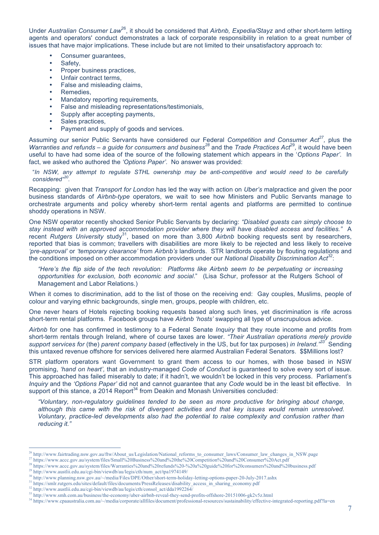Under *Australian Consumer Law*26, it should be considered that *Airbnb, Expedia/Stayz* and other short-term letting agents and operators' conduct demonstrates a lack of corporate responsibility in relation to a great number of issues that have major implications. These include but are not limited to their unsatisfactory approach to:

- Consumer quarantees,
- Safety,
- Proper business practices,
- Unfair contract terms,
- False and misleading claims.
- Remedies.
- Mandatory reporting requirements,
- False and misleading representations/testimonials,
- Supply after accepting payments.
- Sales practices,
- Payment and supply of goods and services.

Assuming our senior Public Servants have considered our Federal *Competition and Consumer Act<sup>27</sup>*, plus the *Warranties and refunds – a guide for consumers and business<sup>28</sup> and the <i>Trade Practices Act*<sup>29</sup>, it would have been useful to have had some idea of the source of the following statement which appears in the '*Options Paper'.* In fact, we asked who authored the *'Options Paper'.* No answer was provided:

"*In NSW, any attempt to regulate STHL ownership may be anti-competitive and would need to be carefully considered" 30.* 

Recapping: given that *Transport for London* has led the way with action on *Uber's* malpractice and given the poor business standards of *Airbnb-type* operators, we wait to see how Ministers and Public Servants manage to orchestrate arguments and policy whereby short-term rental agents and platforms are permitted to continue shoddy operations in NSW.

One NSW operator recently shocked Senior Public Servants by declaring: *"Disabled guests can simply choose to stay instead with an approved accommodation provider where they will have disabled access and facilities."* A recent *Rutgers University* study<sup>31</sup>, based on more than 3,800 *Airbnb* booking requests sent by researchers, reported that bias is common; travellers with disabilities are more likely to be rejected and less likely to receive *'pre-approval'* or *'temporary clearance'* from *Airbnb's* landlords. STR landlords operate by flouting regulations and the conditions imposed on other accommodation providers under our *National Disability Discrimination Act<sup>32</sup>*:

*"Here's the flip side of the tech revolution: Platforms like Airbnb seem to be perpetuating or increasing opportunities for exclusion, both economic and social*." (Lisa Schur, professor at the Rutgers School of Management and Labor Relations.)

When it comes to discrimination, add to the list of those on the receiving end: Gay couples, Muslims, people of colour and varying ethnic backgrounds, single men, groups, people with children, etc.

One never hears of Hotels rejecting booking requests based along such lines, yet discrimination is rife across short-term rental platforms. Facebook groups have *Airbnb 'hosts'* swapping all type of unscrupulous advice.

*Airbnb* for one has confirmed in testimony to a Federal Senate *Inquiry* that they route income and profits from short-term rentals through Ireland, where of course taxes are lower. *"Their Australian operations merely provide support services for* (the) *parent company based* (effectively in the US, but for tax purposes) *in Ireland."33* Sending this untaxed revenue offshore for services delivered here alarmed Australian Federal Senators. \$\$Millions lost?

STR platform operators want Government to grant them access to our homes, with those based in NSW promising, *'hand on heart',* that an industry-managed *Code of Conduct* is guaranteed to solve every sort of issue. This approached has failed miserably to date; if it hadn't, we wouldn't be locked in this very process. Parliament's *Inquiry* and the *'Options Paper'* did not and cannot guarantee that any *Code* would be in the least bit effective. In support of this stance, a 2014 Report<sup>34</sup> from Deakin and Monash Universities concluded:

*"Voluntary, non-regulatory guidelines tended to be seen as more productive for bringing about change, although this came with the risk of divergent activities and that key issues would remain unresolved. Voluntary, practice-led developments also had the potential to raise complexity and confusion rather than reducing it."*

http://www.fairtrading.nsw.gov.au/ftw/About\_us/Legislation/National\_reforms\_to\_consumer\_laws/Consumer\_law\_changes\_in\_NSW.page

<sup>27</sup> https://www.accc.gov.au/system/files/Small%20Business%20and%20the%20Competition%20and%20Consumer%20Act.pdf

<sup>28</sup> https://www.accc.gov.au/system/files/Warranties%20and%20refunds%20-%20a%20guide%20for%20consumers%20and%20business.pdf

<sup>29</sup> http://www.austlii.edu.au/cgi-bin/viewdb/au/legis/cth/num\_act/tpa1974149/

<sup>30</sup> http://www.planning.nsw.gov.au/~/media/Files/DPE/Other/short-term-holiday-letting-options-paper-20-July-2017.ashx

<sup>&</sup>lt;sup>31</sup> https://smlr.rutgers.edu/sites/default/files/documents/PressReleases/disability\_access\_in\_sharing\_economy.pdf

<sup>32</sup> http://www.austlii.edu.au/cgi-bin/viewdb/au/legis/cth/consol\_act/dda1992264/

<sup>33</sup> http://www.smh.com.au/business/the-economy/uber-airbnb-reveal-they-send-profits-offshore-20151006-gk2v5z.html

<sup>34</sup> https://www.cpaaustralia.com.au/~/media/corporate/allfiles/document/professional-resources/sustainability/effective-integrated-reporting.pdf?la=en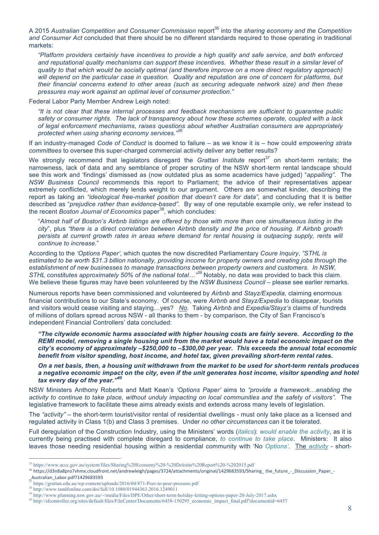A 2015 Australian Competition and Consumer Commission report<sup>35</sup> into the *sharing economy and the Competition and Consumer Act* concluded that there should be no different standards required to those operating in traditional markets:

*"Platform providers certainly have incentives to provide a high quality and safe service, and both enforced and reputational quality mechanisms can support these incentives. Whether these result in a similar level of quality to that which would be socially optimal (and therefore improve on a more direct regulatory approach) will depend on the particular case in question. Quality and reputation are one of concern for platforms, but their financial concerns extend to other areas (such as securing adequate network size) and then these pressures may work against an optimal level of consumer protection."*

Federal Labor Party Member Andrew Leigh noted:

*"It is not clear that these internal processes and feedback mechanisms are sufficient to guarantee public safety or consumer rights. The lack of transparency about how these schemes operate, coupled with a lack of legal enforcement mechanisms, raises questions about whether Australian consumers are appropriately protected when using sharing economy services."<sup>36</sup>*

If an industry-managed *Code of Conduct* is doomed to failure – as we know it is – how could *empowering strata committees* to oversee this super-charged commercial activity deliver any better results?

We strongly recommend that legislators disregard the *Grattan Institute* report<sup>37</sup> on short-term rentals; the narrowness, lack of data and any semblance of proper scrutiny of the NSW short-term rental landscape should see this work and 'findings' dismissed as (now outdated plus as some academics have judged) "*appalling"*. The *NSW Business Council* recommends this report to Parliament; the advice of their representatives appear extremely conflicted, which merely lends weight to our argument. Others are somewhat kinder, describing the report as taking an "ideological free-market position that doesn't care for data", and concluding that it is better described as "*prejudice rather than evidence-based".* By way of one reputable example only, we refer instead to the recent *Boston Journal of Economics* paper<sup>38</sup>, which concludes:

"*Almost half of Boston's Airbnb listings are offered by those with more than one simultaneous listing in the city*", plus *"there is a direct correlation between Airbnb density and the price of housing. If Airbnb growth persists at current growth rates in areas where demand for rental housing is outpacing supply, rents will continue to increase.*"

According to the *'Options Paper',* which quotes the now discredited Parliamentary *Coure Inquiry*, *"STHL is*  estimated to be worth \$31.3 billion nationally, providing income for property owners and creating jobs through the *establishment of new businesses to manage transactions between property owners and customers. In NSW, STHL constitutes approximately 50% of the national total…"<sup>39</sup>* Notably, no data was provided to back this claim. We believe these figures may have been volunteered by the *NSW Business Council* – please see earlier remarks.

Numerous reports have been commissioned and volunteered by *Airbnb* and *Stayz/Expedia,* claiming enormous financial contributions to our State's economy. Of course, were *Airbnb* and *Stayz/Expedia* to disappear, tourists and visitors would cease visiting and staying…yes? *No*. Taking *Airbnb* and *Expedia/Stayz's* claims of hundreds of millions of dollars spread across NSW - all thanks to them - by comparison, the City of San Francisco's independent Financial Controllers' data concluded:

*"The citywide economic harms associated with higher housing costs are fairly severe. According to the REMI model, removing a single housing unit from the market would have a total economic impact on the city's economy of approximately –\$250,000 to –\$300,00 per year. This exceeds the annual total economic benefit from visitor spending, host income, and hotel tax, given prevailing short-term rental rates.* 

*On a net basis, then, a housing unit withdrawn from the market to be used for short-term rentals produces a negative economic impact on the city, even if the unit generates host income, visitor spending and hotel tax every day of the year."<sup>40</sup>*

NSW Ministers Anthony Roberts and Matt Kean's *'Options Paper'* aims to *"provide a framework…enabling the activity to continue to take place, without unduly impacting on local communities and the safety of visitors".* The legislative framework to facilitate these aims already exists and extends across many levels of legislation.

The *"activity"* – the short-term tourist/visitor rental of residential dwellings - must only take place as a licensed and regulated activity in Class 1(b) and Class 3 premises. Under *no other circumstances* can it be tolerated.

Full deregulation of the Construction Industry, using the Ministers' words (*italics*): *would enable the activity*, as it is currently being practised with complete disregard to compliance, *to continue to take place*. Ministers: It also leaves those needing residential housing within a residential community with 'No *Options'.* The *activity* - short-

 <sup>35</sup> https://www.accc.gov.au/system/files/Sharing%20Economy%20-%20Deloitte%20Report%20-%202015.pdf

<sup>&</sup>lt;sup>36</sup> https://d3n8a8pro7vhmx.cloudfront.net/andrewleigh/pages/3724/attachments/original/1429683593/Sharing\_the\_future\_-\_Discussion\_Paper\_-Australian\_Labor.pdf?1429683593

<sup>&</sup>lt;sup>27</sup> https://grattan.edu.au/wp-content/uploads/2016/04/871-Peer-to-peer-pressure.pdf

<sup>38</sup> http://www.tandfonline.com/doi/full/10.1080/01944363.2016.1249011

<sup>39</sup> http://www.planning.nsw.gov.au/~/media/Files/DPE/Other/short-term-holiday-letting-options-paper-20-July-2017.ashx

<sup>40</sup> http://sfcontroller.org/sites/default/files/FileCenter/Documents/6458-150295\_economic\_impact\_final.pdf?documentid=6457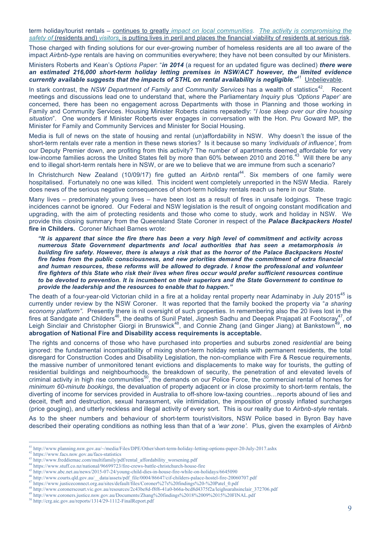term holiday/tourist rentals – continues to greatly *impact on local communities*. *The activity is compromising the safety of* (residents and) *visitors,* is putting lives in peril and places the financial viability of residents at serious risk.

Those charged with finding solutions for our ever-growing number of homeless residents are all too aware of the impact *Airbnb-type* rentals are having on communities everywhere; they have not been consulted by our Ministers.

Ministers Roberts and Kean's *Options Paper*: "*in 2014* (a request for an updated figure was declined) *there were an estimated 216,000 short-term holiday letting premises in NSW/ACT however, the limited evidence currently available suggests that the impacts of STHL on rental availability is negligible." <sup>41</sup>* Unbelievable.

In stark contrast, the *NSW Department of Family and Community Services* has a wealth of statistics<sup>42</sup>. Recent meetings and discussions lead one to understand that, where the Parliamentary *Inquiry* plus *'Options Paper'* are concerned, there has been no engagement across Departments with those in Planning and those working in Family and Community Services. Housing Minister Roberts claims repeatedly: "*l lose sleep over our dire housing situation*". One wonders if Minister Roberts ever engages in conversation with the Hon. Pru Goward MP, the Minister for Family and Community Services and Minister for Social Housing.

Media is full of news on the state of housing and rental (un)affordability in NSW. Why doesn't the issue of the short-term rentals ever rate a mention in these news stories? Is it because so many *'individuals of influence',* from our Deputy Premier down, are profiting from this activity? The number of apartments deemed affordable for very low-income families across the United States fell by more than 60% between 2010 and 2016.<sup>43</sup> Will there be any end to illegal short-term rentals here in NSW, or are we to believe that we are immune from such a scenario?

In Christchurch New Zealand (10/09/17) fire gutted an *Airbnb* rental<sup>44</sup>. Six members of one family were hospitalised. Fortunately no one was killed. This incident went completely unreported in the NSW Media. Rarely does news of the serious negative consequences of short-term holiday rentals reach us here in our State.

Many lives – predominately young lives – have been lost as a result of fires in unsafe lodgings. These tragic incidences cannot be ignored. Our Federal and NSW legislation is the result of ongoing constant modification and upgrading, with the aim of protecting residents and those who come to study, work and holiday in NSW. We provide this closing summary from the Queensland State Coroner in respect of the *Palace Backpackers Hostel* **fire in Childers.** Coroner Michael Barnes wrote:

*"It is apparent that since the fire there has been a very high level of commitment and activity across numerous State Government departments and local authorities that has seen a metamorphosis in building fire safety. However, there is always a risk that as the horror of the Palace Backpackers Hostel fire fades from the public consciousness, and new priorities demand the commitment of extra financial and human resources, these reforms will be allowed to degrade. I know the professional and volunteer fire fighters of this State who risk their lives when fires occur would prefer sufficient resources continue to be devoted to prevention. It is incumbent on their superiors and the State Government to continue to provide the leadership and the resources to enable that to happen."*

The death of a four-year-old Victorian child in a fire at a holiday rental property near Adaminaby in July 2015<sup>45</sup> is currently under review by the NSW Coroner. It was reported that the family booked the property via "*a sharing economy platform".* Presently there is nil oversight of such properties. In remembering also the 20 lives lost in the fires at Sandgate and Childers<sup>46</sup>, the deaths of Sunil Patel, Jignesh Sadhu and Deepak Prajapati at Footscray<sup>47</sup>, of Leigh Sinclair and Christopher Giorgi in Brunswick<sup>48</sup>, and Connie Zhang (and Ginger Jiang) at Bankstown<sup>49</sup>, no **abrogation of National Fire and Disability access requirements is acceptable.**

The rights and concerns of those who have purchased into properties and suburbs zoned *residential* are being ignored: the fundamental incompatibility of mixing short-term holiday rentals with permanent residents, the total disregard for Construction Codes and Disability Legislation, the non-compliance with Fire & Rescue requirements, the massive number of unmonitored tenant evictions and displacements to make way for tourists, the gutting of residential buildings and neighbourhoods, the breakdown of security, the penetration of and elevated levels of criminal activity in high rise communities<sup>50</sup>, the demands on our Police Force, the commercial rental of homes for *minimum 60-minute bookings*, the devaluation of property adjacent or in close proximity to short-term rentals, the diverting of income for services provided in Australia to off-shore low-taxing countries…reports abound of lies and deceit, theft and destruction, sexual harassment, vile intimidation, the imposition of grossly inflated surcharges (price gouging), and utterly reckless and illegal activity of every sort. This is our reality due to *Airbnb-style* rentals.

As to the sheer numbers and behaviour of short-term tourist/visitors, NSW Police based in Byron Bay have described their operating conditions as nothing less than that of a *'war zone'.* Plus, given the examples of *Airbnb*

 <sup>41</sup> http://www.planning.nsw.gov.au/~/media/Files/DPE/Other/short-term-holiday-letting-options-paper-20-July-2017.ashx

<sup>42</sup> https://www.facs.nsw.gov.au/facs-statistics

<sup>43</sup> http://www.freddiemac.com/multifamily/pdf/rental\_affordability\_worsening.pdf

<sup>44</sup> https://www.stuff.co.nz/national/96699723/fire-crews-battle-christchurch-house-fire

<sup>45</sup> http://www.abc.net.au/news/2015-07-24/young-child-dies-in-house-fire-while-on-holidays/6645090

<sup>46</sup> http://www.courts.qld.gov.au/\_\_data/assets/pdf\_file/0004/86647/cif-childers-palace-hostel-fire-20060707.pdf 47 https://www.justiceconnect.org.au/sites/default/files/Coroner%27s%20findings%20-%20Patel\_0.pdf

<sup>48</sup> http://www.coronerscourt.vic.gov.au/resources/2c43be8d-f8f6-41a0-b66a-bcd8d4375f2a/leighsarahsinclair\_372706.pdf

<sup>49</sup> http://www.coroners.justice.nsw.gov.au/Documents/Zhang%20findings%2018%2009%2015%20FINAL.pdf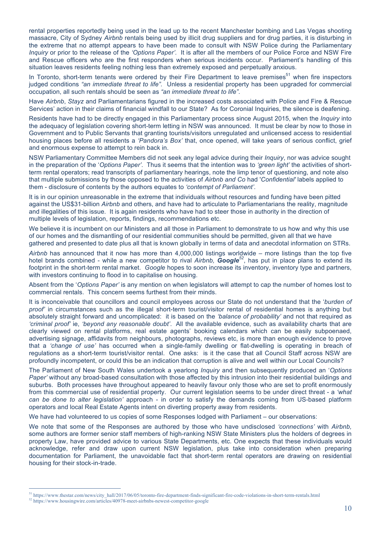rental properties reportedly being used in the lead up to the recent Manchester bombing and Las Vegas shooting massacre, City of Sydney *Airbnb* rentals being used by illicit drug suppliers and for drug parties, it is disturbing in the extreme that no attempt appears to have been made to consult with NSW Police during the Parliamentary *Inquiry* or prior to the release of the *'Options Paper'.* It is after all the members of our Police Force and NSW Fire and Rescue officers who are the first responders when serious incidents occur. Parliament's handling of this situation leaves residents feeling nothing less than extremely exposed and perpetually anxious.

In Toronto, short-term tenants were ordered by their Fire Department to leave premises<sup>51</sup> when fire inspectors judged conditions *"an immediate threat to life".* Unless a residential property has been upgraded for commercial occupation, all such rentals should be seen as *"an immediate threat to life"*.

Have *Airbnb*, *Stayz* and Parliamentarians figured in the increased costs associated with Police and Fire & Rescue Services' action in their claims of financial windfall to our State? As for Coronial Inquiries, the silence is deafening.

Residents have had to be directly engaged in this Parliamentary process since August 2015, when the *Inquiry* into the adequacy of legislation covering short-term letting in NSW was announced. It must be clear by now to those in Government and to Public Servants that granting tourists/visitors unregulated and unlicensed access to residential housing places before all residents a *'Pandora's Box'* that, once opened, will take years of serious conflict, grief and enormous expense to attempt to rein back in.

NSW Parliamentary Committee Members did not seek any legal advice during their *Inquiry*, nor was advice sought in the preparation of the '*Options Paper'*. Thus it seems that the intention was to *'green light'* the activities of shortterm rental operators; read transcripts of parliamentary hearings, note the limp tenor of questioning, and note also that multiple submissions by those opposed to the activities of *Airbnb and Co* had '*Confidential'* labels applied to them - disclosure of contents by the authors equates to *'contempt of Parliament'*.

It is in our opinion unreasonable in the extreme that individuals without resources and funding have been pitted against the US\$31-billion *Airbnb* and others, and have had to articulate to Parliamentarians the reality, magnitude and illegalities of this issue. It is again residents who have had to steer those in authority in the direction of multiple levels of legislation, reports, findings, recommendations etc.

We believe it is incumbent on our Ministers and all those in Parliament to demonstrate to us how and why this use of our homes and the dismantling of our residential communities should be permitted, given all that we have gathered and presented to date plus all that is known globally in terms of data and anecdotal information on STRs.

*Airbnb* has announced that it now has more than 4,000,000 listings worldwide – more listings than the top five hotel brands combined - while a new competitor to rival *Airbnb*, *Google*<sup>52</sup>, has put in place plans to extend its footprint in the short-term rental market. *Google* hopes to soon increase its inventory, inventory type and partners, with investors continuing to flood in to capitalise on housing.

Absent from the '*Options Paper'* is any mention on when legislators will attempt to cap the number of homes lost to commercial rentals. This concern seems furthest from their minds.

It is inconceivable that councillors and council employees across our State do not understand that the '*burden of proof'* in circumstances such as the illegal short-term tourist/visitor rental of residential homes is anything but absolutely straight forward and uncomplicated: it is based on the *'balance of probability'* and not that required as *'criminal proof'* ie, *'beyond any reasonable doubt'*. All the available evidence, such as availability charts that are clearly viewed on rental platforms, real estate agents' booking calendars which can be easily subpoenaed, advertising signage, affidavits from neighbours, photographs, reviews etc, is more than enough evidence to prove that a *'change of use'* has occurred when a single-family dwelling or flat-dwelling is operating in breach of regulations as a short-term tourist/visitor rental. One asks: is it the case that all Council Staff across NSW are profoundly incompetent, or could this be an indication that corruption is alive and well within our Local Councils?

The Parliament of New South Wales undertook a yearlong *Inquiry* and then subsequently produced an '*Options Paper'* without any broad-based consultation with those affected by this intrusion into their residential buildings and suburbs. Both processes have throughout appeared to heavily favour only those who are set to profit enormously from this commercial use of residential property. Our current legislation seems to be under direct threat - a *'what can be done to alter legislation'* approach - in order to satisfy the demands coming from US-based platform operators and local Real Estate Agents intent on diverting property away from residents.

We have had volunteered to us copies of some Responses lodged with Parliament – our observations:

We note that some of the Responses are authored by those who have undisclosed *'connections'* with *Airbnb,* some authors are former senior staff members of high-ranking NSW State Ministers plus the holders of degrees in property Law, have provided advice to various State Departments, etc. One expects that these individuals would acknowledge, refer and draw upon current NSW legislation, plus take into consideration when preparing documentation for Parliament, the unavoidable fact that short-term rental operators are drawing on residential housing for their stock-in-trade.

 <sup>51</sup> https://www.thestar.com/news/city\_hall/2017/06/05/toronto-fire-department-finds-significant-fire-code-violations-in-short-term-rentals.html

<sup>52</sup> https://www.housingwire.com/articles/40978-meet-airbnbs-newest-competitor-google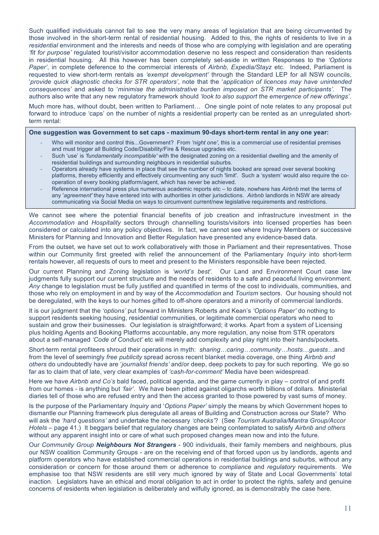Such qualified individuals cannot fail to see the very many areas of legislation that are being circumvented by those involved in the short-term rental of residential housing. Added to this, the rights of residents to live in a *residential* environment and the interests and needs of those who are complying with legislation and are operating *'fit for purpose'* regulated tourist/visitor accommodation deserve no less respect and consideration than residents in residential housing. All this however has been completely set-aside in written Responses to the *'Options Paper'*, in complete deference to the commercial interests of *Airbnb, Expedia/Stayz* etc. Indeed, Parliament is requested to view short-term rentals as *'exempt development'* through the Standard LEP for all NSW councils, '*provide quick diagnostic checks for STR operators'*, note that the '*application of licences may have unintended consequences'* and asked to '*minimise the administrative burden imposed on STR market participants'*. The authors also write that any new regulatory framework should *'look to also support the emergence of new offerings'*.

Much more has, without doubt, been written to Parliament… One single point of note relates to any proposal put forward to introduce 'caps' on the number of nights a residential property can be rented as an unregulated shortterm rental:

**One suggestion was Government to set caps - maximum 90-days short-term rental in any one year:**

- Who will monitor and control this...Government? From *'night one'*, this is a commercial use of residential premises and must trigger all Building Code/Disability/Fire & Rescue upgrades etc.
- Such 'use' is *'fundamentally incompatible'* with the designated zoning on a residential dwelling and the amenity of residential buildings and surrounding neighbours in residential suburbs.
- Operators already have systems in place that see the number of nights booked are spread over several booking platforms, thereby efficiently and effectively circumventing any such 'limit'. Such a 'system' would also require the cooperation of every booking platform/agent, which has never be achieved.
- Reference international press plus numerous academic reports etc to date, nowhere has *Airbnb* met the terms of any '*agreement'* they have entered into with authorities in other jurisdictions. *Airbnb* landlords in NSW are already communicating via Social Media on ways to circumvent current/new legislative requirements and restrictions.

We cannot see where the potential financial benefits of job creation and infrastructure investment in the *Accommodation* and *Hospitality* sectors through channelling tourists/visitors into licensed properties has been considered or calculated into any policy objectives. In fact, we cannot see where Inquiry Members or successive Ministers for Planning and Innovation and Better Regulation have presented any evidence-based data.

From the outset, we have set out to work collaboratively with those in Parliament and their representatives. Those within our Community first greeted with relief the announcement of the Parliamentary *Inquiry* into short-term rentals however, all requests of ours to meet and present to the Ministers responsible have been rejected.

Our current Planning and Zoning legislation is *'world's best'*. Our Land and Environment Court case law judgments fully support our current structure and the needs of residents to a safe and peaceful living environment. *Any* change to legislation must be fully justified and quantified in terms of the cost to individuals, communities, and those who rely on employment in and by way of the *Accommodation* and *Tourism* sectors. Our housing should not be deregulated, with the keys to our homes gifted to off-shore operators and a minority of commercial landlords.

It is our judgment that the *'options'* put forward in Ministers Roberts and Kean's *'Options Paper'* do nothing to support residents seeking housing, residential communities, or legitimate commercial operators who need to sustain and grow their businesses. Our legislation is straightforward; it works. Apart from a system of Licensing plus holding Agents and Booking Platforms accountable, any more regulation, any noise from STR operators about a self-managed *'Code of Conduct'* etc will merely add complexity and play right into their hands/pockets.

Short-term rental profiteers shroud their operations in myth: *sharing…caring…community…hosts…guests…*and from the level of seemingly *free publicity* spread across recent blanket media coverage, one thing *Airbnb and others* do undoubtedly have are '*journalist friends'* and/or deep, deep pockets to pay for such reporting. We go so far as to claim that of late, very clear examples of *'cash-for-comment'* Media have been widespread.

Here we have *Airbnb and Co's* bald faced, political agenda, and the game currently in play – control of and profit from our homes - is anything but *'fair'*. We have been pitted against oligarchs worth billions of dollars. Ministerial diaries tell of those who are refused entry and then the access granted to those powered by vast sums of money.

Is the purpose of the Parliamentary *Inquiry* and '*Options Paper'* simply the means by which Government hopes to dismantle our Planning framework plus deregulate all areas of Building and Construction across our State? Who will ask the *'hard questions'* and undertake the necessary *'checks'*? (See *Tourism Australia/Mantra Group/Accor Hotels* – page 41.) It beggars belief that regulatory changes are being contemplated to satisfy *Airbnb and others* without any apparent insight into or care of what such proposed changes mean now and into the future.

Our *Community Group Neighbours Not Strangers* - 900 individuals, their family members and neighbours, plus our NSW coalition Community Groups - are on the receiving end of that forced upon us by landlords, agents and platform operators who have established commercial operations in residential buildings and suburbs, without any consideration or concern for those around them or adherence to *compliance* and *regulatory* requirements. We emphasise too that NSW residents are still very much ignored by way of State and Local Governments' total inaction. Legislators have an ethical and moral obligation to act in order to protect the rights, safety and genuine concerns of residents when legislation is deliberately and wilfully ignored, as is demonstrably the case here.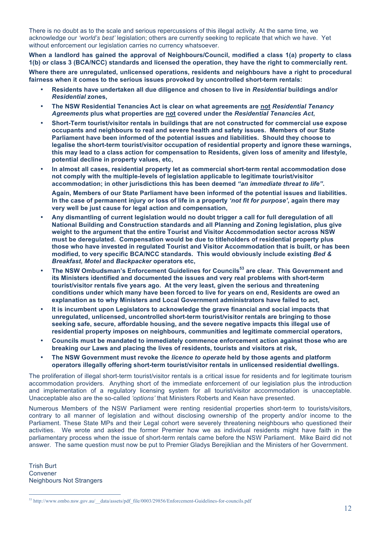There is no doubt as to the scale and serious repercussions of this illegal activity. At the same time, we acknowledge our *'world's best'* legislation; others are currently seeking to replicate that which we have. Yet without enforcement our legislation carries no currency whatsoever.

**When a landlord has gained the approval of Neighbours/Council, modified a class 1(a) property to class 1(b) or class 3 (BCA/NCC) standards and licensed the operation, they have the right to commercially rent.** 

**Where there are unregulated, unlicensed operations, residents and neighbours have a right to procedural fairness when it comes to the serious issues provoked by uncontrolled short-term rentals:**

- **Residents have undertaken all due diligence and chosen to live in** *Residential* **buildings and/or**  *Residential* **zones,**
- **The NSW Residential Tenancies Act is clear on what agreements are not** *Residential Tenancy Agreements* **plus what properties are not covered under the** *Residential Tenancies Act***,**
- **Short-Term tourist/visitor rentals in buildings that are not constructed for commercial use expose occupants and neighbours to real and severe health and safety issues. Members of our State Parliament have been informed of the potential issues and liabilities. Should they choose to legalise the short-term tourist/visitor occupation of residential property and ignore these warnings, this may lead to a class action for compensation to Residents, given loss of amenity and lifestyle, potential decline in property values, etc,**
- **In almost all cases, residential property let as commercial short-term rental accommodation dose not comply with the multiple-levels of legislation applicable to legitimate tourist/visitor accommodation; in other jurisdictions this has been deemed** *"an immediate threat to life"***.**

**Again, Members of our State Parliament have been informed of the potential issues and liabilities. In the case of permanent injury or loss of life in a property** *'not fit for purpose'***, again there may very well be just cause for legal action and compensation,** 

- **Any dismantling of current legislation would no doubt trigger a call for full deregulation of all National Building and Construction standards and all Planning and Zoning legislation, plus give weight to the argument that the entire Tourist and Visitor Accommodation sector across NSW must be deregulated. Compensation would be due to titleholders of residential property plus those who have invested in regulated Tourist and Visitor Accommodation that is built, or has been modified, to very specific BCA/NCC standards. This would obviously include existing** *Bed & Breakfast***,** *Motel* **and** *Backpacker* **operators etc,**
- **The NSW Ombudsman's Enforcement Guidelines for Councils<sup>53</sup> are clear. This Government and its Ministers identified and documented the issues and very real problems with short-term tourist/visitor rentals five years ago. At the very least, given the serious and threatening conditions under which many have been forced to live for years on end, Residents are owed an explanation as to why Ministers and Local Government administrators have failed to act,**
- **It is incumbent upon Legislators to acknowledge the grave financial and social impacts that unregulated, unlicensed, uncontrolled short-term tourist/visitor rentals are bringing to those seeking safe, secure, affordable housing, and the severe negative impacts this illegal use of residential property imposes on neighbours, communities and legitimate commercial operators,**
- **Councils must be mandated to immediately commence enforcement action against those who are breaking our Laws and placing the lives of residents, tourists and visitors at risk,**
- **The NSW Government must revoke the** *licence to operate* **held by those agents and platform operators illegally offering short-term tourist/visitor rentals in unlicensed residential dwellings.**

The proliferation of illegal short-term tourist/visitor rentals is a critical issue for residents and for legitimate tourism accommodation providers. Anything short of the immediate enforcement of our legislation plus the introduction and implementation of a regulatory licensing system for all tourist/visitor accommodation is unacceptable. Unacceptable also are the so-called *'options'* that Ministers Roberts and Kean have presented.

Numerous Members of the NSW Parliament were renting residential properties short-term to tourists/visitors, contrary to all manner of legislation and without disclosing ownership of the property and/or income to the Parliament. These State MPs and their Legal cohort were severely threatening neighbours who questioned their activities. We wrote and asked the former Premier how we as individual residents might have faith in the parliamentary process when the issue of short-term rentals came before the NSW Parliament. Mike Baird did not answer. The same question must now be put to Premier Gladys Berejiklian and the Ministers of her Government.

Trish Burt Convener Neighbours Not Strangers

<sup>&</sup>lt;sup>53</sup> http://www.ombo.nsw.gov.au/\_\_data/assets/pdf\_file/0003/29856/Enforcement-Guidelines-for-councils.pdf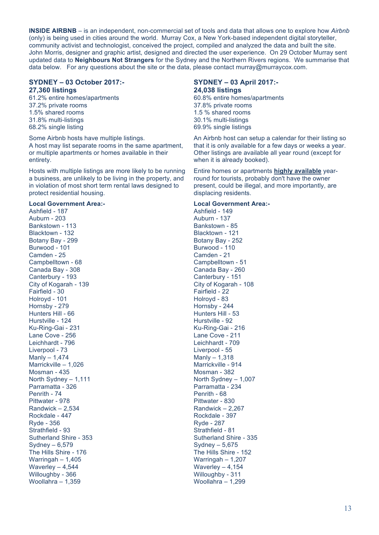**INSIDE AIRBNB** – is an independent, non-commercial set of tools and data that allows one to explore how *Airbnb*  (only) is being used in cities around the world. Murray Cox, a New York-based independent digital storyteller, community activist and technologist, conceived the project, compiled and analyzed the data and built the site. John Morris, designer and graphic artist, designed and directed the user experience. On 29 October Murray sent updated data to **Neighbours Not Strangers** for the Sydney and the Northern Rivers regions. We summarise that data below. For any questions about the site or the data, please contact murray@murraycox.com.

#### **SYDNEY – 03 October 2017:- 27,360 listings**

61.2% entire homes/apartments 37.2% private rooms 1.5% shared rooms 31.8% multi-listings 68.2% single listing

Some Airbnb hosts have multiple listings. A host may list separate rooms in the same apartment, or multiple apartments or homes available in their entirety.

Hosts with multiple listings are more likely to be running a business, are unlikely to be living in the property, and in violation of most short term rental laws designed to protect residential housing.

#### **Local Government Area:-**

Ashfield - 187 Auburn - 203 Bankstown - 113 Blacktown - 132 Botany Bay - 299 Burwood - 101 Camden - 25 Campbelltown - 68 Canada Bay - 308 Canterbury - 193 City of Kogarah - 139 Fairfield - 30 Holroyd - 101 Hornsby - 279 Hunters Hill - 66 Hurstville - 124 Ku-Ring-Gai - 231 Lane Cove - 256 Leichhardt - 796 Liverpool - 73 Manly – 1,474 Marrickville – 1,026 Mosman - 435 North Sydney – 1,111 Parramatta - 326 Penrith - 74 Pittwater - 978 Randwick – 2,534 Rockdale - 447 Ryde - 356 Strathfield - 93 Sutherland Shire - 353 Sydney – 6,579 The Hills Shire - 176 Warringah – 1,405 Waverley – 4,544 Willoughby - 366 Woollahra – 1,359

#### **SYDNEY – 03 April 2017:- 24,038 listings**

60.8% entire homes/apartments 37.8% private rooms 1.5 % shared rooms 30.1% multi-listings 69.9% single listings

An Airbnb host can setup a calendar for their listing so that it is only available for a few days or weeks a year. Other listings are available all year round (except for when it is already booked).

Entire homes or apartments **highly available** yearround for tourists, probably don't have the owner present, could be illegal, and more importantly, are displacing residents.

#### **Local Government Area:-**

Ashfield - 149 Auburn - 137 Bankstown - 85 Blacktown - 121 Botany Bay - 252 Burwood - 110 Camden - 21 Campbelltown - 51 Canada Bay - 260 Canterbury - 151 City of Kogarah - 108 Fairfield - 22 Holroyd - 83 Hornsby - 244 Hunters Hill - 53 Hurstville - 92 Ku-Ring-Gai - 216 Lane Cove - 211 Leichhardt - 709 Liverpool - 55 Manly – 1,318 Marrickville - 914 Mosman - 382 North Sydney – 1,007 Parramatta - 234 Penrith - 68 Pittwater - 830 Randwick – 2,267 Rockdale - 397 Ryde - 287 Strathfield - 81 Sutherland Shire - 335 Sydney – 5,675 The Hills Shire - 152 Warringah – 1,207 Waverley – 4,154 Willoughby - 311 Woollahra – 1,299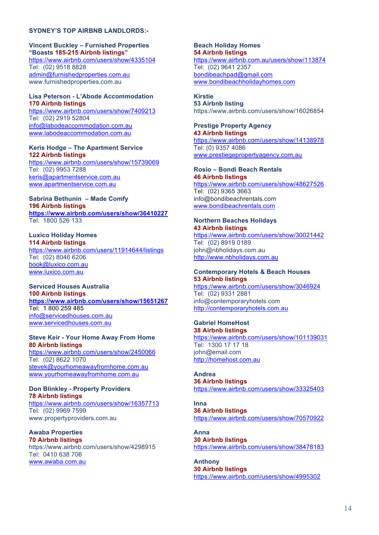#### **SYDNEY'S TOP AIRBNB LANDLORDS:-**

**Vincent Buckley – Furnished Properties "Boasts 185-215 Airbnb listings"** https://www.airbnb.com/users/show/4335104 Tel: (02) 9518 8828 admin@furnishedproperties.com.au www.furnishedproperties.com.au

#### **Lisa Peterson - L'Abode Accommodation 170 Airbnb listings**

https://www.airbnb.com/users/show/7409213 Tel: (02) 2919 52804 info@labodeaccommodation.com.au www.labodeaccommodation.com.au

#### **Keris Hodge – The Apartment Service 122 Airbnb listings**

https://www.airbnb.com/users/show/15739069 Tel: (02) 9953 7288 keris@apartmentservice.com.au www.apartmentservice.com.au

#### **Sabrina Bethunin – Made Comfy 196 Airbnb listings https://www.airbnb.com/users/show/36410227** Tel: 1800 526 133

**Luxico Holiday Homes 114 Airbnb listings**

https://www.airbnb.com/users/11914644/listings Tel: (02) 8046 6206 book@luxico.com.au www.luxico.com.au

**Serviced Houses Australia 100 Airbnb listings https://www.airbnb.com/users/show/15651267** Tel: 1 800 259 485 info@servicedhouses.com.au www.servicedhouses.com.au

#### **Steve Keir - Your Home Away From Home 80 Airbnb listings**

https://www.airbnb.com/users/show/2450066 Tel: (02) 8622 1070 stevek@yourhomeawayfromhome.com.au www.yourhomeawayfromhome.com.au

**Don Blinkley - Property Providers 78 Airbnb listings** https://www.airbnb.com/users/show/16357713 Tel: (02) 9969 7599 www.propertyproviders.com.au

**Awaba Properties 70 Airbnb listings** https://www.airbnb.com/users/show/4298915 Tel: 0410 638 706 www.awaba.com.au

**Beach Holiday Homes 54 Airbnb listings** https://www.airbnb.com.au/users/show/113874 Tel: (02) 9641 2357 bondibeachpad@gmail.com www.bondibeachholidayhomes.com

**Kirstie 53 Airbnb listing** https://www.airbnb.com/users/show/16026854

#### **Prestige Property Agency 43 Airbnb listings**

https://www.airbnb.com/users/show/14138978 Tel: (0) 9357 4086 www.prestiegepropertyagency.com.au

# **Rosio – Bondi Beach Rentals**

**46 Airbnb listings** https://www.airbnb.com/users/show/48627526 Tel: (02) 9365 3663 info@bondibeachrentals.com www.bondibeachrentals.com

# **Northern Beaches Holidays**

**43 Airbnb listings** https://www.airbnb.com/users/show/30021442 Tel: (02) 8919 0189 john@nbholidays.com.au http://www.nbholidays.com.au

### **Contemporary Hotels & Beach Houses 53 Airbnb listings**

https://www.airbnb.com/users/show/3046924 Tel: (02) 9331 2881 info@contemporaryhotels.com http://contemporaryhotels.com.au

#### **Gabriel HomeHost 38 Airbnb listings**

https://www.airbnb.com/users/show/101139031 Tel: 1300 17 17 18 john@email.com http://homehost.com.au

**Andrea 36 Airbnb listings** https://www.airbnb.com/users/show/33325403

**Inna 36 Airbnb listings** https://www.airbnb.com/users/show/70570922

**Anna 30 Airbnb listings** https://www.airbnb.com/users/show/38478183

**Anthony 30 Airbnb listings** https://www.airbnb.com/users/show/4995302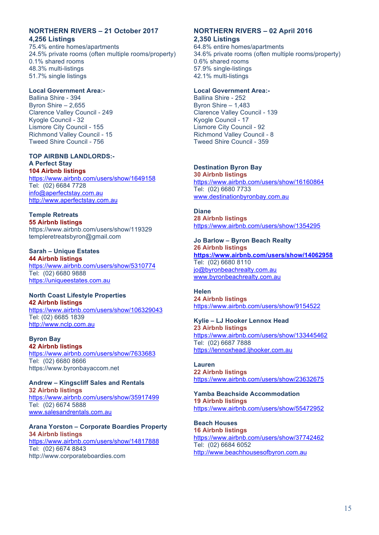#### **NORTHERN RIVERS – 21 October 2017 4,256 Listings**

75.4% entire homes/apartments 24.5% private rooms (often multiple rooms/property) 0.1% shared rooms 48.3% multi-listings 51.7% single listings

#### **Local Government Area:-**

Ballina Shire - 394 Byron Shire – 2,655 Clarence Valley Council - 249 Kyogle Council - 32 Lismore City Council - 155 Richmond Valley Council - 15 Tweed Shire Council - 756

#### **TOP AIRBNB LANDLORDS:- A Perfect Stay 104 Airbnb listings**

https://www.airbnb.com/users/show/1649158 Tel: (02) 6684 7728 info@aperfectstay.com.au http://www.aperfectstay.com.au

**Temple Retreats 55 Airbnb listings** https://www.airbnb.com/users/show/119329 templeretreatsbyron@gmail.com

#### **Sarah – Unique Estates 44 Airbnb listings** https://www.airbnb.com/users/show/5310774 Tel: (02) 6680 9888 https://uniqueestates.com.au

# **North Coast Lifestyle Properties 42 Airbnb listings** https://www.airbnb.com/users/show/106329043 Tel: (02) 6685 1839

http://www.nclp.com.au **Byron Bay** 

**42 Airbnb listings** https://www.airbnb.com/users/show/7633683 Tel: (02) 6680 8666 https://www.byronbayaccom.net

**Andrew – Kingscliff Sales and Rentals 32 Airbnb listings** https://www.airbnb.com/users/show/35917499 Tel: (02) 6674 5888 www.salesandrentals.com.au

#### **Arana Yorston – Corporate Boardies Property 34 Airbnb listings**

https://www.airbnb.com/users/show/14817888 Tel: (02) 6674 8843 http://www.corporateboardies.com

#### **NORTHERN RIVERS – 02 April 2016 2,350 Listings**

64.8% entire homes/apartments 34.6% private rooms (often multiple rooms/property) 0.6% shared rooms 57.9% single-listings 42.1% multi-listings

#### **Local Government Area:-**

Ballina Shire - 252 Byron Shire – 1,483 Clarence Valley Council - 139 Kyogle Council - 17 Lismore City Council - 92 Richmond Valley Council - 8 Tweed Shire Council - 359

# **Destination Byron Bay**

**30 Airbnb listings** https://www.airbnb.com/users/show/16160864 Tel: (02) 6680 7733 www.destinationbyronbay.com.au

**Diane 28 Airbnb listings** https://www.airbnb.com/users/show/1354295

### **Jo Barlow – Byron Beach Realty**

**26 Airbnb listings https://www.airbnb.com/users/show/14062958** Tel: (02) 6680 8110 jo@byronbeachrealty.com.au www.byronbeachrealty.com.au

# **Helen**

**24 Airbnb listings** https://www.airbnb.com/users/show/9154522

#### **Kylie – LJ Hooker Lennox Head 23 Airbnb listings** https://www.airbnb.com/users/show/133445462 Tel: (02) 6687 7888 https://lennoxhead.ljhooker.com.au

**Lauren 22 Airbnb listings** https://www.airbnb.com/users/show/23632675

**Yamba Beachside Accommodation 19 Airbnb listings** https://www.airbnb.com/users/show/55472952

#### **Beach Houses 16 Airbnb listings** https://www.airbnb.com/users/show/37742462 Tel: (02) 6684 6052 http://www.beachhousesofbyron.com.au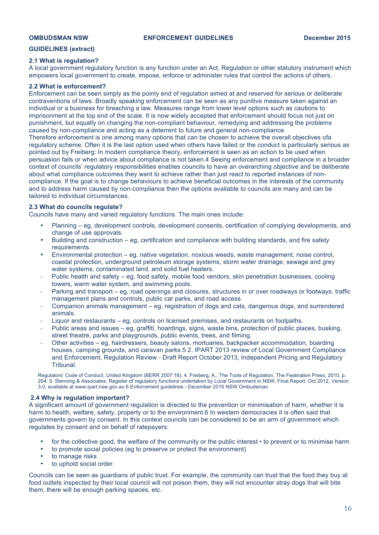#### **GUIDELINES (extract)**

#### **2.1 What is regulation?**

A local government regulatory function is any function under an Act, Regulation or other statutory instrument which empowers local government to create, impose, enforce or administer rules that control the actions of others.

#### **2.2 What is enforcement?**

Enforcement can be seen simply as the pointy end of regulation aimed at and reserved for serious or deliberate contraventions of laws. Broadly speaking enforcement can be seen as any punitive measure taken against an individual or a business for breaching a law. Measures range from lower level options such as cautions to imprisonment at the top end of the scale. It is now widely accepted that enforcement should focus not just on punishment, but equally on changing the non-compliant behaviour, remedying and addressing the problems caused by non-compliance and acting as a deterrent to future and general non-compliance.

Therefore enforcement is one among many options that can be chosen to achieve the overall objectives ofa regulatory scheme. Often it is the last option used when others have failed or the conduct is particularly serious as pointed out by Freiberg: In modern compliance theory, enforcement is seen as an action to be used when persuasion fails or when advice about compliance is not taken.4 Seeing enforcement and compliance in a broader context of councils' regulatory responsibilities enables councils to have an overarching objective and be deliberate about what compliance outcomes they want to achieve rather than just react to reported instances of noncompliance. If the goal is to change behaviours to achieve beneficial outcomes in the interests of the community and to address harm caused by non-compliance then the options available to councils are many and can be tailored to individual circumstances.

#### **2.3 What do councils regulate?**

Councils have many and varied regulatory functions. The main ones include:

- Planning eg, development controls, development consents, certification of complying developments, and change of use approvals.
- Building and construction eg, certification and compliance with building standards, and fire safety requirements.
- Environmental protection eg, native vegetation, noxious weeds, waste management, noise control, coastal protection, underground petroleum storage systems, storm water drainage, sewage and grey water systems, contaminated land, and solid fuel heaters.
- Public health and safety eg, food safety, mobile food vendors, skin penetration businesses, cooling towers, warm water system, and swimming pools.
- Parking and transport eg, road openings and closures, structures in or over roadways or footways, traffic management plans and controls, public car parks, and road access.
- Companion animals management eg, registration of dogs and cats, dangerous dogs, and surrendered animals.
- Liquor and restaurants eq, controls on licensed premises, and restaurants on footpaths.
- Public areas and issues eg, graffiti, hoardings, signs, waste bins, protection of public places, busking, street theatre, parks and playgrounds, public events, trees, and filming.
- Other activities eg, hairdressers, beauty salons, mortuaries, backpacker accommodation, boarding houses, camping grounds, and caravan parks.5 2. IPART 2013 review of Local Government Compliance and Enforcement, Regulation Review - Draft Report October 2013, Independent Pricing and Regulatory Tribunal.

Regulators' Code of Conduct, United Kingdom (BERR 2007:16). 4. Freiberg, A., The Tools of Regulation, The Federation Press, 2010, p. 204. 5. Stenning & Associates, Register of regulatory functions undertaken by Local Government in NSW, Final Report, Oct 2012, Version 3.0, available at www.ipart.nsw.gov.au 6 Enforcement guidelines - December 2015 NSW Ombudsman

#### **2.4 Why is regulation important?**

A significant amount of government regulation is directed to the prevention or minimisation of harm, whether it is harm to health, welfare, safety, property or to the environment.6 In western democracies it is often said that governments govern by consent. In this context councils can be considered to be an arm of government which regulates by consent and on behalf of ratepayers:

- for the collective good, the welfare of the community or the public interest  $\cdot$  to prevent or to minimise harm
- to promote social policies (eg to preserve or protect the environment)<br>• to manage risks
- to manage risks
- to uphold social order.

Councils can be seen as guardians of public trust. For example, the community can trust that the food they buy at food outlets inspected by their local council will not poison them, they will not encounter stray dogs that will bite them, there will be enough parking spaces, etc.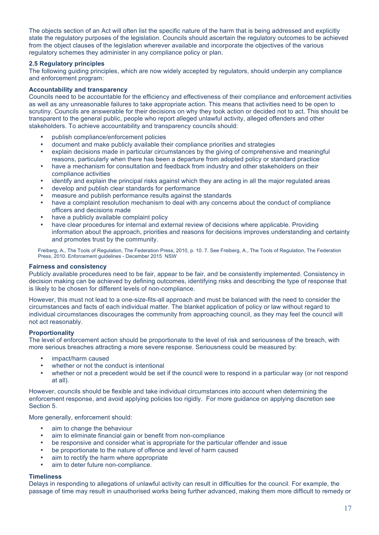The objects section of an Act will often list the specific nature of the harm that is being addressed and explicitly state the regulatory purposes of the legislation. Councils should ascertain the regulatory outcomes to be achieved from the object clauses of the legislation wherever available and incorporate the objectives of the various regulatory schemes they administer in any compliance policy or plan.

#### **2.5 Regulatory principles**

The following guiding principles, which are now widely accepted by regulators, should underpin any compliance and enforcement program:

#### **Accountability and transparency**

Councils need to be accountable for the efficiency and effectiveness of their compliance and enforcement activities as well as any unreasonable failures to take appropriate action. This means that activities need to be open to scrutiny. Councils are answerable for their decisions on why they took action or decided not to act. This should be transparent to the general public, people who report alleged unlawful activity, alleged offenders and other stakeholders. To achieve accountability and transparency councils should:

- publish compliance/enforcement policies
- document and make publicly available their compliance priorities and strategies
- explain decisions made in particular circumstances by the giving of comprehensive and meaningful reasons, particularly when there has been a departure from adopted policy or standard practice
- have a mechanism for consultation and feedback from industry and other stakeholders on their compliance activities
- identify and explain the principal risks against which they are acting in all the major regulated areas
- develop and publish clear standards for performance
- measure and publish performance results against the standards
- have a complaint resolution mechanism to deal with any concerns about the conduct of compliance officers and decisions made
- have a publicly available complaint policy
- have clear procedures for internal and external review of decisions where applicable. Providing information about the approach, priorities and reasons for decisions improves understanding and certainty and promotes trust by the community.

Freiberg, A., The Tools of Regulation, The Federation Press, 2010, p. 10. 7. See Freiberg, A., The Tools of Regulation, The Federation Press, 2010. Enforcement guidelines - December 2015 NSW

#### **Fairness and consistency**

Publicly available procedures need to be fair, appear to be fair, and be consistently implemented. Consistency in decision making can be achieved by defining outcomes, identifying risks and describing the type of response that is likely to be chosen for different levels of non-compliance.

However, this must not lead to a one-size-fits-all approach and must be balanced with the need to consider the circumstances and facts of each individual matter. The blanket application of policy or law without regard to individual circumstances discourages the community from approaching council, as they may feel the council will not act reasonably.

#### **Proportionality**

The level of enforcement action should be proportionate to the level of risk and seriousness of the breach, with more serious breaches attracting a more severe response. Seriousness could be measured by:

- impact/harm caused
- whether or not the conduct is intentional
- whether or not a precedent would be set if the council were to respond in a particular way (or not respond at all).

However, councils should be flexible and take individual circumstances into account when determining the enforcement response, and avoid applying policies too rigidly. For more guidance on applying discretion see Section 5.

More generally, enforcement should:

- aim to change the behaviour
- aim to eliminate financial gain or benefit from non-compliance
- be responsive and consider what is appropriate for the particular offender and issue<br>• be proportionate to the nature of offence and level of harm caused
- be proportionate to the nature of offence and level of harm caused
- aim to rectify the harm where appropriate
- aim to deter future non-compliance.

#### **Timeliness**

Delays in responding to allegations of unlawful activity can result in difficulties for the council. For example, the passage of time may result in unauthorised works being further advanced, making them more difficult to remedy or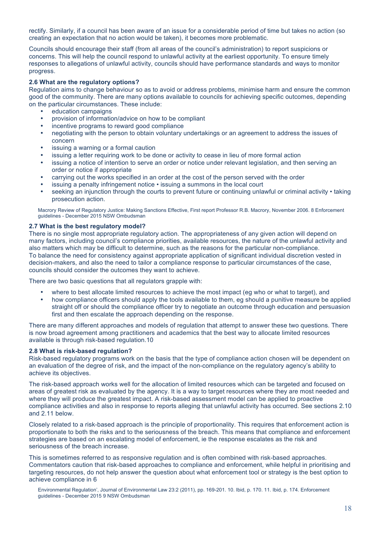rectify. Similarly, if a council has been aware of an issue for a considerable period of time but takes no action (so creating an expectation that no action would be taken), it becomes more problematic.

Councils should encourage their staff (from all areas of the council's administration) to report suspicions or concerns. This will help the council respond to unlawful activity at the earliest opportunity. To ensure timely responses to allegations of unlawful activity, councils should have performance standards and ways to monitor progress.

#### **2.6 What are the regulatory options?**

Regulation aims to change behaviour so as to avoid or address problems, minimise harm and ensure the common good of the community. There are many options available to councils for achieving specific outcomes, depending on the particular circumstances. These include:

- education campaigns<br>• provision of information
- provision of information/advice on how to be compliant
- incentive programs to reward good compliance
- negotiating with the person to obtain voluntary undertakings or an agreement to address the issues of concern
- issuing a warning or a formal caution
- issuing a letter requiring work to be done or activity to cease in lieu of more formal action
- issuing a notice of intention to serve an order or notice under relevant legislation, and then serving an order or notice if appropriate
- carrying out the works specified in an order at the cost of the person served with the order
- issuing a penalty infringement notice issuing a summons in the local court
- seeking an injunction through the courts to prevent future or continuing unlawful or criminal activity taking prosecution action.

Macrory Review of Regulatory Justice: Making Sanctions Effective, First report Professor R.B. Macrory, November 2006. 8 Enforcement guidelines - December 2015 NSW Ombudsman

#### **2.7 What is the best regulatory model?**

There is no single most appropriate regulatory action. The appropriateness of any given action will depend on many factors, including council's compliance priorities, available resources, the nature of the unlawful activity and also matters which may be difficult to determine, such as the reasons for the particular non-compliance. To balance the need for consistency against appropriate application of significant individual discretion vested in decision-makers, and also the need to tailor a compliance response to particular circumstances of the case, councils should consider the outcomes they want to achieve.

There are two basic questions that all regulators grapple with:

- where to best allocate limited resources to achieve the most impact (eq who or what to target), and
- how compliance officers should apply the tools available to them, eg should a punitive measure be applied straight off or should the compliance officer try to negotiate an outcome through education and persuasion first and then escalate the approach depending on the response.

There are many different approaches and models of regulation that attempt to answer these two questions. There is now broad agreement among practitioners and academics that the best way to allocate limited resources available is through risk-based regulation.10

#### **2.8 What is risk-based regulation?**

Risk-based regulatory programs work on the basis that the type of compliance action chosen will be dependent on an evaluation of the degree of risk, and the impact of the non-compliance on the regulatory agency's ability to achieve its objectives.

The risk-based approach works well for the allocation of limited resources which can be targeted and focused on areas of greatest risk as evaluated by the agency. It is a way to target resources where they are most needed and where they will produce the greatest impact. A risk-based assessment model can be applied to proactive compliance activities and also in response to reports alleging that unlawful activity has occurred. See sections 2.10 and 2.11 below.

Closely related to a risk-based approach is the principle of proportionality. This requires that enforcement action is proportionate to both the risks and to the seriousness of the breach. This means that compliance and enforcement strategies are based on an escalating model of enforcement, ie the response escalates as the risk and seriousness of the breach increase.

This is sometimes referred to as responsive regulation and is often combined with risk-based approaches. Commentators caution that risk-based approaches to compliance and enforcement, while helpful in prioritising and targeting resources, do not help answer the question about what enforcement tool or strategy is the best option to achieve compliance in 6

Environmental Regulation', Journal of Environmental Law 23:2 (2011), pp. 169-201. 10. Ibid, p. 170. 11. Ibid, p. 174. Enforcement guidelines - December 2015 9 NSW Ombudsman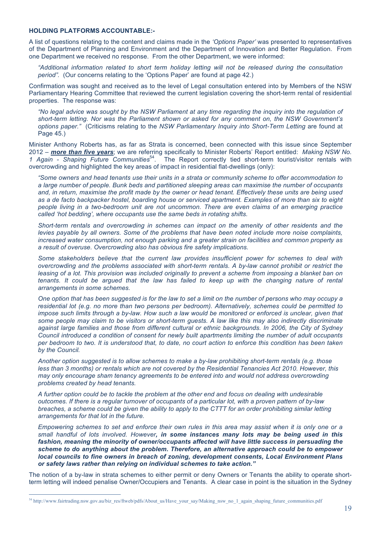#### **HOLDING PLATFORMS ACCOUNTABLE:-**

A list of questions relating to the content and claims made in the *'Options Paper'* was presented to representatives of the Department of Planning and Environment and the Department of Innovation and Better Regulation. From one Department we received no response. From the other Department, we were informed:

*"Additional information related to short term holiday letting will not be released during the consultation period".* (Our concerns relating to the 'Options Paper' are found at page 42.)

Confirmation was sought and received as to the level of Legal consultation entered into by Members of the NSW Parliamentary Hearing Committee that reviewed the current legislation covering the short-term rental of residential properties. The response was:

*"No legal advice was sought by the NSW Parliament at any time regarding the inquiry into the regulation of short-term letting. Nor was the Parliament shown or asked for any comment on, the NSW Government's options paper."* (Criticisms relating to the *NSW Parliamentary Inquiry into Short-Term Letting* are found at Page 45.)

Minister Anthony Roberts has, as far as Strata is concerned, been connected with this issue since September 2012 – *more than five years*; we are referring specifically to Minister Roberts' Report entitled: *Making NSW No. 1 Again - Shaping Future Communities*54. The Report correctly tied short-term tourist/visitor rentals with overcrowding and highlighted the key areas of impact in residential flat-dwellings (only):

*"Some owners and head tenants use their units in a strata or community scheme to offer accommodation to a large number of people. Bunk beds and partitioned sleeping areas can maximise the number of occupants and, in return, maximise the profit made by the owner or head tenant. Effectively these units are being used as a de facto backpacker hostel, boarding house or serviced apartment. Examples of more than six to eight people living in a two-bedroom unit are not uncommon. There are even claims of an emerging practice called 'hot bedding', where occupants use the same beds in rotating shifts.* 

*Short-term rentals and overcrowding in schemes can impact on the amenity of other residents and the levies payable by all owners. Some of the problems that have been noted include more noise complaints, increased water consumption, not enough parking and a greater strain on facilities and common property as a result of overuse. Overcrowding also has obvious fire safety implications.* 

*Some stakeholders believe that the current law provides insufficient power for schemes to deal with overcrowding and the problems associated with short-term rentals. A by-law cannot prohibit or restrict the leasing of a lot. This provision was included originally to prevent a scheme from imposing a blanket ban on tenants. It could be argued that the law has failed to keep up with the changing nature of rental arrangements in some schemes.* 

*One option that has been suggested is for the law to set a limit on the number of persons who may occupy a residential lot (e.g. no more than two persons per bedroom). Alternatively, schemes could be permitted to impose such limits through a by-law. How such a law would be monitored or enforced is unclear, given that some people may claim to be visitors or short-term guests. A law like this may also indirectly discriminate against large families and those from different cultural or ethnic backgrounds. In 2006, the City of Sydney Council introduced a condition of consent for newly built apartments limiting the number of adult occupants per bedroom to two. It is understood that, to date, no court action to enforce this condition has been taken by the Council.* 

*Another option suggested is to allow schemes to make a by-law prohibiting short-term rentals (e.g. those less than 3 months) or rentals which are not covered by the Residential Tenancies Act 2010. However, this may only encourage sham tenancy agreements to be entered into and would not address overcrowding problems created by head tenants.*

*A further option could be to tackle the problem at the other end and focus on dealing with undesirable outcomes. If there is a regular turnover of occupants of a particular lot, with a proven pattern of by-law breaches, a scheme could be given the ability to apply to the CTTT for an order prohibiting similar letting arrangements for that lot in the future.* 

*Empowering schemes to set and enforce their own rules in this area may assist when it is only one or a small handful of lots involved. However, in some instances many lots may be being used in this fashion, meaning the minority of owner/occupants affected will have little success in persuading the scheme to do anything about the problem. Therefore, an alternative approach could be to empower local councils to fine owners in breach of zoning, development consents, Local Environment Plans or safety laws rather than relying on individual schemes to take action."*

The notion of a by-law in strata schemes to either permit or deny Owners or Tenants the ability to operate shortterm letting will indeed penalise Owner/Occupiers and Tenants. A clear case in point is the situation in the Sydney

<sup>&</sup>lt;sup>54</sup> http://www.fairtrading.nsw.gov.au/biz\_res/ftweb/pdfs/About\_us/Have\_your\_say/Making\_nsw\_no\_1\_again\_shaping\_future\_communities.pdf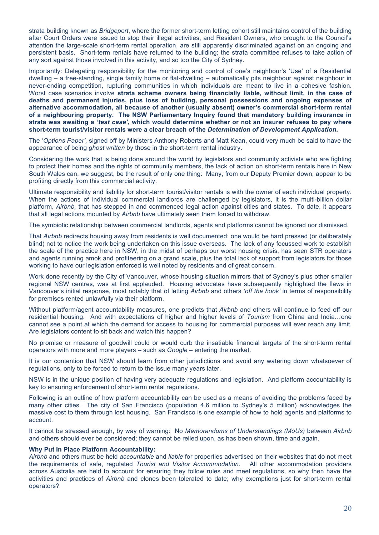strata building known as *Bridgeport*, where the former short-term letting cohort still maintains control of the building after Court Orders were issued to stop their illegal activities, and Resident Owners, who brought to the Council's attention the large-scale short-term rental operation, are still apparently discriminated against on an ongoing and persistent basis. Short-term rentals have returned to the building; the strata committee refuses to take action of any sort against those involved in this activity, and so too the City of Sydney.

Importantly: Delegating responsibility for the monitoring and control of one's neighbour's 'Use' of a Residential dwelling – a free-standing, single family home or flat-dwelling – automatically pits neighbour against neighbour in never-ending competition, rupturing communities in which individuals are meant to live in a cohesive fashion. Worst case scenarios involve strata scheme owners being financially liable, without limit, in the case of **deaths and permanent injuries, plus loss of building, personal possessions and ongoing expenses of alternative accommodation, all because of another (usually absent) owner's commercial short-term rental of a neighbouring property. The NSW Parliamentary Inquiry found that mandatory building insurance in strata was awaiting a '***test case'***, which would determine whether or not an insurer refuses to pay where short-term tourist/visitor rentals were a clear breach of the** *Determination of Development Application***.** 

The '*Options Paper',* signed off by Ministers Anthony Roberts and Matt Kean, could very much be said to have the appearance of being *ghost written* by those in the short-term rental industry.

Considering the work that is being done around the world by legislators and community activists who are fighting to protect their homes and the rights of community members, the lack of action on short-term rentals here in New South Wales can, we suggest, be the result of only one thing: Many, from our Deputy Premier down, appear to be profiting directly from this commercial activity.

Ultimate responsibility and liability for short-term tourist/visitor rentals is with the owner of each individual property. When the actions of individual commercial landlords are challenged by legislators, it is the multi-billion dollar platform, *Airbnb,* that has stepped in and commenced legal action against cities and states. To date, it appears that all legal actions mounted by *Airbnb* have ultimately seen them forced to withdraw.

The symbiotic relationship between commercial landlords, agents and platforms cannot be ignored nor dismissed.

That *Airbnb* redirects housing away from residents is well documented; one would be hard pressed (or deliberately blind) not to notice the work being undertaken on this issue overseas. The lack of any focussed work to establish the scale of the practice here in NSW, in the midst of perhaps our worst housing crisis, has seen STR operators and agents running amok and profiteering on a grand scale, plus the total lack of support from legislators for those working to have our legislation enforced is well noted by residents and of great concern.

Work done recently by the City of Vancouver, whose housing situation mirrors that of Sydney's plus other smaller regional NSW centres, was at first applauded. Housing advocates have subsequently highlighted the flaws in Vancouver's initial response, most notably that of letting *Airbnb* and others *'off the hook'* in terms of responsibility for premises rented unlawfully via their platform.

Without platform/agent accountability measures, one predicts that *Airbnb* and others will continue to feed off our residential housing. And with expectations of higher and higher levels of *Tourism* from China and India…one cannot see a point at which the demand for access to housing for commercial purposes will ever reach any limit. Are legislators content to sit back and watch this happen?

No promise or measure of goodwill could or would curb the insatiable financial targets of the short-term rental operators with more and more players – such as *Google* – entering the market.

It is our contention that NSW should learn from other jurisdictions and avoid any watering down whatsoever of regulations, only to be forced to return to the issue many years later.

NSW is in the unique position of having very adequate regulations and legislation. And platform accountability is key to ensuring enforcement of short-term rental regulations.

Following is an outline of how platform accountability can be used as a means of avoiding the problems faced by many other cities. The city of San Francisco (population 4.6 million to Sydney's 5 million) acknowledges the massive cost to them through lost housing. San Francisco is one example of how to hold agents and platforms to account.

It cannot be stressed enough, by way of warning: No *Memorandums of Understandings (MoUs)* between *Airbnb*  and others should ever be considered; they cannot be relied upon, as has been shown, time and again.

#### **Why Put In Place Platform Accountability:**

*Airbnb* and others must be held *accountable* and *liable* for properties advertised on their websites that do not meet the requirements of safe, regulated *Tourist and Visitor Accommodation*. All other accommodation providers across Australia are held to account for ensuring they follow rules and meet regulations, so why then have the activities and practices of *Airbnb* and clones been tolerated to date; why exemptions just for short-term rental operators?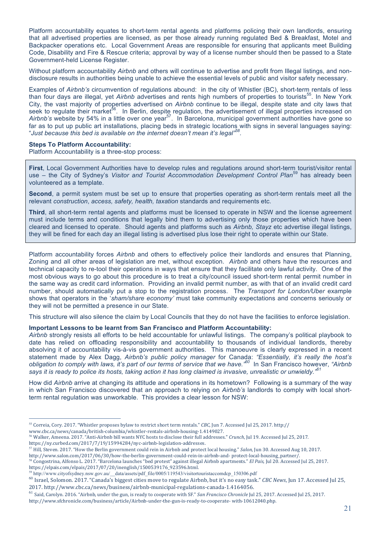Platform accountability equates to short-term rental agents and platforms policing their own landlords, ensuring that all advertised properties are licensed, as per those already running regulated Bed & Breakfast, Motel and Backpacker operations etc. Local Government Areas are responsible for ensuring that applicants meet Building Code, Disability and Fire & Rescue criteria; approval by way of a license number should then be passed to a State Government-held License Register.

Without platform accountability *Airbnb* and others will continue to advertise and profit from Illegal listings, and nondisclosure results in authorities being unable to achieve the essential levels of public and visitor safety necessary.

Examples of *Airbnb's* circumvention of regulations abound: in the city of Whistler (BC), short-term rentals of less than four days are illegal, yet *Airbnb* advertises and rents high numbers of properties to tourists<sup>55</sup>. In New York City, the vast majority of properties advertised on *Airbnb* continue to be illegal, despite state and city laws that seek to regulate their market<sup>56</sup>. In Berlin, despite regulation, the advertisement of illegal properties increased on Airbnb's website by 54% in a little over one year<sup>57</sup>. In Barcelona, municipal government authorities have gone so far as to put up public art installations, placing beds in strategic locations with signs in several languages saying: "*Just because this bed is available on the internet doesn't mean it's legal"58.*

#### **Steps To Platform Accountability:**

Platform Accountability is a three-stop process:

**First**, Local Government Authorities have to develop rules and regulations around short-term tourist/visitor rental use – the City of Sydney's *Visitor and Tourist Accommodation Development Control Plan*59 has already been volunteered as a template.

**Second**, a permit system must be set up to ensure that properties operating as short-term rentals meet all the relevant *construction*, *access, safety, health, taxation* standards and requirements etc.

**Third**, all short-term rental agents and platforms must be licensed to operate in NSW and the license agreement must include terms and conditions that legally bind them to advertising only those properties which have been cleared and licensed to operate. Should agents and platforms such as *Airbnb, Stayz* etc advertise illegal listings, they will be fined for each day an illegal listing is advertised plus lose their right to operate within our State.

Platform accountability forces *Airbnb* and others to effectively police their landlords and ensures that Planning, Zoning and all other areas of legislation are met, without exception. *Airbnb* and others have the resources and technical capacity to re-tool their operations in ways that ensure that they facilitate only lawful activity. One of the most obvious ways to go about this procedure is to treat a city/council issued short-term rental permit number in the same way as credit card information. Providing an invalid permit number, as with that of an invalid credit card number, should automatically put a stop to the registration process. The *Transport for London/Uber* example shows that operators in the '*sham/share economy'* must take community expectations and concerns seriously or they will not be permitted a presence in our State.

This structure will also silence the claim by Local Councils that they do not have the facilities to enforce legislation.

#### **Important Lessons to be learnt from San Francisco and Platform Accountability:**

*Airbnb* strongly resists all efforts to be held accountable for unlawful listings. The company's political playbook to date has relied on offloading responsibility and accountability to thousands of individual landlords, thereby absolving it of accountability vis-à-vis government authorities. This manoeuvre is clearly expressed in a recent statement made by Alex Dagg, *Airbnb's public policy manager* for Canada: *"Essentially, it's really the host's obligation to comply with laws, it's part of our terms of service that we have."60* In San Francisco however, *"Airbnb says it is ready to police its hosts, taking action it has long claimed is invasive, unrealistic or unwieldy."<sup>61</sup>*

How did *Airbnb* arrive at changing its attitude and operations in its hometown? Following is a summary of the way in which San Francisco discovered that an approach to relying on *Airbnb's* landlords to comply with local shortterm rental regulation was unworkable. This provides a clear lesson for NSW:

www.cbc.ca/news/canada/british-columbia/whistler-rentals-airbnb-housing-1.4149027. 

https://ny.curbed.com/2017/7/19/15994284/nyc-airbnb-legislation-addresses. 

 $\overline{a}$ 

<sup>57</sup> Hill, Steven. 2017. "How the Berlin government could rein in Airbnb and protect local housing." *Salon*, Jun 30. Accessed Aug 10, 2017.

<sup>58</sup> Congostrina, Alfonso L. 2017. "Barcelona launches "bed protest" against illegal Airbnb apartments." *El Pais*, Jul 20. Accessed Jul 25, 2017. https://elpais.com/elpais/2017/07/20/inenglish/1500539176\_923596.html. 

59 http://www.cityofsydney.nsw.gov.au/\_\_data/assets/pdf\_file/0005/119543/visitortouristaccomdcp\_150306.pdf

<sup>60</sup> Israel, Solomon. 2017. "Canada's biggest cities move to regulate Airbnb, but it's no easy task." *CBC News*, Jun 17. Accessed Jul 25, 2017. http://www.cbc.ca/news/business/airbnb-municipal-regulations-canada-1.4164056. 

<sup>61</sup> Said, Carolyn. 2016. "Airbnb, under the gun, is ready to cooperate with SF." San Francisco Chronicle Jul 25, 2017. Accessed Jul 25, 2017.

http://www.sfchronicle.com/business/article/Airbnb-under-the-gun-is-ready-to-cooperate- with-10612040.php. 

<sup>&</sup>lt;sup>55</sup> Correia, Cory. 2017. "Whistler proposes bylaw to restrict short term rentals." *CBC*, Jun 7. Accessed Jul 25, 2017. http://

<sup>&</sup>lt;sup>56</sup> Walker, Ameena. 2017. "Anti-Airbnb bill wants NYC hosts to disclose their full addresses." *Crunch*, Jul 19. Accessed Jul 25, 2017.

http://www.salon.com/2017/06/30/how-the-berlin-government-could-rein-in-airbnb-and- protect-local-housing\_partner/.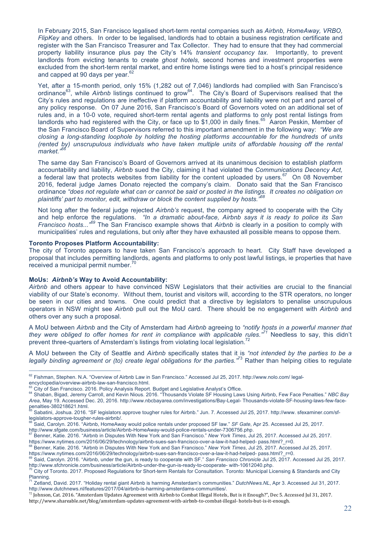In February 2015, San Francisco legalised short-term rental companies such as *Airbnb, HomeAway, VRBO, FlipKey* and others. In order to be legalised, landlords had to obtain a business registration certificate and register with the San Francisco Treasurer and Tax Collector. They had to ensure that they had commercial property liability insurance plus pay the City's 14% *transient occupancy tax.* Importantly, to prevent landlords from evicting tenants to create *ghost hotels,* second homes and investment properties were excluded from the short-term rental market, and entire home listings were tied to a host's principal residence and capped at 90 days per year.<sup>62</sup>

Yet, after a 15-month period, only 15% (1,282 out of 7,046) landlords had complied with San Francisco's ordinance<sup>63</sup>, while Airbnb listings continued to grow<sup>64</sup>. The City's Board of Supervisors realised that the City's rules and regulations are ineffective if platform accountability and liability were not part and parcel of any policy response. On 07 June 2016, San Francisco's Board of Governors voted on an additional set of rules and, in a 10-0 vote, required short-term rental agents and platforms to only post rental listings from landlords who had registered with the City, or face up to \$1,000 in daily fines.<sup>65</sup> Aaron Peskin, Member of the San Francisco Board of Supervisors referred to this important amendment in the following way: *"We are closing a long-standing loophole by holding the hosting platforms accountable for the hundreds of units (rented by) unscrupulous individuals who have taken multiple units of affordable housing off the rental market."<sup>66</sup>*

The same day San Francisco's Board of Governors arrived at its unanimous decision to establish platform accountability and liability, *Airbnb* sued the City, claiming it had violated the *Communications Decency Act,*  a federal law that protects websites from liability for the content uploaded by users.<sup>67</sup> On 08 November 2016, federal judge James Donato rejected the company's claim. Donato said that the San Francisco ordinance *"does not regulate what can or cannot be said or posted in the listings. It creates no obligation on plaintiffs' part to monitor, edit, withdraw or block the content supplied by hosts."<sup>68</sup>*

Not long after the federal judge rejected *Airbnb's* request, the company agreed to cooperate with the City and help enforce the regulations. *"In a dramatic about-face, Airbnb says it is ready to police its San Francisco hosts..."<sup>69</sup>* The San Francisco example shows that *Airbnb* is clearly in a position to comply with municipalities' rules and regulations, but only after they have exhausted all possible means to oppose them.

#### **Toronto Proposes Platform Accountability:**

The city of Toronto appears to have taken San Francisco's approach to heart. City Staff have developed a proposal that includes permitting landlords, agents and platforms to only post lawful listings, ie properties that have received a municipal permit number.<sup>70</sup>

#### **MoUs:** *Airbnb's* **Way to Avoid Accountability:**

*Airbnb* and others appear to have convinced NSW Legislators that their activities are crucial to the financial viability of our State's economy. Without them, tourist and visitors will, according to the STR operators, no longer be seen in our cities and towns. One could predict that a directive by legislators to penalise unscrupulous operators in NSW might see *Airbnb* pull out the MoU card. There should be no engagement with *Airbnb* and others over any such a proposal.

A MoU between *Airbnb* and the City of Amsterdam had *Airbnb* agreeing to *"notify hosts in a powerful manner that they were obliged to offer homes for rent in compliance with applicable rules."<sup>71</sup>* Needless to say, this didn't prevent three-quarters of Amsterdam's listings from violating local legislation.<sup>72</sup>

A MoU between the City of Seattle and *Airbnb* specifically states that it is *"not intended by the parties to be a legally binding agreement or (to) create legal obligations for the parties."*73 Rather than helping cities to regulate

http://www.shareable.net/blog/amsterdam-updates-agreement-with-airbnb-to-combat-illegal- hotels-but-is-it-enough.

 $62$  Fishman, Stephen. N.A. "Overview of Airbnb Law in San Francisco." Accessed Jul 25, 2017. http://www.nolo.com/ legal-encyclopedia/overview-airbnb-law-san-francisco.html.

<sup>&</sup>lt;sup>63</sup> City of San Francisco. 2016. Policy Analysis Report. Budget and Legislative Analyst's Office.<br><sup>64</sup> Shaban, Bigad, Jeremy Carroll, and Kevin Nious. 2016. "Thousands Violate SF Housing Laws Using Airbnb, Few Face Penalt

*Area*, May 19. Accessed Dec. 20, 2016. http://www.nbcbayarea.com/investigations/Bay-Legal- Thousands-violate-SF-housing-laws-few-face-

<sup>&</sup>lt;sup>85</sup> Sabatini, Joshua. 2016. "SF legislators approve tougher rules for Airbnb." Jun. 7. Accessed Jul 25, 2017. http://www. sfexaminer.com/sf-<br>legislators-approve-tougher-rules-airbnb/.

<sup>&</sup>lt;sup>66</sup> Said, Carolyn. 2016. "Airbnb, HomeAway would police rentals under proposed SF law." *SF Gate*, Apr 25. Accessed Jul 25, 2017.<br>http://www.sfaate.com/business/article/Airbnb-HomeAway-would-police-rentals-under-7306756.p

<sup>&</sup>lt;sup>67</sup> Benner, Katie. 2016. "Airbnb in Disputes With New York and San Francisco." New York Times, Jul 25, 2017. Accessed Jul 25, 2017.<br>https://www.nytimes.com/2016/06/29/technology/airbnb-sues-san-francisco-over-a-law-it-had

<sup>&</sup>lt;sup>8</sup> Benner, Katie. 2016. "Airbnb in Disputes With New York and San Francisco." *New York Times*, Jul 25, 2017. Accessed Jul 25, 2017.

https://www.nytimes.com/2016/06/29/technology/airbnb-sues-san-francisco-over-a-law-it-had-helped- pass.html?\_r=0.<br><sup>69</sup> Said, Carolyn. 2016. "Airbnb, under the gun, is ready to cooperate with SF." San Francisco Chronicle Ju

City of Toronto. 2017. Proposed Regulations for Short-term Rentals for Consultation. Toronto: Municipal Licensing & Standards and City Planning.

<sup>71</sup> Zetland, David. 2017. "Holiday rental giant Airbnb is harming Amsterdam's communities." *DutchNews.NL*, Apr 3. Accessed Jul 31, 2017. http://www.dutchnews.nl/features/2017/04/airbnb-is-harming-amsterdams-communities/.

 $^{72}$  Johnson, Cat. 2016. "Amsterdam Updates Agreement with Airbnb to Combat Illegal Hotels, But is it Enough?", Dec 5. Accessed Jul 31, 2017.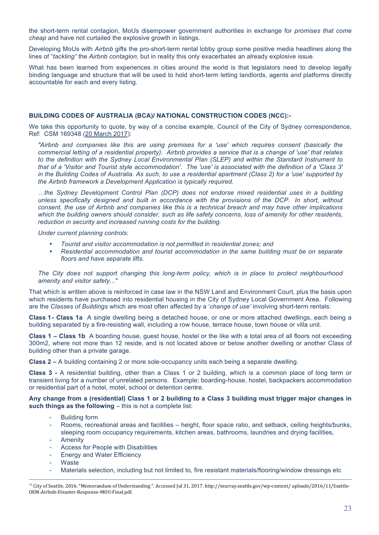the short-term rental contagion, MoUs disempower government authorities in exchange for *promises that come cheap* and have not curtailed the explosive growth in listings.

Developing MoUs with *Airbnb* gifts the pro-short-term rental lobby group some positive media headlines along the lines of "*tackling"* the *Airbnb contagion,* but in reality this only exacerbates an already explosive issue.

What has been learned from experiences in cities around the world is that legislators need to develop legally binding language and structure that will be used to hold short-term letting landlords, agents *and* platforms directly accountable for each and every listing.

#### **BUILDING CODES OF AUSTRALIA (BCA)/ NATIONAL CONSTRUCTION CODES (NCC):-**

We take this opportunity to quote, by way of a concise example, Council of the City of Sydney correspondence, Ref: CSM 169348 (20 March 2017):

*"Airbnb and companies like this are using premises for a 'use' which requires consent (basically the commercial letting of a residential property). Airbnb provides a service that is a change of 'use' that relates to the definition with the Sydney Local Environmental Plan (SLEP) and within the Standard Instrument to that of a 'Visitor and Tourist style accommodation'. The 'use' is associated with the definition of a 'Class 3' in the Building Codes of Australia. As such, to use a residential apartment (Class 2) for a 'use' supported by the Airbnb framework a Development Application is typically required.*

*…the Sydney Development Control Plan (DCP) does not endorse mixed residential uses in a building unless specifically designed and built in accordance with the provisions of the DCP. In short, without consent, the use of Airbnb and companies like this is a technical breach and may have other implications which the building owners should consider, such as life safety concerns, loss of amenity for other residents, reduction in security and increased running costs for the building.*

*Under current planning controls*:

- *Tourist and visitor accommodation is not permitted in residential zones; and*
- *Residential accommodation and tourist accommodation in the same building must be on separate floors and have separate lifts.*

*The City does not support changing this long-term policy, which is in place to protect neighbourhood amenity and visitor safety..."*

That which is written above is reinforced in case law in the NSW Land and Environment Court, plus the basis upon which residents have purchased into residential housing in the City of Sydney Local Government Area. Following are the *Classes of Buildings* which are most often affected by a '*change of use'* involving short-term rentals:

**Class 1- Class 1a** A single dwelling being a detached house, or one or more attached dwellings, each being a building separated by a fire-resisting wall, including a row house, terrace house, town house or villa unit.

**Class 1 – Class 1b** A boarding house, guest house, hostel or the like with a total area of all floors not exceeding 300m2, where not more than 12 reside, and is not located above or below another dwelling or another Class of building other than a private garage.

**Class 2 –** A building containing 2 or more sole-occupancy units each being a separate dwelling.

**Class 3 -** A residential building, other than a Class 1 or 2 building, which is a common place of long term or transient living for a number of unrelated persons. Example; boarding-house, hostel, backpackers accommodation or residential part of a hotel, motel, school or detention centre.

**Any change from a (residential) Class 1 or 2 building to a Class 3 building must trigger major changes in**  such things as the following – this is not a complete list:

- Building form
- Rooms, recreational areas and facilities height, floor space ratio, and setback, ceiling heights/bunks, sleeping room occupancy requirements, kitchen areas, bathrooms, laundries and drying facilities,
- **Amenity**
- Access for People with Disabilities
- Energy and Water Efficiency
- **Waste**

 $\overline{a}$ 

Materials selection, including but not limited to, fire resistant materials/flooring/window dressings etc

<sup>73</sup> City of Seattle. 2016. "Memorandum of Understanding ". Accessed Jul 31, 2017. http://murray.seattle.gov/wp-content/ uploads/2016/11/Seattle-OEM-Airbnb-Disaster-Response-MOU-Final.pdf.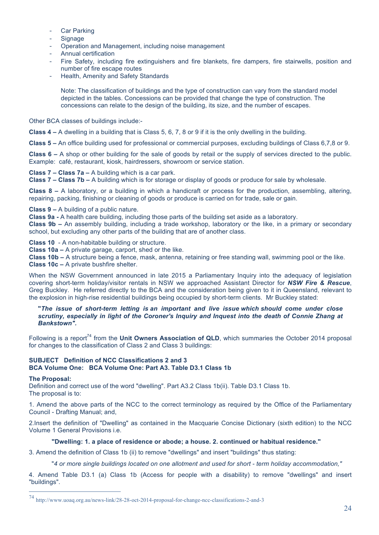- Car Parking
- **Signage**
- Operation and Management, including noise management
- Annual certification
- Fire Safety, including fire extinguishers and fire blankets, fire dampers, fire stairwells, position and number of fire escape routes
- Health, Amenity and Safety Standards

Note: The classification of buildings and the type of construction can vary from the standard model depicted in the tables. Concessions can be provided that change the type of construction. The concessions can relate to the design of the building, its size, and the number of escapes.

Other BCA classes of buildings include:-

**Class 4 –** A dwelling in a building that is Class 5, 6, 7, 8 or 9 if it is the only dwelling in the building.

**Class 5 –** An office building used for professional or commercial purposes, excluding buildings of Class 6,7,8 or 9.

**Class 6 –** A shop or other building for the sale of goods by retail or the supply of services directed to the public. Example: café, restaurant, kiosk, hairdressers, showroom or service station.

**Class 7 – Class 7a –** A building which is a car park.

**Class 7 – Class 7b –** A building which is for storage or display of goods or produce for sale by wholesale.

**Class 8 –** A laboratory, or a building in which a handicraft or process for the production, assembling, altering, repairing, packing, finishing or cleaning of goods or produce is carried on for trade, sale or gain.

**Class 9 –** A building of a public nature.

**Class 9a -** A health care building, including those parts of the building set aside as a laboratory.

**Class 9b –** An assembly building, including a trade workshop, laboratory or the like, in a primary or secondary school, but excluding any other parts of the building that are of another class.

**Class 10** - A non-habitable building or structure.

**Class 10a –** A private garage, carport, shed or the like.

**Class 10b –** A structure being a fence, mask, antenna, retaining or free standing wall, swimming pool or the like. **Class 10c –** A private bushfire shelter.

When the NSW Government announced in late 2015 a Parliamentary Inquiry into the adequacy of legislation covering short-term holiday/visitor rentals in NSW we approached Assistant Director for *NSW Fire & Rescue*, Greg Buckley. He referred directly to the BCA and the consideration being given to it in Queensland, relevant to the explosion in high-rise residential buildings being occupied by short-term clients. Mr Buckley stated:

**"***The issue of short-term letting is an important and live issue which should come under close scrutiny, especially in light of the Coroner's Inquiry and Inquest into the death of Connie Zhang at Bankstown".*

Following is a report<sup>74</sup> from the **Unit Owners Association of QLD**, which summaries the October 2014 proposal for changes to the classification of Class 2 and Class 3 buildings:

#### **SUBJECT Definition of NCC Classifications 2 and 3 BCA Volume One: BCA Volume One: Part A3. Table D3.1 Class 1b**

#### **The Proposal:**

Definition and correct use of the word "dwelling". Part A3.2 Class 1b(ii). Table D3.1 Class 1b. The proposal is to:

1. Amend the above parts of the NCC to the correct terminology as required by the Office of the Parliamentary Council - Drafting Manual; and,

2.Insert the definition of "Dwelling" as contained in the Macquarie Concise Dictionary (sixth edition) to the NCC Volume 1 General Provisions i.e.

# **"Dwelling: 1. a place of residence or abode; a house. 2. continued or habitual residence."**

3. Amend the definition of Class 1b (ii) to remove "dwellings" and insert "buildings" thus stating:

"*4 or more single buildings located on one allotment and used for short - term holiday accommodation,"*

4. Amend Table D3.1 (a) Class 1b (Access for people with a disability) to remove "dwellings" and insert "buildings".

 <sup>74</sup> http://www.uoaq.org.au/news-link/28-28-oct-2014-proposal-for-change-ncc-classifications-2-and-3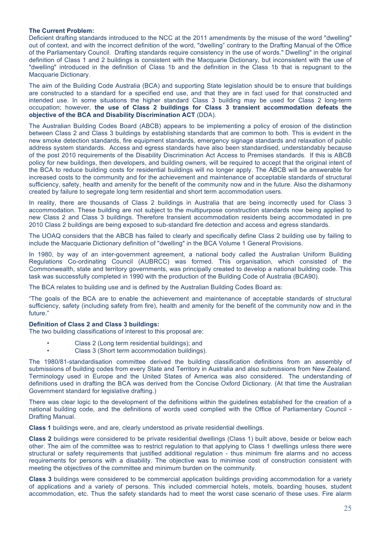#### **The Current Problem:**

Deficient drafting standards introduced to the NCC at the 2011 amendments by the misuse of the word "dwelling" out of context, and with the incorrect definition of the word, "dwelling" contrary to the Drafting Manual of the Office of the Parliamentary Council. Drafting standards require consistency in the use of words." Dwelling" in the original definition of Class 1 and 2 buildings is consistent with the Macquarie Dictionary, but inconsistent with the use of "dwelling" introduced in the definition of Class 1b and the definition in the Class 1b that is repugnant to the Macquarie Dictionary.

The aim of the Building Code Australia (BCA) and supporting State legislation should be to ensure that buildings are constructed to a standard for a specified end use, and that they are in fact used for that constructed and intended use. In some situations the higher standard Class 3 building may be used for Class 2 long-term occupation; however, **the use of Class 2 buildings for Class 3 transient accommodation defeats the objective of the BCA and Disability Discrimination ACT** (DDA).

The Australian Building Codes Board (ABCB) appears to be implementing a policy of erosion of the distinction between Class 2 and Class 3 buildings by establishing standards that are common to both. This is evident in the new smoke detection standards, fire equipment standards, emergency signage standards and relaxation of public address system standards. Access and egress standards have also been standardised, understandably because of the post 2010 requirements of the Disability Discrimination Act Access to Premises standards. If this is ABCB policy for new buildings, then developers, and building owners, will be required to accept that the original intent of the BCA to reduce building costs for residential buildings will no longer apply. The ABCB will be answerable for increased costs to the community and for the achievement and maintenance of acceptable standards of structural sufficiency, safety, health and amenity for the benefit of the community now and in the future. Also the disharmony created by failure to segregate long term residential and short term accommodation users.

In reality, there are thousands of Class 2 buildings in Australia that are being incorrectly used for Class 3 accommodation. These building are not subject to the multipurpose construction standards now being applied to new Class 2 and Class 3 buildings. Therefore transient accommodation residents being accommodated in pre 2010 Class 2 buildings are being exposed to sub-standard fire detection and access and egress standards.

The UOAQ considers that the ABCB has failed to clearly and specifically define Class 2 building use by failing to include the Macquarie Dictionary definition of "dwelling" in the BCA Volume 1 General Provisions.

In 1980, by way of an inter-government agreement, a national body called the Australian Uniform Building Regulations Co-ordinating Council (AUBRCC) was formed. This organisation, which consisted of the Commonwealth, state and territory governments, was principally created to develop a national building code. This task was successfully completed in 1990 with the production of the Building Code of Australia (BCA90).

The BCA relates to building use and is defined by the Australian Building Codes Board as:

"The goals of the BCA are to enable the achievement and maintenance of acceptable standards of structural sufficiency, safety (including safety from fire), health and amenity for the benefit of the community now and in the future."

#### **Definition of Class 2 and Class 3 buildings:**

The two building classifications of interest to this proposal are:

- Class 2 (Long term residential buildings); and
- Class 3 (Short term accommodation buildings).

The 1980/81-standardisation committee derived the building classification definitions from an assembly of submissions of building codes from every State and Territory in Australia and also submissions from New Zealand. Terminology used in Europe and the United States of America was also considered. The understanding of definitions used in drafting the BCA was derived from the Concise Oxford Dictionary. (At that time the Australian Government standard for legislative drafting.)

There was clear logic to the development of the definitions within the guidelines established for the creation of a national building code, and the definitions of words used complied with the Office of Parliamentary Council - Drafting Manual.

**Class 1** buildings were, and are, clearly understood as private residential dwellings.

**Class 2** buildings were considered to be private residential dwellings (Class 1) built above, beside or below each other. The aim of the committee was to restrict regulation to that applying to Class 1 dwellings unless there were structural or safety requirements that justified additional regulation - thus minimum fire alarms and no access requirements for persons with a disability. The objective was to minimise cost of construction consistent with meeting the objectives of the committee and minimum burden on the community.

**Class 3** buildings were considered to be commercial application buildings providing accommodation for a variety of applications and a variety of persons. This included commercial hotels, motels, boarding houses, student accommodation, etc. Thus the safety standards had to meet the worst case scenario of these uses. Fire alarm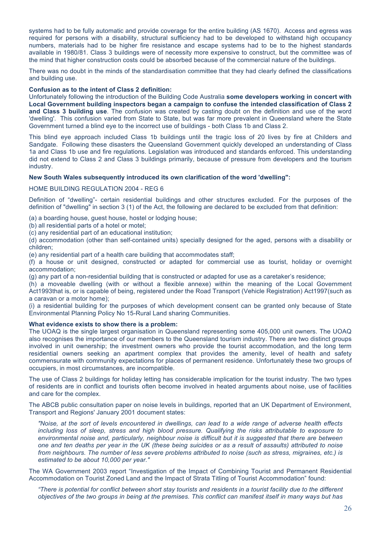systems had to be fully automatic and provide coverage for the entire building (AS 1670). Access and egress was required for persons with a disability, structural sufficiency had to be developed to withstand high occupancy numbers, materials had to be higher fire resistance and escape systems had to be to the highest standards available in 1980/81. Class 3 buildings were of necessity more expensive to construct, but the committee was of the mind that higher construction costs could be absorbed because of the commercial nature of the buildings.

There was no doubt in the minds of the standardisation committee that they had clearly defined the classifications and building use.

#### **Confusion as to the intent of Class 2 definition:**

Unfortunately following the introduction of the Building Code Australia **some developers working in concert with Local Government building inspectors began a campaign to confuse the intended classification of Class 2 and Class 3 building use**. The confusion was created by casting doubt on the definition and use of the word 'dwelling'. This confusion varied from State to State, but was far more prevalent in Queensland where the State Government turned a blind eye to the incorrect use of buildings - both Class 1b and Class 2.

This blind eye approach included Class 1b buildings until the tragic loss of 20 lives by fire at Childers and Sandgate. Following these disasters the Queensland Government quickly developed an understanding of Class 1a and Class 1b use and fire regulations. Legislation was introduced and standards enforced. This understanding did not extend to Class 2 and Class 3 buildings primarily, because of pressure from developers and the tourism industry.

#### **New South Wales subsequently introduced its own clarification of the word 'dwelling":**

#### HOME BUILDING REGULATION 2004 - REG 6

Definition of "dwelling"- certain residential buildings and other structures excluded. For the purposes of the definition of "dwelling" in section 3 (1) of the Act, the following are declared to be excluded from that definition:

(a) a boarding house, guest house, hostel or lodging house;

(b) all residential parts of a hotel or motel;

(c) any residential part of an educational institution;

(d) accommodation (other than self-contained units) specially designed for the aged, persons with a disability or children;

(e) any residential part of a health care building that accommodates staff;

(f) a house or unit designed, constructed or adapted for commercial use as tourist, holiday or overnight accommodation;

(g) any part of a non-residential building that is constructed or adapted for use as a caretaker's residence;

(h) a moveable dwelling (with or without a flexible annexe) within the meaning of the Local Government Act1993that is, or is capable of being, registered under the Road Transport (Vehicle Registration) Act1997(such as a caravan or a motor home);

(i) a residential building for the purposes of which development consent can be granted only because of State Environmental Planning Policy No 15-Rural Land sharing Communities.

#### **What evidence exists to show there is a problem:**

The UOAQ is the single largest organisation in Queensland representing some 405,000 unit owners. The UOAQ also recognises the importance of our members to the Queensland tourism industry. There are two distinct groups involved in unit ownership; the investment owners who provide the tourist accommodation, and the long term residential owners seeking an apartment complex that provides the amenity, level of health and safety commensurate with community expectations for places of permanent residence. Unfortunately these two groups of occupiers, in most circumstances, are incompatible.

The use of Class 2 buildings for holiday letting has considerable implication for the tourist industry. The two types of residents are in conflict and tourists often become involved in heated arguments about noise, use of facilities and care for the complex.

The ABCB public consultation paper on noise levels in buildings, reported that an UK Department of Environment, Transport and Regions' January 2001 document states:

*"Noise, at the sort of levels encountered in dwellings, can lead to a wide range of adverse health effects including loss of sleep, stress and high blood pressure. Qualifying the risks attributable to exposure to environmental noise and, particularly, neighbour noise is difficult but it is suggested that there are between one and ten deaths per year in the UK (these being suicides or as a result of assaults) attributed to noise from neighbours. The number of less severe problems attributed to noise (such as stress, migraines, etc.) is estimated to be about 10,000 per year."*

The WA Government 2003 report "Investigation of the Impact of Combining Tourist and Permanent Residential Accommodation on Tourist Zoned Land and the Impact of Strata Titling of Tourist Accommodation" found:

*"There is potential for conflict between short stay tourists and residents in a tourist facility due to the different objectives of the two groups in being at the premises. This conflict can manifest itself in many ways but has*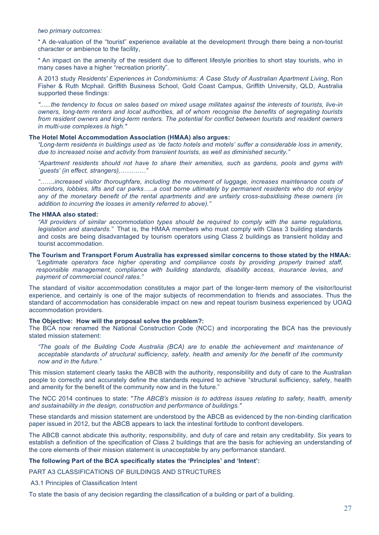#### *two primary outcomes:*

\* A de-valuation of the "tourist" experience available at the development through there being a non-tourist character or ambience to the facility,

\* An impact on the amenity of the resident due to different lifestyle priorities to short stay tourists, who in many cases have a higher "recreation priority".

A 2013 study *Residents' Experiences in Condominiums: A Case Study of Australian Apartment Living*, Ron Fisher & Ruth Mcphail. Griffith Business School, Gold Coast Campus, Griffith University, QLD, Australia supported these findings:

*"......the tendency to focus on sales based on mixed usage militates against the interests of tourists, live-in owners, long-term renters and local authorities, all of whom recognise the benefits of segregating tourists from resident owners and long-term renters. The potential for conflict between tourists and resident owners in multi-use complexes is high."*

#### **The Hotel Motel Accommodation Association (HMAA) also argues:**

*"Long-term residents in buildings used as 'de facto hotels and motels' suffer a considerable loss in amenity, due to increased noise and activity from transient tourists, as well as diminished security."*

*"Apartment residents should not have to share their amenities, such as gardens, pools and gyms with `guests' (in effect, strangers),…………"*

*"…….increased visitor thoroughfare, including the movement of luggage, increases maintenance costs of corridors, lobbies, lifts and car parks…..a cost borne ultimately by permanent residents who do not enjoy any of the monetary benefit of the rental apartments and are unfairly cross-subsidising these owners (in addition to incurring the losses in amenity referred to above)."*

#### **The HMAA also stated:**

*"All providers of similar accommodation types should be required to comply with the same regulations, legislation and standards."* That is, the HMAA members who must comply with Class 3 building standards and costs are being disadvantaged by tourism operators using Class 2 buildings as transient holiday and tourist accommodation.

#### **The Tourism and Transport Forum Australia has expressed similar concerns to those stated by the HMAA:**

*"Legitimate operators face higher operating and compliance costs by providing properly trained staff, responsible management, compliance with building standards, disability access, insurance levies, and payment of commercial council rates."*

The standard of visitor accommodation constitutes a major part of the longer-term memory of the visitor/tourist experience, and certainly is one of the major subjects of recommendation to friends and associates. Thus the standard of accommodation has considerable impact on new and repeat tourism business experienced by UOAQ accommodation providers.

#### **The Objective: How will the proposal solve the problem?:**

The BCA now renamed the National Construction Code (NCC) and incorporating the BCA has the previously stated mission statement:

*"The goals of the Building Code Australia (BCA) are to enable the achievement and maintenance of acceptable standards of structural sufficiency, safety, health and amenity for the benefit of the community now and in the future."*

This mission statement clearly tasks the ABCB with the authority, responsibility and duty of care to the Australian people to correctly and accurately define the standards required to achieve "structural sufficiency, safety, health and amenity for the benefit of the community now and in the future."

The NCC 2014 continues to state: "*The ABCB's mission is to address issues relating to safety, health, amenity and sustainability in the design, construction and performance of buildings."*

These standards and mission statement are understood by the ABCB as evidenced by the non-binding clarification paper issued in 2012, but the ABCB appears to lack the intestinal fortitude to confront developers.

The ABCB cannot abdicate this authority, responsibility, and duty of care and retain any creditability. Six years to establish a definition of the specification of Class 2 buildings that are the basis for achieving an understanding of the core elements of their mission statement is unacceptable by any performance standard.

#### **The following Part of the BCA specifically states the 'Principles' and 'Intent':**

PART A3 CLASSIFICATIONS OF BUILDINGS AND STRUCTURES

A3.1 Principles of Classification Intent

To state the basis of any decision regarding the classification of a building or part of a building.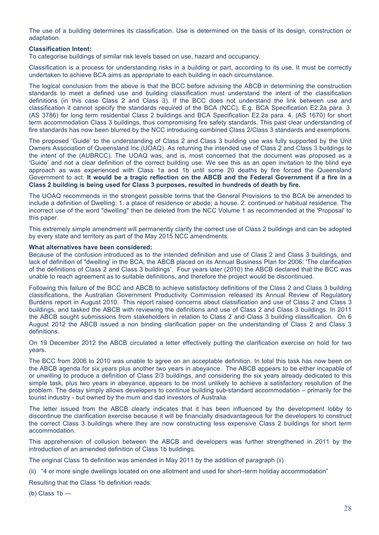The use of a building determines its classification. Use is determined on the basis of its design, construction or adaptation.

#### **Classification Intent:**

To categorise buildings of similar risk levels based on use, hazard and occupancy.

Classification is a process for understanding risks in a building or part, according to its use. It must be correctly undertaken to achieve BCA aims as appropriate to each building in each circumstance.

The logical conclusion from the above is that the BCC before advising the ABCB in determining the construction standards to meet a defined use and building classification must understand the intent of the classification definitions (in this case Class 2 and Class 3). If the BCC does not understand the link between use and classification it cannot specify the standards required of the BCA (NCC). E.g. BCA Specification E2.2a para. 3. (AS 3786) for long term residential Class 2 buildings and BCA Specification E2.2a para. 4. (AS 1670) for short term accommodation Class 3 buildings, thus compromising fire safety standards. This past clear understanding of fire standards has now been blurred by the NCC introducing combined Class 2/Class 3 standards and exemptions.

The proposed 'Guide' to the understanding of Class 2 and Class 3 building use was fully supported by the Unit Owners Association of Queensland Inc.(UOAQ). As returning the intended use of Class 2 and Class 3 buildings to the intent of the (AUBRCC). The UOAQ was, and is, most concerned that the document was proposed as a 'Guide' and not a clear definition of the correct building use. We see this as an open invitation to the blind eye approach as was experienced with Class 1a and 1b until some 20 deaths by fire forced the Queensland Government to act. **It would be a tragic reflection on the ABCB and the Federal Government if a fire in a Class 2 building is being used for Class 3 purposes, resulted in hundreds of death by fire.**

The UOAQ recommends in the strongest possible terms that the General Provisions to the BCA be amended to include a definition of Dwelling: 1. a place of residence or abode; a house. 2. continued or habitual residence. The incorrect use of the word "dwelling" then be deleted from the NCC Volume 1 as recommended at the 'Proposal' to this paper.

This extremely simple amendment will permanently clarify the correct use of Class 2 buildings and can be adopted by every state and territory as part of the May 2015 NCC amendments.

#### **What alternatives have been considered:**

Because of the confusion introduced as to the intended definition and use of Class 2 and Class 3 buildings, and lack of definition of "dwelling' in the BCA, the ABCB placed on its Annual Business Plan for 2006: 'The clarification of the definitions of Class 2 and Class 3 buildings'. Four years later (2010) the ABCB declared that the BCC was unable to reach agreement as to suitable definitions, and therefore the project would be discontinued.

Following this failure of the BCC and ABCB to achieve satisfactory definitions of the Class 2 and Class 3 building classifications, the Australian Government Productivity Commission released its Annual Review of Regulatory Burdens report in August 2010. This report raised concerns about classification and use of Class 2 and Class 3 buildings, and tasked the ABCB with reviewing the definitions and use of Class 2 and Class 3 buildings. In 2011 the ABCB sought submissions from stakeholders in relation to Class 2 and Class 3 building classification. On 6 August 2012 the ABCB issued a non binding clarification paper on the understanding of Class 2 and Class 3 definitions.

On 19 December 2012 the ABCB circulated a letter effectively putting the clarification exercise on hold for two years.

The BCC from 2006 to 2010 was unable to agree on an acceptable definition. In total this task has now been on the ABCB agenda for six years plus another two years in abeyance. The ABCB appears to be either incapable of or unwilling to produce a definition of Class 2/3 buildings, and considering the six years already dedicated to this simple task, plus two years in abeyance, appears to be most unlikely to achieve a satisfactory resolution of the problem. The delay simply allows developers to continue building sub-standard accommodation – primarily for the tourist industry - but owned by the mum and dad investors of Australia.

The letter issued from the ABCB clearly indicates that it has been influenced by the development lobby to discontinue the clarification exercise because it will be financially disadvantageous for the developers to construct the correct Class 3 buildings where they are now constructing less expensive Class 2 buildings for short term accommodation.

This apprehension of collusion between the ABCB and developers was further strengthened in 2011 by the introduction of an amended definition of Class 1b buildings.

The original Class 1b definition was amended in May 2011 by the addition of paragraph (ii)

(ii) "4 or more single dwellings located on one allotment and used for short–term holiday accommodation"

Resulting that the Class 1b definition reads:

(b) Class 1b —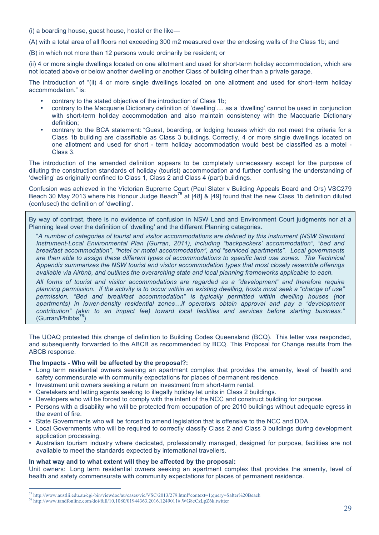(i) a boarding house, guest house, hostel or the like—

(A) with a total area of all floors not exceeding 300 m2 measured over the enclosing walls of the Class 1b; and

(B) in which not more than 12 persons would ordinarily be resident; or

(ii) 4 or more single dwellings located on one allotment and used for short-term holiday accommodation, which are not located above or below another dwelling or another Class of building other than a private garage.

The introduction of "(ii) 4 or more single dwellings located on one allotment and used for short–term holiday accommodation." is:

- contrary to the stated objective of the introduction of Class 1b;
- contrary to the Macquarie Dictionary definition of 'dwelling'.... as a 'dwelling' cannot be used in conjunction with short-term holiday accommodation and also maintain consistency with the Macquarie Dictionary definition;
- contrary to the BCA statement: "Guest, boarding, or lodging houses which do not meet the criteria for a Class 1b building are classifiable as Class 3 buildings. Correctly, 4 or more single dwellings located on one allotment and used for short - term holiday accommodation would best be classified as a motel - Class 3.

The introduction of the amended definition appears to be completely unnecessary except for the purpose of diluting the construction standards of holiday (tourist) accommodation and further confusing the understanding of 'dwelling' as originally confined to Class 1, Class 2 and Class 4 (part) buildings.

Confusion was achieved in the Victorian Supreme Court (Paul Slater v Building Appeals Board and Ors) VSC279 Beach 30 May 2013 where his Honour Judge Beach<sup>75</sup> at [48] & [49] found that the new Class 1b definition diluted (confused) the definition of 'dwelling'.

By way of contrast, there is no evidence of confusion in NSW Land and Environment Court judgments nor at a Planning level over the definition of 'dwelling' and the different Planning categories.

"*A number of categories of tourist and visitor accommodations are defined by this instrument (NSW Standard Instrument-Local Environmental Plan (Gurran, 2011), including "backpackers' accommodation", "bed and breakfast accommodation", "hotel or motel accommodation", and "serviced apartments". Local governments are then able to assign these different types of accommodations to specific land use zones. The Technical Appendix summarizes the NSW tourist and visitor accommodation types that most closely resemble offerings available via Airbnb, and outlines the overarching state and local planning frameworks applicable to each.*

*All forms of tourist and visitor accommodations are regarded as a "development" and therefore require planning permission. If the activity is to occur within an existing dwelling, hosts must seek a "change of use" permission. "Bed and breakfast accommodation" is typically permitted within dwelling houses (not apartments) in lower-density residential zones…if operators obtain approval and pay a "development contribution" (akin to an impact fee) toward local facilities and services before starting business."*   $(Gurran/Philobs^{76})$ 

The UOAQ protested this change of definition to Building Codes Queensland (BCQ). This letter was responded, and subsequently forwarded to the ABCB as recommended by BCQ. This Proposal for Change results from the ABCB response.

#### **The Impacts - Who will be affected by the proposal?:**

- Long term residential owners seeking an apartment complex that provides the amenity, level of health and safety commensurate with community expectations for places of permanent residence.
- Investment unit owners seeking a return on investment from short-term rental.
- Caretakers and letting agents seeking to illegally holiday let units in Class 2 buildings.
- Developers who will be forced to comply with the intent of the NCC and construct building for purpose.
- Persons with a disability who will be protected from occupation of pre 2010 buildings without adequate egress in the event of fire.
- State Governments who will be forced to amend legislation that is offensive to the NCC and DDA.
- Local Governments who will be required to correctly classify Class 2 and Class 3 buildings during development application processing.
- Australian tourism industry where dedicated, professionally managed, designed for purpose, facilities are not available to meet the standards expected by international travellers.

#### **In what way and to what extent will they be affected by the proposal:**

Unit owners: Long term residential owners seeking an apartment complex that provides the amenity, level of health and safety commensurate with community expectations for places of permanent residence.

 <sup>75</sup> http://www.austlii.edu.au/cgi-bin/viewdoc/au/cases/vic/VSC/2013/279.html?context=1;query=Salter%20Beach

<sup>76</sup> http://www.tandfonline.com/doi/full/10.1080/01944363.2016.1249011#.WG8eCzLpZ6k.twitter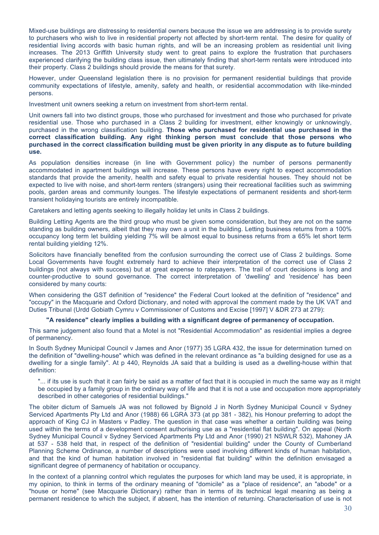Mixed-use buildings are distressing to residential owners because the issue we are addressing is to provide surety to purchasers who wish to live in residential property not affected by short-term rental. The desire for quality of residential living accords with basic human rights, and will be an increasing problem as residential unit living increases. The 2013 Griffith University study went to great pains to explore the frustration that purchasers experienced clarifying the building class issue, then ultimately finding that short-term rentals were introduced into their property. Class 2 buildings should provide the means for that surety.

However, under Queensland legislation there is no provision for permanent residential buildings that provide community expectations of lifestyle, amenity, safety and health, or residential accommodation with like-minded persons.

Investment unit owners seeking a return on investment from short-term rental.

Unit owners fall into two distinct groups, those who purchased for investment and those who purchased for private residential use. Those who purchased in a Class 2 building for investment, either knowingly or unknowingly, purchased in the wrong classification building. **Those who purchased for residential use purchased in the correct classification building. Any right thinking person must conclude that those persons who purchased in the correct classification building must be given priority in any dispute as to future building use.** 

As population densities increase (in line with Government policy) the number of persons permanently accommodated in apartment buildings will increase. These persons have every right to expect accommodation standards that provide the amenity, health and safety equal to private residential houses. They should not be expected to live with noise, and short-term renters (strangers) using their recreational facilities such as swimming pools, garden areas and community lounges. The lifestyle expectations of permanent residents and short-term transient holidaying tourists are entirely incompatible.

Caretakers and letting agents seeking to illegally holiday let units in Class 2 buildings.

Building Letting Agents are the third group who must be given some consideration, but they are not on the same standing as building owners, albeit that they may own a unit in the building. Letting business returns from a 100% occupancy long term let building yielding 7% will be almost equal to business returns from a 65% let short term rental building yielding 12%.

Solicitors have financially benefited from the confusion surrounding the correct use of Class 2 buildings. Some Local Governments have fought extremely hard to achieve their interpretation of the correct use of Class 2 buildings (not always with success) but at great expense to ratepayers. The trail of court decisions is long and counter-productive to sound governance. The correct interpretation of 'dwelling' and 'residence' has been considered by many courts:

When considering the GST definition of "residence" the Federal Court looked at the definition of "residence" and "occupy" in the Macquarie and Oxford Dictionary, and noted with approval the comment made by the UK VAT and Duties Tribunal (Urdd Gobiath Cymru v Commissioner of Customs and Excise [1997] V &DR 273 at 279):

#### **"A residence" clearly implies a building with a significant degree of permanency of occupation.**

This same judgement also found that a Motel is not "Residential Accommodation" as residential implies a degree of permanency.

In South Sydney Municipal Council v James and Anor (1977) 35 LGRA 432, the issue for determination turned on the definition of "dwelling-house" which was defined in the relevant ordinance as "a building designed for use as a dwelling for a single family". At p 440, Reynolds JA said that a building is used as a dwelling-house within that definition:

"... if its use is such that it can fairly be said as a matter of fact that it is occupied in much the same way as it might be occupied by a family group in the ordinary way of life and that it is not a use and occupation more appropriately described in other categories of residential buildings."

The obiter dictum of Samuels JA was not followed by Bignold J in North Sydney Municipal Council v Sydney Serviced Apartments Pty Ltd and Anor (1988) 66 LGRA 373 (at pp 381 - 382), his Honour preferring to adopt the approach of King CJ in Masters v Padley. The question in that case was whether a certain building was being used within the terms of a development consent authorising use as a "residential flat building". On appeal (North Sydney Municipal Council v Sydney Serviced Apartments Pty Ltd and Anor (1990) 21 NSWLR 532), Mahoney JA at 537 - 538 held that, in respect of the definition of "residential building" under the County of Cumberland Planning Scheme Ordinance, a number of descriptions were used involving different kinds of human habitation, and that the kind of human habitation involved in "residential flat building" within the definition envisaged a significant degree of permanency of habitation or occupancy.

In the context of a planning control which regulates the purposes for which land may be used, it is appropriate, in my opinion, to think in terms of the ordinary meaning of "domicile" as a "place of residence", an "abode" or a "house or home" (see Macquarie Dictionary) rather than in terms of its technical legal meaning as being a permanent residence to which the subject, if absent, has the intention of returning. Characterisation of use is not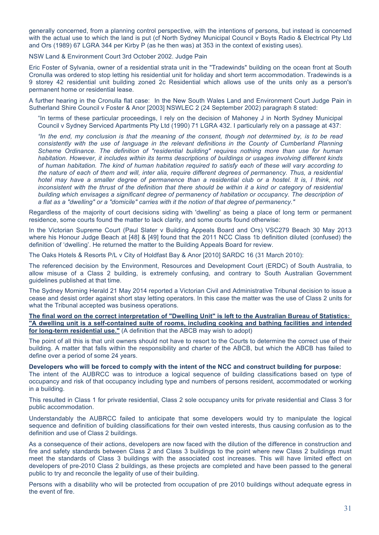generally concerned, from a planning control perspective, with the intentions of persons, but instead is concerned with the actual use to which the land is put (cf North Sydney Municipal Council v Boyts Radio & Electrical Pty Ltd and Ors (1989) 67 LGRA 344 per Kirby P (as he then was) at 353 in the context of existing uses).

NSW Land & Environment Court 3rd October 2002. Judge Pain

Eric Foster of Sylvania, owner of a residential strata unit in the "Tradewinds" building on the ocean front at South Cronulla was ordered to stop letting his residential unit for holiday and short term accommodation. Tradewinds is a 9 storey 42 residential unit building zoned 2c Residential which allows use of the units only as a person's permanent home or residential lease.

A further hearing in the Cronulla flat case: In the New South Wales Land and Environment Court Judge Pain in Sutherland Shire Council v Foster & Anor [2003] NSWLEC 2 (24 September 2002) paragraph 8 stated:

"In terms of these particular proceedings, I rely on the decision of Mahoney J in North Sydney Municipal Council v Sydney Serviced Apartments Pty Ltd (1990) 71 LGRA 432. I particularly rely on a passage at 437:

*"In the end, my conclusion is that the meaning of the consent, though not determined by, is to be read consistently with the use of language in the relevant definitions in the County of Cumberland Planning Scheme Ordinance. The definition of "residential building" requires nothing more than use for human habitation. However, it includes within its terms descriptions of buildings or usages involving different kinds of human habitation. The kind of human habitation required to satisfy each of these will vary according to the nature of each of them and will, inter alia, require different degrees of permanency. Thus, a residential*  hotel may have a smaller degree of permanence than a residential club or a hostel. It is, I think, not inconsistent with the thrust of the definition that there should be within it a kind or category of residential *building which envisages a significant degree of permanency of habitation or occupancy. The description of a flat as a "dwelling" or a "domicile" carries with it the notion of that degree of permanency."*

Regardless of the majority of court decisions siding with 'dwelling' as being a place of long term or permanent residence, some courts found the matter to lack clarity, and some courts found otherwise:

In the Victorian Supreme Court (Paul Slater v Building Appeals Board and Ors) VSC279 Beach 30 May 2013 where his Honour Judge Beach at [48] & [49] found that the 2011 NCC Class 1b definition diluted (confused) the definition of 'dwelling'. He returned the matter to the Building Appeals Board for review.

The Oaks Hotels & Resorts P/L v City of Holdfast Bay & Anor [2010] SARDC 16 (31 March 2010):

The referenced decision by the Environment, Resources and Development Court (ERDC) of South Australia, to allow misuse of a Class 2 building, is extremely confusing, and contrary to South Australian Government guidelines published at that time.

The Sydney Morning Herald 21 May 2014 reported a Victorian Civil and Administrative Tribunal decision to issue a cease and desist order against short stay letting operators. In this case the matter was the use of Class 2 units for what the Tribunal accepted was business operations.

**The final word on the correct interpretation of "Dwelling Unit" is left to the Australian Bureau of Statistics: "A dwelling unit is a self-contained suite of rooms, including cooking and bathing facilities and intended for long-term residential use."** (A definition that the ABCB may wish to adopt)

The point of all this is that unit owners should not have to resort to the Courts to determine the correct use of their building. A matter that falls within the responsibility and charter of the ABCB, but which the ABCB has failed to define over a period of some 24 years.

**Developers who will be forced to comply with the intent of the NCC and construct building for purpose:**

The intent of the AUBRCC was to introduce a logical sequence of building classifications based on type of occupancy and risk of that occupancy including type and numbers of persons resident, accommodated or working in a building.

This resulted in Class 1 for private residential, Class 2 sole occupancy units for private residential and Class 3 for public accommodation.

Understandably the AUBRCC failed to anticipate that some developers would try to manipulate the logical sequence and definition of building classifications for their own vested interests, thus causing confusion as to the definition and use of Class 2 buildings.

As a consequence of their actions, developers are now faced with the dilution of the difference in construction and fire and safety standards between Class 2 and Class 3 buildings to the point where new Class 2 buildings must meet the standards of Class 3 buildings with the associated cost increases. This will have limited effect on developers of pre-2010 Class 2 buildings, as these projects are completed and have been passed to the general public to try and reconcile the legality of use of their building.

Persons with a disability who will be protected from occupation of pre 2010 buildings without adequate egress in the event of fire.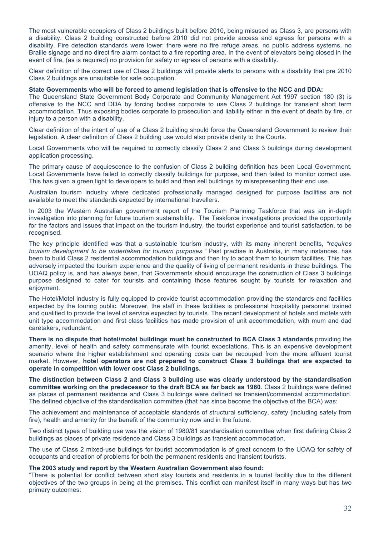The most vulnerable occupiers of Class 2 buildings built before 2010, being misused as Class 3, are persons with a disability. Class 2 building constructed before 2010 did not provide access and egress for persons with a disability. Fire detection standards were lower; there were no fire refuge areas, no public address systems, no Braille signage and no direct fire alarm contact to a fire reporting area. In the event of elevators being closed in the event of fire, (as is required) no provision for safety or egress of persons with a disability.

Clear definition of the correct use of Class 2 buildings will provide alerts to persons with a disability that pre 2010 Class 2 buildings are unsuitable for safe occupation.

#### **State Governments who will be forced to amend legislation that is offensive to the NCC and DDA:**

The Queensland State Government Body Corporate and Community Management Act 1997 section 180 (3) is offensive to the NCC and DDA by forcing bodies corporate to use Class 2 buildings for transient short term accommodation. Thus exposing bodies corporate to prosecution and liability either in the event of death by fire, or injury to a person with a disability.

Clear definition of the intent of use of a Class 2 building should force the Queensland Government to review their legislation. A clear definition of Class 2 building use would also provide clarity to the Courts.

Local Governments who will be required to correctly classify Class 2 and Class 3 buildings during development application processing.

The primary cause of acquiescence to the confusion of Class 2 building definition has been Local Government. Local Governments have failed to correctly classify buildings for purpose, and then failed to monitor correct use. This has given a green light to developers to build and then sell buildings by misrepresenting their end use.

Australian tourism industry where dedicated professionally managed designed for purpose facilities are not available to meet the standards expected by international travellers.

In 2003 the Western Australian government report of the Tourism Planning Taskforce that was an in-depth investigation into planning for future tourism sustainability. The Taskforce investigations provided the opportunity for the factors and issues that impact on the tourism industry, the tourist experience and tourist satisfaction, to be recognised.

The key principle identified was that a sustainable tourism industry, with its many inherent benefits, *"requires tourism development to be undertaken for tourism purposes."* Past practise in Australia, in many instances, has been to build Class 2 residential accommodation buildings and then try to adapt them to tourism facilities. This has adversely impacted the tourism experience and the quality of living of permanent residents in these buildings. The UOAQ policy is, and has always been, that Governments should encourage the construction of Class 3 buildings purpose designed to cater for tourists and containing those features sought by tourists for relaxation and enjoyment.

The Hotel/Motel industry is fully equipped to provide tourist accommodation providing the standards and facilities expected by the touring public. Moreover, the staff in these facilities is professional hospitality personnel trained and qualified to provide the level of service expected by tourists. The recent development of hotels and motels with unit type accommodation and first class facilities has made provision of unit accommodation, with mum and dad caretakers, redundant.

**There is no dispute that hotel/motel buildings must be constructed to BCA Class 3 standards** providing the amenity, level of health and safety commensurate with tourist expectations. This is an expensive development scenario where the higher establishment and operating costs can be recouped from the more affluent tourist market. However, **hotel operators are not prepared to construct Class 3 buildings that are expected to operate in competition with lower cost Class 2 buildings.**

**The distinction between Class 2 and Class 3 building use was clearly understood by the standardisation committee working on the predecessor to the draft BCA as far back as 1980**. Class 2 buildings were defined as places of permanent residence and Class 3 buildings were defined as transient/commercial accommodation. The defined objective of the standardisation committee (that has since become the objective of the BCA) was:

The achievement and maintenance of acceptable standards of structural sufficiency, safety (including safety from fire), health and amenity for the benefit of the community now and in the future.

Two distinct types of building use was the vision of 1980/81 standardisation committee when first defining Class 2 buildings as places of private residence and Class 3 buildings as transient accommodation.

The use of Class 2 mixed-use buildings for tourist accommodation is of great concern to the UOAQ for safety of occupants and creation of problems for both the permanent residents and transient tourists.

#### **The 2003 study and report by the Western Australian Government also found:**

"There is potential for conflict between short stay tourists and residents in a tourist facility due to the different objectives of the two groups in being at the premises. This conflict can manifest itself in many ways but has two primary outcomes: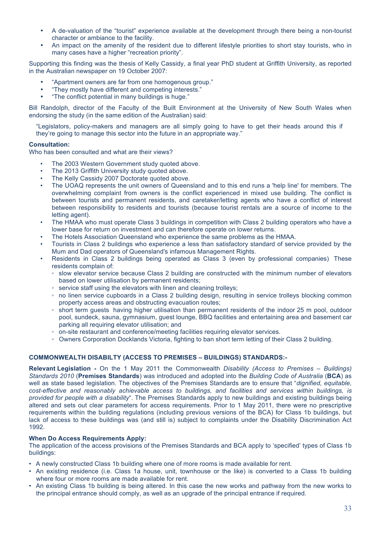- A de-valuation of the "tourist" experience available at the development through there being a non-tourist character or ambiance to the facility.
- An impact on the amenity of the resident due to different lifestyle priorities to short stay tourists, who in many cases have a higher "recreation priority".

Supporting this finding was the thesis of Kelly Cassidy, a final year PhD student at Griffith University, as reported in the Australian newspaper on 19 October 2007:

- "Apartment owners are far from one homogenous group."
- "They mostly have different and competing interests."
- "The conflict potential in many buildings is huge."

Bill Randolph, director of the Faculty of the Built Environment at the University of New South Wales when endorsing the study (in the same edition of the Australian) said:

"Legislators, policy-makers and managers are all simply going to have to get their heads around this if they're going to manage this sector into the future in an appropriate way."

#### **Consultation:**

Who has been consulted and what are their views?

- The 2003 Western Government study quoted above.
- The 2013 Griffith University study quoted above.
- The Kelly Cassidy 2007 Doctorate quoted above.
- The UOAQ represents the unit owners of Queensland and to this end runs a 'help line' for members. The overwhelming complaint from owners is the conflict experienced in mixed use building. The conflict is between tourists and permanent residents, and caretaker/letting agents who have a conflict of interest between responsibility to residents and tourists (because tourist rentals are a source of income to the letting agent).
- The HMAA who must operate Class 3 buildings in competition with Class 2 building operators who have a lower base for return on investment and can therefore operate on lower returns.
- The Hotels Association Queensland who experience the same problems as the HMAA.
- Tourists in Class 2 buildings who experience a less than satisfactory standard of service provided by the Mum and Dad operators of Queensland's infamous Management Rights.
- Residents in Class 2 buildings being operated as Class 3 (even by professional companies) These residents complain of:
	- slow elevator service because Class 2 building are constructed with the minimum number of elevators based on lower utilisation by permanent residents;
	- service staff using the elevators with linen and cleaning trolleys;
	- no linen service cupboards in a Class 2 building design, resulting in service trolleys blocking common property access areas and obstructing evacuation routes;
	- short term guests having higher utilisation than permanent residents of the indoor 25 m pool, outdoor pool, sundeck, sauna, gymnasium, guest lounge, BBQ facilities and entertaining area and basement car parking all requiring elevator utilisation; and
	- on-site restaurant and conference/meeting facilities requiring elevator services.
	- Owners Corporation Docklands Victoria, fighting to ban short term letting of their Class 2 building.

#### **COMMONWEALTH DISABILTY (ACCESS TO PREMISES – BUILDINGS) STANDARDS:-**

**Relevant Legislation -** On the 1 May 2011 the Commonwealth *Disability (Access to Premises – Buildings) Standards 2010* (**Premises Standards**) was introduced and adopted into the *Building Code of Australia* (**BCA**) as well as state based legislation. The objectives of the Premises Standards are to ensure that "*dignified, equitable, cost-effective and reasonably achievable access to buildings, and facilities and services within buildings, is provided for people with a disability*". The Premises Standards apply to new buildings and existing buildings being altered and sets out clear parameters for access requirements. Prior to 1 May 2011, there were no prescriptive requirements within the building regulations (including previous versions of the BCA) for Class 1b buildings, but lack of access to these buildings was (and still is) subject to complaints under the Disability Discrimination Act 1992.

#### **When Do Access Requirements Apply:**

The application of the access provisions of the Premises Standards and BCA apply to 'specified' types of Class 1b buildings:

- A newly constructed Class 1b building where one of more rooms is made available for rent.
- An existing residence (i.e. Class 1a house, unit, townhouse or the like) is converted to a Class 1b building where four or more rooms are made available for rent.
- An existing Class 1b building is being altered. In this case the new works and pathway from the new works to the principal entrance should comply, as well as an upgrade of the principal entrance if required.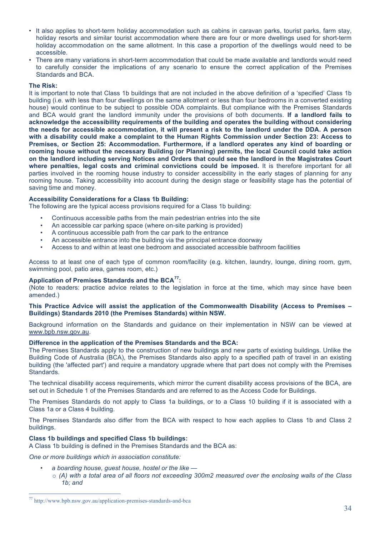- It also applies to short-term holiday accommodation such as cabins in caravan parks, tourist parks, farm stay, holiday resorts and similar tourist accommodation where there are four or more dwellings used for short-term holiday accommodation on the same allotment. In this case a proportion of the dwellings would need to be accessible.
- There are many variations in short-term accommodation that could be made available and landlords would need to carefully consider the implications of any scenario to ensure the correct application of the Premises Standards and BCA.

#### **The Risk:**

It is important to note that Class 1b buildings that are not included in the above definition of a 'specified' Class 1b building (i.e. with less than four dwellings on the same allotment or less than four bedrooms in a converted existing house) would continue to be subject to possible ODA complaints. But compliance with the Premises Standards and BCA would grant the landlord immunity under the provisions of both documents. **If a landlord fails to acknowledge the accessibility requirements of the building and operates the building without considering the needs for accessible accommodation, it will present a risk to the landlord under the DDA. A person with a disability could make a complaint to the Human Rights Commission under Section 23: Access to Premises, or Section 25: Accommodation. Furthermore, if a landlord operates any kind of boarding or rooming house without the necessary Building (or Planning) permits, the local Council could take action on the landlord including serving Notices and Orders that could see the landlord in the Magistrates Court where penalties, legal costs and criminal convictions could be imposed.** It is therefore important for all parties involved in the rooming house industry to consider accessibility in the early stages of planning for any rooming house. Taking accessibility into account during the design stage or feasibility stage has the potential of saving time and money.

#### **Accessibility Considerations for a Class 1b Building:**

The following are the typical access provisions required for a Class 1b building:

- Continuous accessible paths from the main pedestrian entries into the site
- An accessible car parking space (where on-site parking is provided)
- A continuous accessible path from the car park to the entrance
- An accessible entrance into the building via the principal entrance doorway
- Access to and within at least one bedroom and associated accessible bathroom facilities

Access to at least one of each type of common room/facility (e.g. kitchen, laundry, lounge, dining room, gym, swimming pool, patio area, games room, etc.)

#### **Application of Premises Standards and the BCA77:**

(Note to readers: practice advice relates to the legislation in force at the time, which may since have been amended.)

#### **This Practice Advice will assist the application of the Commonwealth Disability (Access to Premises – Buildings) Standards 2010 (the Premises Standards) within NSW.**

Background information on the Standards and guidance on their implementation in NSW can be viewed at www.bpb.nsw.gov.au.

#### **Difference in the application of the Premises Standards and the BCA:**

The Premises Standards apply to the construction of new buildings and new parts of existing buildings. Unlike the Building Code of Australia (BCA), the Premises Standards also apply to a specified path of travel in an existing building (the 'affected part') and require a mandatory upgrade where that part does not comply with the Premises Standards.

The technical disability access requirements, which mirror the current disability access provisions of the BCA, are set out in Schedule 1 of the Premises Standards and are referred to as the Access Code for Buildings.

The Premises Standards do not apply to Class 1a buildings, or to a Class 10 building if it is associated with a Class 1a or a Class 4 building.

The Premises Standards also differ from the BCA with respect to how each applies to Class 1b and Class 2 buildings.

#### **Class 1b buildings and specified Class 1b buildings:**

A Class 1b building is defined in the Premises Standards and the BCA as:

*One or more buildings which in association constitute:*

- *a boarding house, guest house, hostel or the like —*
- o *(A) with a total area of all floors not exceeding 300m2 measured over the enclosing walls of the Class 1b; and*

 <sup>77</sup> http://www.bpb.nsw.gov.au/application-premises-standards-and-bca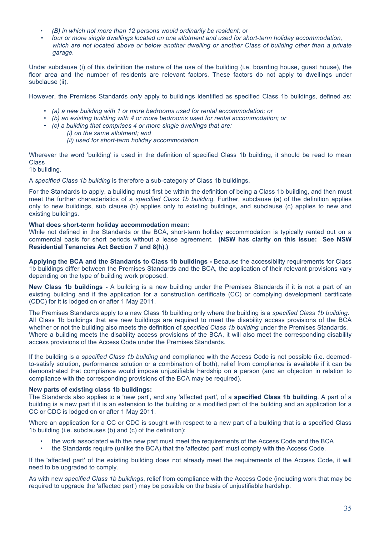- *(B) in which not more than 12 persons would ordinarily be resident; or*
- *four or more single dwellings located on one allotment and used for short-term holiday accommodation, which are not located above or below another dwelling or another Class of building other than a private garage.*

Under subclause (i) of this definition the nature of the use of the building (i.e. boarding house, guest house), the floor area and the number of residents are relevant factors. These factors do not apply to dwellings under subclause (ii).

However, the Premises Standards *only* apply to buildings identified as specified Class 1b buildings, defined as:

- *(a) a new building with 1 or more bedrooms used for rental accommodation; or*
- *(b) an existing building with 4 or more bedrooms used for rental accommodation; or*
- *(c) a building that comprises 4 or more single dwellings that are:*
	- *(i) on the same allotment; and (ii) used for short-term holiday accommodation.*

Wherever the word 'building' is used in the definition of specified Class 1b building, it should be read to mean **Class** 

1b building.

A *specified Class 1b building* is therefore a sub-category of Class 1b buildings.

For the Standards to apply, a building must first be within the definition of being a Class 1b building, and then must meet the further characteristics of a *specified Class 1b building*. Further, subclause (a) of the definition applies only to new buildings, sub clause (b) applies only to existing buildings, and subclause (c) applies to new and existing buildings.

#### **What does short-term holiday accommodation mean:**

While not defined in the Standards or the BCA, short-term holiday accommodation is typically rented out on a commercial basis for short periods without a lease agreement. **(NSW has clarity on this issue: See NSW Residential Tenancies Act Section 7 and 8(h).)**

**Applying the BCA and the Standards to Class 1b buildings -** Because the accessibility requirements for Class 1b buildings differ between the Premises Standards and the BCA, the application of their relevant provisions vary depending on the type of building work proposed.

**New Class 1b buildings -** A building is a new building under the Premises Standards if it is not a part of an existing building and if the application for a construction certificate (CC) or complying development certificate (CDC) for it is lodged on or after 1 May 2011.

The Premises Standards apply to a new Class 1b building only where the building is a *specified Class 1b building*. All Class 1b buildings that are new buildings are required to meet the disability access provisions of the BCA whether or not the building also meets the definition of *specified Class 1b building* under the Premises Standards. Where a building meets the disability access provisions of the BCA, it will also meet the corresponding disability access provisions of the Access Code under the Premises Standards.

If the building is a *specified Class 1b building* and compliance with the Access Code is not possible (i.e. deemedto-satisfy solution, performance solution or a combination of both), relief from compliance is available if it can be demonstrated that compliance would impose unjustifiable hardship on a person (and an objection in relation to compliance with the corresponding provisions of the BCA may be required).

#### **New parts of existing class 1b buildings:**

The Standards also applies to a 'new part', and any 'affected part', of a **specified Class 1b building**. A part of a building is a new part if it is an extension to the building or a modified part of the building and an application for a CC or CDC is lodged on or after 1 May 2011.

Where an application for a CC or CDC is sought with respect to a new part of a building that is a specified Class 1b building (i.e. subclauses (b) and (c) of the definition):

- the work associated with the new part must meet the requirements of the Access Code and the BCA
- the Standards require (unlike the BCA) that the 'affected part' must comply with the Access Code.

If the 'affected part' of the existing building does not already meet the requirements of the Access Code, it will need to be upgraded to comply.

As with new *specified Class 1b buildings*, relief from compliance with the Access Code (including work that may be required to upgrade the 'affected part') may be possible on the basis of unjustifiable hardship.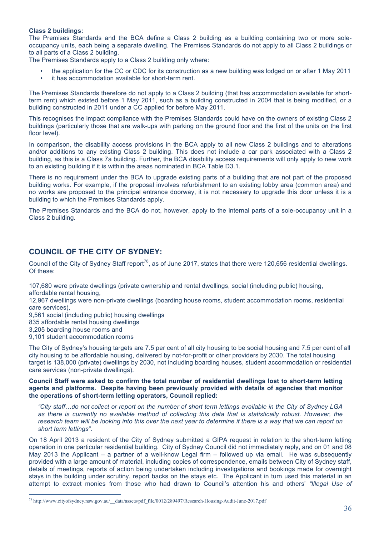#### **Class 2 buildings:**

The Premises Standards and the BCA define a Class 2 building as a building containing two or more soleoccupancy units, each being a separate dwelling. The Premises Standards do not apply to all Class 2 buildings or to all parts of a Class 2 building.

The Premises Standards apply to a Class 2 building only where:

- the application for the CC or CDC for its construction as a new building was lodged on or after 1 May 2011
- it has accommodation available for short-term rent.

The Premises Standards therefore do not apply to a Class 2 building (that has accommodation available for shortterm rent) which existed before 1 May 2011, such as a building constructed in 2004 that is being modified, or a building constructed in 2011 under a CC applied for before May 2011.

This recognises the impact compliance with the Premises Standards could have on the owners of existing Class 2 buildings (particularly those that are walk-ups with parking on the ground floor and the first of the units on the first floor level).

In comparison, the disability access provisions in the BCA apply to all new Class 2 buildings and to alterations and/or additions to any existing Class 2 building. This does not include a car park associated with a Class 2 building, as this is a Class 7a building. Further, the BCA disability access requirements will only apply to new work to an existing building if it is within the areas nominated in BCA Table D3.1.

There is no requirement under the BCA to upgrade existing parts of a building that are not part of the proposed building works. For example, if the proposal involves refurbishment to an existing lobby area (common area) and no works are proposed to the principal entrance doorway, it is not necessary to upgrade this door unless it is a building to which the Premises Standards apply.

The Premises Standards and the BCA do not, however, apply to the internal parts of a sole-occupancy unit in a Class 2 building.

# **COUNCIL OF THE CITY OF SYDNEY:**

Council of the City of Sydney Staff report<sup>78</sup>, as of June 2017, states that there were 120,656 residential dwellings. Of these:

107,680 were private dwellings (private ownership and rental dwellings, social (including public) housing, affordable rental housing,

12,967 dwellings were non-private dwellings (boarding house rooms, student accommodation rooms, residential care services),

9,561 social (including public) housing dwellings

835 affordable rental housing dwellings

3,205 boarding house rooms and

9,101 student accommodation rooms

The City of Sydney's housing targets are 7.5 per cent of all city housing to be social housing and 7.5 per cent of all city housing to be affordable housing, delivered by not-for-profit or other providers by 2030. The total housing target is 138,000 (private) dwellings by 2030, not including boarding houses, student accommodation or residential care services (non-private dwellings).

#### **Council Staff were asked to confirm the total number of residential dwellings lost to short-term letting agents and platforms. Despite having been previously provided with details of agencies that monitor the operations of short-term letting operators, Council replied:**

*"City staff…do not collect or report on the number of short term lettings available in the City of Sydney LGA as there is currently no available method of collecting this data that is statistically robust. However, the*  research team will be looking into this over the next year to determine if there is a way that we can report on *short term lettings".*

On 18 April 2013 a resident of the City of Sydney submitted a GIPA request in relation to the short-term letting operation in one particular residential building. City of Sydney Council did not immediately reply, and on 01 and 08 May 2013 the Applicant – a partner of a well-know Legal firm – followed up via email. He was subsequently provided with a large amount of material, including copies of correspondence, emails between City of Sydney staff, details of meetings, reports of action being undertaken including investigations and bookings made for overnight stays in the building under scrutiny, report backs on the stays etc. The Applicant in turn used this material in an attempt to extract monies from those who had drawn to Council's attention his and others' *"Illegal Use of* 

 <sup>78</sup> http://www.cityofsydney.nsw.gov.au/\_\_data/assets/pdf\_file/0012/289497/Research-Housing-Audit-June-2017.pdf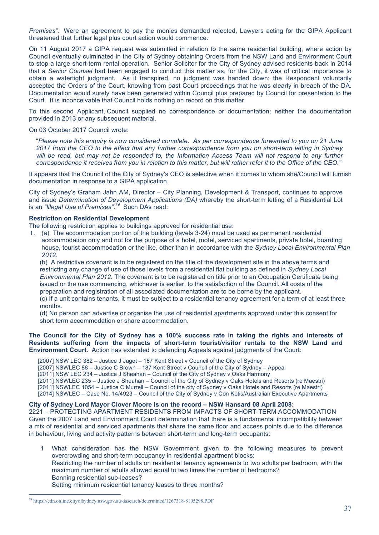*Premises".* Were an agreement to pay the monies demanded rejected, Lawyers acting for the GIPA Applicant threatened that further legal plus court action would commence.

On 11 August 2017 a GIPA request was submitted in relation to the same residential building, where action by Council eventually culminated in the City of Sydney obtaining Orders from the NSW Land and Environment Court to stop a large short-term rental operation. Senior Solicitor for the City of Sydney advised residents back in 2014 that a *Senior Counsel* had been engaged to conduct this matter as, for the City, it was of critical importance to obtain a watertight judgment. As it transpired, no judgment was handed down; the Respondent voluntarily accepted the Orders of the Court, knowing from past Court proceedings that he was clearly in breach of the DA. Documentation would surely have been generated within Council plus prepared by Council for presentation to the Court. It is inconceivable that Council holds nothing on record on this matter.

To this second Applicant, Council supplied no correspondence or documentation; neither the documentation provided in 2013 or any subsequent material.

On 03 October 2017 Council wrote:

"*Please note this enquiry is now considered complete. As per correspondence forwarded to you on 21 June 2017 from the CEO to the effect that any further correspondence from you on short-term letting in Sydney*  will be read, but may not be responded to, the Information Access Team will not respond to any further *correspondence it receives from you in relation to this matter, but will rather refer it to the Office of the CEO."*

It appears that the Council of the City of Sydney's CEO is selective when it comes to whom she/Council will furnish documentation in response to a GIPA application.

City of Sydney's Graham Jahn AM, Director – City Planning, Development & Transport, continues to approve and issue *Determination of Development Applications (DA)* whereby the short-term letting of a Residential Lot is an *"Illegal Use of Premises"*. 79 Such DAs read:

#### **Restriction on Residential Development**

The following restriction applies to buildings approved for residential use:

1. (a) The accommodation portion of the building (levels 3-24) must be used as permanent residential accommodation only and not for the purpose of a hotel, motel, serviced apartments, private hotel, boarding house, tourist accommodation or the like, other than in accordance with the *Sydney Local Environmental Plan 2012*.

(b) A restrictive covenant is to be registered on the title of the development site in the above terms and restricting any change of use of those levels from a residential flat building as defined in *Sydney Local Environmental Plan 2012*. The covenant is to be registered on title prior to an Occupation Certificate being issued or the use commencing, whichever is earlier, to the satisfaction of the Council. All costs of the preparation and registration of all associated documentation are to be borne by the applicant. (c) If a unit contains tenants, it must be subject to a residential tenancy agreement for a term of at least three months.

(d) No person can advertise or organise the use of residential apartments approved under this consent for short term accommodation or share accommodation.

#### **The Council for the City of Sydney has a 100% success rate in taking the rights and interests of Residents suffering from the impacts of short-term tourist/visitor rentals to the NSW Land and Environment Court**. Action has extended to defending Appeals against judgments of the Court:

[2007] NSW LEC 382 - Justice J Jagot - 187 Kent Street v Council of the City of Sydney

[2007] NSWLEC 88 – Justice C Brown – 187 Kent Street v Council of the City of Sydney – Appeal

[2011] NSW LEC 234 – Justice J Sheahan – Council of the City of Sydney v Oaks Harmony

[2011] NSWLEC 235 – Justice J Sheahan – Council of the City of Sydney v Oaks Hotels and Resorts (re Maestri)

[2011] NSWLEC 1054 – Justice C Murrell – Council of the city of Sydney v Oaks Hotels and Resorts (re Maestri)

[2014] NSWLEC – Case No. 14/4923 – Council of the City of Sydney v Con Kotis/Australian Executive Apartments

#### **City of Sydney Lord Mayor Clover Moore is on the record – NSW Hansard 08 April 2008:**

2221 – PROTECTING APARTMENT RESIDENTS FROM IMPACTS OF SHORT-TERM ACCOMMODATION Given the 2007 Land and Environment Court determination that there is a fundamental incompatibility between a mix of residential and serviced apartments that share the same floor and access points due to the difference in behaviour, living and activity patterns between short-term and long-term occupants:

1 What consideration has the NSW Government given to the following measures to prevent overcrowding and short-term occupancy in residential apartment blocks: Restricting the number of adults on residential tenancy agreements to two adults per bedroom, with the maximum number of adults allowed equal to two times the number of bedrooms? Banning residential sub-leases?

Setting minimum residential tenancy leases to three months?

 <sup>79</sup> https://cdn.online.cityofsydney.nsw.gov.au/dasearch/determined/1267318-8105298.PDF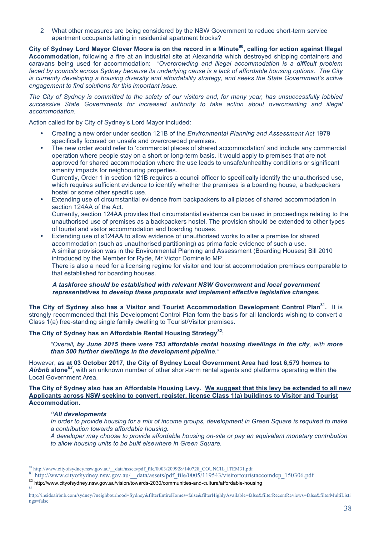2 What other measures are being considered by the NSW Government to reduce short-term service apartment occupants letting in residential apartment blocks?

**City of Sydney Lord Mayor Clover Moore is on the record in a Minute80, calling for action against Illegal Accommodation,** following a fire at an industrial site at Alexandria which destroyed shipping containers and caravans being used for accommodation: *"Overcrowding and illegal accommodation is a difficult problem faced by councils across Sydney because its underlying cause is a lack of affordable housing options. The City is currently developing a housing diversity and affordability strategy, and seeks the State Government's active engagement to find solutions for this important issue.*

*The City of Sydney is committed to the safety of our visitors and, for many year, has unsuccessfully lobbied successive State Governments for increased authority to take action about overcrowding and illegal accommodation.*

Action called for by City of Sydney's Lord Mayor included:

- Creating a new order under section 121B of the *Environmental Planning and Assessment Act* 1979 specifically focused on unsafe and overcrowded premises.
- The new order would refer to 'commercial places of shared accommodation' and include any commercial operation where people stay on a short or long-term basis. It would apply to premises that are not approved for shared accommodation where the use leads to unsafe/unhealthy conditions or significant amenity impacts for neighbouring properties.

Currently, Order 1 in section 121B requires a council officer to specifically identify the unauthorised use, which requires sufficient evidence to identify whether the premises is a boarding house, a backpackers hostel or some other specific use.

- Extending use of circumstantial evidence from backpackers to all places of shared accommodation in section 124AA of the Act. Currently, section 124AA provides that circumstantial evidence can be used in proceedings relating to the unauthorised use of premises as a backpackers hostel. The provision should be extended to other types of tourist and visitor accommodation and boarding houses.
- Extending use of s124AA to allow evidence of unauthorised works to alter a premise for shared accommodation (such as unauthorised partitioning) as prima facie evidence of such a use. A similar provision was in the Environmental Planning and Assessment (Boarding Houses) Bill 2010 introduced by the Member for Ryde, Mr Victor Dominello MP. There is also a need for a licensing regime for visitor and tourist accommodation premises comparable to that established for boarding houses.

#### *A taskforce should be established with relevant NSW Government and local government representatives to develop these proposals and implement effective legislative changes.*

**The City of Sydney also has a Visitor and Tourist Accommodation Development Control Plan81.** It is strongly recommended that this Development Control Plan form the basis for all landlords wishing to convert a Class 1(a) free-standing single family dwelling to Tourist/Visitor premises.

**The City of Sydney has an Affordable Rental Housing Strategy<sup>82</sup>**:

*"Overall, by June 2015 there were 753 affordable rental housing dwellings in the city, with more than 500 further dwellings in the development pipeline."*

However, **as at 03 October 2017, the City of Sydney Local Government Area had lost 6,579 homes to**  *Airbnb* **alone***<sup>83</sup>*, with an unknown number of other short-term rental agents and platforms operating within the Local Government Area.

**The City of Sydney also has an Affordable Housing Levy. We suggest that this levy be extended to all new Applicants across NSW seeking to convert, register, license Class 1(a) buildings to Visitor and Tourist Accommodation.** 

#### *"All developments*

*In order to provide housing for a mix of income groups, development in Green Square is required to make a contribution towards affordable housing.*

*A developer may choose to provide affordable housing on-site or pay an equivalent monetary contribution to allow housing units to be built elsewhere in Green Square.*

 $\frac{80 \text{ http://www.cityofsydney.nsw.gov.au/~data/assets/pdf_file/0003/209928/140728_COUNCIL_ITER31.pdf}{\text{http://www.cityofsydney.nsw.gov.au/~data/assets/pdf_file/0003/209928/140728_COUNCIL_ITER31.pdf}}$ 

 $\frac{82}{\text{http://www.cityofsydney.nsw.gov.au/vision/towards-2030/communities-and-culture/affordable-housing}$ 

http://insideairbnb.com/sydney/?neighbourhood=Sydney&filterEntireHomes=false&filterHighlyAvailable=false&filterRecentReviews=false&filterMultiListi ngs=false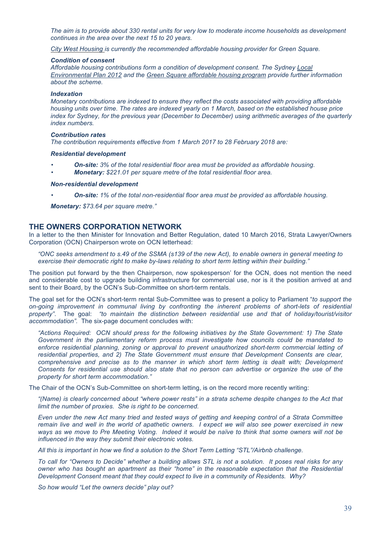*The aim is to provide about 330 rental units for very low to moderate income households as development continues in the area over the next 15 to 20 years.*

*City West Housing is currently the recommended affordable housing provider for Green Square.*

#### *Condition of consent*

*Affordable housing contributions form a condition of development consent. The Sydney Local Environmental Plan 2012 and the Green Square affordable housing program provide further information about the scheme.*

#### *Indexation*

*Monetary contributions are indexed to ensure they reflect the costs associated with providing affordable housing units over time. The rates are indexed yearly on 1 March, based on the established house price index for Sydney, for the previous year (December to December) using arithmetic averages of the quarterly index numbers.*

#### *Contribution rates*

*The contribution requirements effective from 1 March 2017 to 28 February 2018 are:*

#### *Residential development*

- *On-site: 3% of the total residential floor area must be provided as affordable housing.*
- *Monetary: \$221.01 per square metre of the total residential floor area.*

#### *Non-residential development*

• *On-site: 1% of the total non-residential floor area must be provided as affordable housing.*

*Monetary: \$73.64 per square metre."*

#### **THE OWNERS CORPORATION NETWORK**

In a letter to the then Minister for Innovation and Better Regulation, dated 10 March 2016, Strata Lawyer/Owners Corporation (OCN) Chairperson wrote on OCN letterhead:

*"ONC seeks amendment to s.49 of the SSMA (s139 of the new Act), to enable owners in general meeting to exercise their democratic right to make by-laws relating to short term letting within their building."*

The position put forward by the then Chairperson, now spokesperson' for the OCN, does not mention the need and considerable cost to upgrade building infrastructure for commercial use, nor is it the position arrived at and sent to their Board, by the OCN's Sub-Committee on short-term rentals.

The goal set for the OCN's short-term rental Sub-Committee was to present a policy to Parliament "*to support the on-going improvement in communal living by confronting the inherent problems of short-lets of residential property"*. The goal: *"to maintain the distinction between residential use and that of holiday/tourist/visitor accommodation".* The six-page document concludes with:

*"Actions Required: OCN should press for the following initiatives by the State Government: 1) The State Government in the parliamentary reform process must investigate how councils could be mandated to enforce residential planning, zoning or approval to prevent unauthorized short-term commercial letting of residential properties, and 2) The State Government must ensure that Development Consents are clear, comprehensive and precise as to the manner in which short term letting is dealt with; Development Consents for residential use should also state that no person can advertise or organize the use of the property for short term accommodation."*

The Chair of the OCN's Sub-Committee on short-term letting, is on the record more recently writing:

*"(Name) is clearly concerned about "where power rests" in a strata scheme despite changes to the Act that limit the number of proxies. She is right to be concerned.* 

*Even under the new Act many tried and tested ways of getting and keeping control of a Strata Committee remain live and well in the world of apathetic owners. I expect we will also see power exercised in new ways as we move to Pre Meeting Voting. Indeed it would be naïve to think that some owners will not be influenced in the way they submit their electronic votes.*

*All this is important in how we find a solution to the Short Term Letting "STL"/Airbnb challenge.*

*To call for "Owners to Decide" whether a building allows STL is not a solution. It poses real risks for any owner who has bought an apartment as their "home" in the reasonable expectation that the Residential Development Consent meant that they could expect to live in a community of Residents. Why?*

*So how would "Let the owners decide" play out?*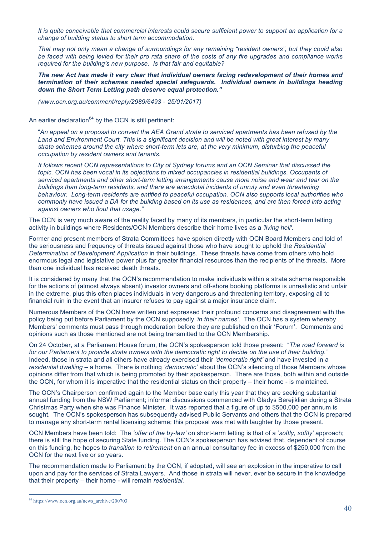*It is quite conceivable that commercial interests could secure sufficient power to support an application for a change of building status to short term accommodation.*

*That may not only mean a change of surroundings for any remaining "resident owners", but they could also be faced with being levied for their pro rata share of the costs of any fire upgrades and compliance works required for the building's new purpose. Is that fair and equitable?*

*The new Act has made it very clear that individual owners facing redevelopment of their homes and termination of their schemes needed special safeguards. Individual owners in buildings heading down the Short Term Letting path deserve equal protection."*

*(www.ocn.org.au/comment/reply/2989/6493* - *25/01/2017)*

An earlier declaration $^{84}$  by the OCN is still pertinent:

"*An appeal on a proposal to convert the AEA Grand strata to serviced apartments has been refused by the Land and Environment Court. This is a significant decision and will be noted with great interest by many strata schemes around the city where short-term lets are, at the very minimum, disturbing the peaceful occupation by resident owners and tenants.*

*It follows recent OCN representations to City of Sydney forums and an OCN Seminar that discussed the topic. OCN has been vocal in its objections to mixed occupancies in residential buildings. Occupants of serviced apartments and other short-term letting arrangements cause more noise and wear and tear on the buildings than long-term residents, and there are anecdotal incidents of unruly and even threatening behaviour. Long-term residents are entitled to peaceful occupation. OCN also supports local authorities who commonly have issued a DA for the building based on its use as residences, and are then forced into acting against owners who flout that usage."*

The OCN is very much aware of the reality faced by many of its members, in particular the short-term letting activity in buildings where Residents/OCN Members describe their home lives as a *'living hell'.* 

Former and present members of Strata Committees have spoken directly with OCN Board Members and told of the seriousness and frequency of threats issued against those who have sought to uphold the *Residential Determination of Development Application* in their buildings. These threats have come from others who hold enormous legal and legislative power plus far greater financial resources than the recipients of the threats. More than one individual has received death threats.

It is considered by many that the OCN's recommendation to make individuals within a strata scheme responsible for the actions of (almost always absent) investor owners and off-shore booking platforms is unrealistic and unfair in the extreme, plus this often places individuals in very dangerous and threatening territory, exposing all to financial ruin in the event that an insurer refuses to pay against a major insurance claim.

Numerous Members of the OCN have written and expressed their profound concerns and disagreement with the policy being put before Parliament by the OCN supposedly *'in their names'*. The OCN has a system whereby Members' comments must pass through moderation before they are published on their 'Forum'. Comments and opinions such as those mentioned are not being transmitted to the OCN Membership.

On 24 October, at a Parliament House forum, the OCN's spokesperson told those present: "*The road forward is for our Parliament to provide strata owners with the democratic right to decide on the use of their building."*  Indeed, those in strata and all others have already exercised their *'democratic right'* and have invested in a *residential dwelling –* a home. There is nothing *'democratic'* about the OCN's silencing of those Members whose opinions differ from that which is being promoted by their spokesperson. There are those, both within and outside the OCN, for whom it is imperative that the residential status on their property – their home - is maintained.

The OCN's Chairperson confirmed again to the Member base early this year that they are seeking substantial annual funding from the NSW Parliament; informal discussions commenced with Gladys Berejiklian during a Strata Christmas Party when she was Finance Minister. It was reported that a figure of up to \$500,000 per annum is sought. The OCN's spokesperson has subsequently advised Public Servants and others that the OCN is prepared to manage any short-term rental licensing scheme; this proposal was met with laughter by those present.

OCN Members have been told: The *'offer of the by-law'* on short-term letting is that of a '*softly, softly'* approach; there is still the hope of securing State funding. The OCN's spokesperson has advised that, dependent of course on this funding, he hopes to *transition to retirement* on an annual consultancy fee in excess of \$250,000 from the OCN for the next five or so years.

The recommendation made to Parliament by the OCN, if adopted, will see an explosion in the imperative to call upon and pay for the services of Strata Lawyers. And those in strata will never, ever be secure in the knowledge that their property – their home - will remain *residential.* 

<sup>&</sup>lt;sup>84</sup> https://www.ocn.org.au/news\_archive/200703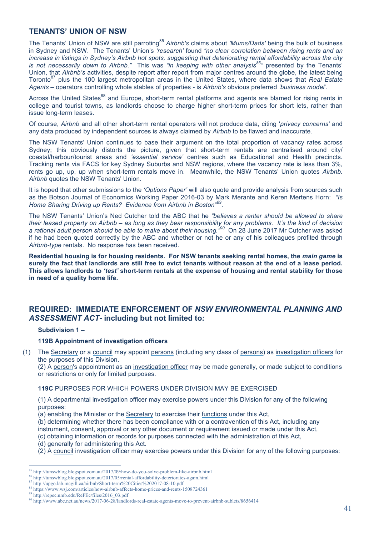# **TENANTS' UNION OF NSW**

The Tenants' Union of NSW are still parroting<sup>85</sup> Airbnb's claims about 'Mums/Dads' being the bulk of business in Sydney and NSW. The Tenants' Union's *'research'* found *"no clear correlation between rising rents and an increase in listings in Sydney's Airbnb hot spots, suggesting that deteriorating rental affordability across the city is not necessarily down to Airbnb."* This was *"in keeping with other analysis86"* presented by the Tenants' Union, that *Airbnb's* activities, despite report after report from major centres around the globe, the latest being Toronto<sup>87</sup> plus the 100 largest metropolitan areas in the United States, where data shows that *Real Estate Agents* – operators controlling whole stables of properties - is *Airbnb's* obvious preferred *'business model'*.

Across the United States<sup>88</sup> and Europe, short-term rental platforms and agents are blamed for rising rents in college and tourist towns, as landlords choose to charge higher short-term prices for short lets, rather than issue long-term leases.

Of course, *Airbnb* and all other short-term rental operators will not produce data, citing '*privacy concerns'* and any data produced by independent sources is always claimed by *Airbnb* to be flawed and inaccurate.

The NSW Tenants' Union continues to base their argument on the total proportion of vacancy rates across Sydney; this obviously distorts the picture, given that short-term rentals are centralised around city/ coastal/harbour/tourist areas and *'essential service'* centres such as Educational and Health precincts. Tracking rents via FACS for key Sydney Suburbs and NSW regions, where the vacancy rate is less than 3%, rents go up, up, up when short-term rentals move in. Meanwhile, the NSW Tenants' Union quotes *Airbnb. Airbnb* quotes the NSW Tenants' Union.

It is hoped that other submissions to the *'Options Paper'* will also quote and provide analysis from sources such as the Botson Journal of Economics Working Paper 2016-03 by Mark Merante and Keren Mertens Horn: *"Is Home Sharing Driving up Rents? Evidence from Airbnb in Boston"<sup>89</sup>*.

The NSW Tenants' Union's Ned Cutcher told the ABC that he *"believes a renter should be allowed to share their leased property on Airbnb – as long as they bear responsibility for any problems. It's the kind of decision*  a rational adult person should be able to make about their housing.<sup>"90</sup> On 28 June 2017 Mr Cutcher was asked if he had been quoted correctly by the ABC and whether or not he or any of his colleagues profited through *Airbnb-type* rentals. No response has been received.

**Residential housing is for housing residents. For NSW tenants seeking rental homes, the** *main game* **is surely the fact that landlords are still free to evict tenants without reason at the end of a lease period. This allows landlords to** *'test'* **short-term rentals at the expense of housing and rental stability for those in need of a quality home life.**

# **REQUIRED: IMMEDIATE ENFORCEMENT OF** *NSW ENVIRONMENTAL PLANNING AND ASSESSMENT ACT-* **including but not limited to***:*

#### **Subdivision 1 –**

#### **119B Appointment of investigation officers**

(1) The Secretary or a council may appoint persons (including any class of persons) as investigation officers for the purposes of this Division.

(2) A person's appointment as an investigation officer may be made generally, or made subject to conditions or restrictions or only for limited purposes.

#### **119C** PURPOSES FOR WHICH POWERS UNDER DIVISION MAY BE EXERCISED

(1) A departmental investigation officer may exercise powers under this Division for any of the following purposes:

(a) enabling the Minister or the Secretary to exercise their functions under this Act,

(b) determining whether there has been compliance with or a contravention of this Act, including any instrument, consent, approval or any other document or requirement issued or made under this Act,

(c) obtaining information or records for purposes connected with the administration of this Act,

- (d) generally for administering this Act.
- (2) A council investigation officer may exercise powers under this Division for any of the following purposes:

 <sup>85</sup> http://tunswblog.blogspot.com.au/2017/09/how-do-you-solve-problem-like-airbnb.html

<sup>86</sup> http://tunswblog.blogspot.com.au/2017/05/rental-affordability-deteriorates-again.html

<sup>87</sup> http://upgo.lab.mcgill.ca/airbnb/Short-term%20Cities%202017-08-10.pdf

<sup>88</sup> https://www.wsj.com/articles/how-airbnb-affects-home-prices-and-rents-1508724361

<sup>89</sup> http://repec.umb.edu/RePEc/files/2016\_03.pdf

<sup>90</sup> http://www.abc.net.au/news/2017-06-28/landlords-real-estate-agents-move-to-prevent-airbnb-sublets/8656414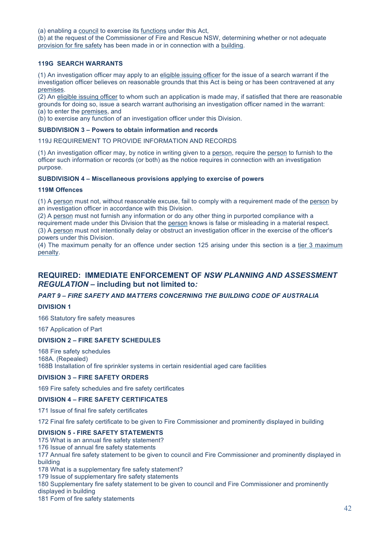(a) enabling a council to exercise its functions under this Act,

(b) at the request of the Commissioner of Fire and Rescue NSW, determining whether or not adequate provision for fire safety has been made in or in connection with a building.

#### **119G SEARCH WARRANTS**

(1) An investigation officer may apply to an eligible issuing officer for the issue of a search warrant if the investigation officer believes on reasonable grounds that this Act is being or has been contravened at any premises.

(2) An eligible issuing officer to whom such an application is made may, if satisfied that there are reasonable grounds for doing so, issue a search warrant authorising an investigation officer named in the warrant: (a) to enter the premises, and

(b) to exercise any function of an investigation officer under this Division.

#### **SUBDIVISION 3 – Powers to obtain information and records**

119J REQUIREMENT TO PROVIDE INFORMATION AND RECORDS

(1) An investigation officer may, by notice in writing given to a person, require the person to furnish to the officer such information or records (or both) as the notice requires in connection with an investigation purpose.

#### **SUBDIVISION 4 – Miscellaneous provisions applying to exercise of powers**

#### **119M Offences**

(1) A person must not, without reasonable excuse, fail to comply with a requirement made of the person by an investigation officer in accordance with this Division.

(2) A person must not furnish any information or do any other thing in purported compliance with a

requirement made under this Division that the person knows is false or misleading in a material respect.

(3) A person must not intentionally delay or obstruct an investigation officer in the exercise of the officer's powers under this Division.

(4) The maximum penalty for an offence under section 125 arising under this section is a tier 3 maximum penalty.

# **REQUIRED: IMMEDIATE ENFORCEMENT OF** *NSW PLANNING AND ASSESSMENT REGULATION –* **including but not limited to***:*

#### *PART 9 – FIRE SAFETY AND MATTERS CONCERNING THE BUILDING CODE OF AUSTRALIA*

#### **DIVISION 1**

166 Statutory fire safety measures

167 Application of Part

#### **DIVISION 2 – FIRE SAFETY SCHEDULES**

168 Fire safety schedules 168A. (Repealed) 168B Installation of fire sprinkler systems in certain residential aged care facilities

#### **DIVISION 3 – FIRE SAFETY ORDERS**

169 Fire safety schedules and fire safety certificates

#### **DIVISION 4 – FIRE SAFETY CERTIFICATES**

171 Issue of final fire safety certificates

172 Final fire safety certificate to be given to Fire Commissioner and prominently displayed in building

#### **DIVISION 5 - FIRE SAFETY STATEMENTS**

175 What is an annual fire safety statement?

176 Issue of annual fire safety statements

177 Annual fire safety statement to be given to council and Fire Commissioner and prominently displayed in building

178 What is a supplementary fire safety statement?

179 Issue of supplementary fire safety statements

180 Supplementary fire safety statement to be given to council and Fire Commissioner and prominently displayed in building

181 Form of fire safety statements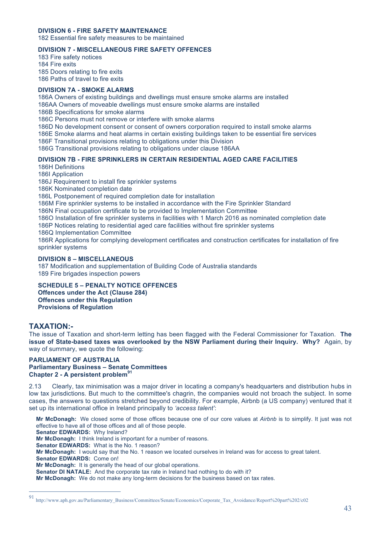#### **DIVISION 6 - FIRE SAFETY MAINTENANCE**

182 Essential fire safety measures to be maintained

#### **DIVISION 7 - MISCELLANEOUS FIRE SAFETY OFFENCES**

183 Fire safety notices

184 Fire exits

185 Doors relating to fire exits

186 Paths of travel to fire exits

### **DIVISION 7A - SMOKE ALARMS**

186A Owners of existing buildings and dwellings must ensure smoke alarms are installed

186AA Owners of moveable dwellings must ensure smoke alarms are installed

186B Specifications for smoke alarms

186C Persons must not remove or interfere with smoke alarms

186D No development consent or consent of owners corporation required to install smoke alarms

186E Smoke alarms and heat alarms in certain existing buildings taken to be essential fire services

186F Transitional provisions relating to obligations under this Division

186G Transitional provisions relating to obligations under clause 186AA

# **DIVISION 7B - FIRE SPRINKLERS IN CERTAIN RESIDENTIAL AGED CARE FACILITIES**

186H Definitions

186I Application

186J Requirement to install fire sprinkler systems

186K Nominated completion date

186L Postponement of required completion date for installation

186M Fire sprinkler systems to be installed in accordance with the Fire Sprinkler Standard

186N Final occupation certificate to be provided to Implementation Committee

186O Installation of fire sprinkler systems in facilities with 1 March 2016 as nominated completion date

186P Notices relating to residential aged care facilities without fire sprinkler systems

186Q Implementation Committee

186R Applications for complying development certificates and construction certificates for installation of fire sprinkler systems

#### **DIVISION 8 – MISCELLANEOUS**

187 Modification and supplementation of Building Code of Australia standards 189 Fire brigades inspection powers

**SCHEDULE 5 – PENALTY NOTICE OFFENCES Offences under the Act (Clause 284) Offences under this Regulation Provisions of Regulation**

# **TAXATION:-**

The issue of Taxation and short-term letting has been flagged with the Federal Commissioner for Taxation. **The issue of State-based taxes was overlooked by the NSW Parliament during their Inquiry. Why?** Again, by way of summary, we quote the following:

#### **PARLIAMENT OF AUSTRALIA Parliamentary Business – Senate Committees Chapter 2 - A persistent problem<sup>91</sup>**

2.13 Clearly, tax minimisation was a major driver in locating a company's headquarters and distribution hubs in low tax jurisdictions. But much to the committee's chagrin, the companies would not broach the subject. In some cases, the answers to questions stretched beyond credibility. For example, Airbnb (a US company) ventured that it set up its international office in Ireland principally to *'access talent'*:

**Mr McDonagh:** We closed some of those offices because one of our core values at *Airbnb* is to simplify. It just was not effective to have all of those offices and all of those people. **Senator EDWARDS:** Why Ireland?

**Mr McDonagh:** I think Ireland is important for a number of reasons.

**Senator EDWARDS:** What is the No. 1 reason?

**Mr McDonagh:** I would say that the No. 1 reason we located ourselves in Ireland was for access to great talent.

**Senator EDWARDS:** Come on! **Mr McDonagh:** It is generally the head of our global operations.

**Senator DI NATALE:** And the corporate tax rate in Ireland had nothing to do with it?

**Mr McDonagh:** We do not make any long-term decisions for the business based on tax rates.

 <sup>91</sup> http://www.aph.gov.au/Parliamentary\_Business/Committees/Senate/Economics/Corporate\_Tax\_Avoidance/Report%20part%202/c02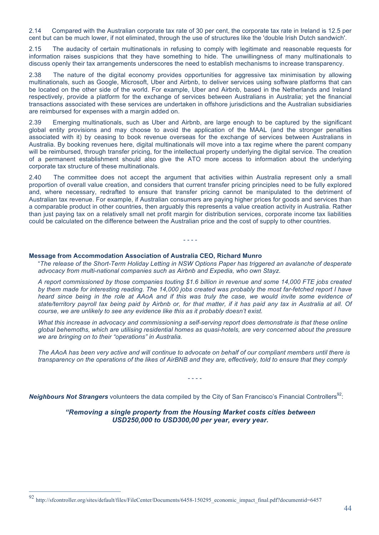2.14 Compared with the Australian corporate tax rate of 30 per cent, the corporate tax rate in Ireland is 12.5 per cent but can be much lower, if not eliminated, through the use of structures like the 'double Irish Dutch sandwich'.

2.15 The audacity of certain multinationals in refusing to comply with legitimate and reasonable requests for information raises suspicions that they have something to hide. The unwillingness of many multinationals to discuss openly their tax arrangements underscores the need to establish mechanisms to increase transparency.

2.38 The nature of the digital economy provides opportunities for aggressive tax minimisation by allowing multinationals, such as Google, Microsoft, Uber and Airbnb, to deliver services using software platforms that can be located on the other side of the world. For example, Uber and Airbnb, based in the Netherlands and Ireland respectively, provide a platform for the exchange of services between Australians in Australia; yet the financial transactions associated with these services are undertaken in offshore jurisdictions and the Australian subsidiaries are reimbursed for expenses with a margin added on.

2.39 Emerging multinationals, such as Uber and Airbnb, are large enough to be captured by the significant global entity provisions and may choose to avoid the application of the MAAL (and the stronger penalties associated with it) by ceasing to book revenue overseas for the exchange of services between Australians in Australia. By booking revenues here, digital multinationals will move into a tax regime where the parent company will be reimbursed, through transfer pricing, for the intellectual property underlying the digital service. The creation of a permanent establishment should also give the ATO more access to information about the underlying corporate tax structure of these multinationals.

2.40 The committee does not accept the argument that activities within Australia represent only a small proportion of overall value creation, and considers that current transfer pricing principles need to be fully explored and, where necessary, redrafted to ensure that transfer pricing cannot be manipulated to the detriment of Australian tax revenue. For example, if Australian consumers are paying higher prices for goods and services than a comparable product in other countries, then arguably this represents a value creation activity in Australia. Rather than just paying tax on a relatively small net profit margin for distribution services, corporate income tax liabilities could be calculated on the difference between the Australian price and the cost of supply to other countries.

- - - -

#### **Message from Accommodation Association of Australia CEO, Richard Munro**

"*The release of the Short-Term Holiday Letting in NSW Options Paper has triggered an avalanche of desperate advocacy from multi-national companies such as Airbnb and Expedia, who own Stayz.*

*A report commissioned by those companies touting \$1.6 billion in revenue and some 14,000 FTE jobs created by them made for interesting reading. The 14,000 jobs created was probably the most far-fetched report I have heard since being in the role at AAoA and if this was truly the case, we would invite some evidence of state/territory payroll tax being paid by Airbnb or, for that matter, if it has paid any tax in Australia at all. Of course, we are unlikely to see any evidence like this as it probably doesn't exist.*

*What this increase in advocacy and commissioning a self-serving report does demonstrate is that these online global behemoths, which are utilising residential homes as quasi-hotels, are very concerned about the pressure we are bringing on to their "operations" in Australia.*

*The AAoA has been very active and will continue to advocate on behalf of our compliant members until there is transparency on the operations of the likes of AirBNB and they are, effectively, told to ensure that they comply*

- - - -

*Neighbours Not Strangers* volunteers the data compiled by the City of San Francisco's Financial Controllers<sup>92</sup>:

#### *"Removing a single property from the Housing Market costs cities between USD250,000 to USD300,00 per year, every year.*

 <sup>92</sup> http://sfcontroller.org/sites/default/files/FileCenter/Documents/6458-150295\_economic\_impact\_final.pdf?documentid=6457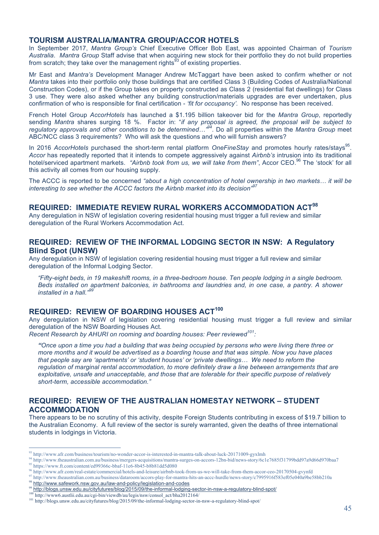# **TOURISM AUSTRALIA/MANTRA GROUP/ACCOR HOTELS**

In September 2017, *Mantra Group's* Chief Executive Officer Bob East, was appointed Chairman of *Tourism Australia*. *Mantra Group* Staff advise that when acquiring new stock for their portfolio they do not build properties from scratch; they take over the management rights<sup>93</sup> of existing properties.

Mr East and *Mantra's* Development Manager Andrew McTaggart have been asked to confirm whether or not *Mantra* takes into their portfolio only those buildings that are certified Class 3 (Building Codes of Australia/National Construction Codes), or if the Group takes on property constructed as Class 2 (residential flat dwellings) for Class 3 use. They were also asked whether any building construction/materials upgrades are ever undertaken, plus confirmation of who is responsible for final certification - *'fit for occupancy'.* No response has been received.

French Hotel Group *AccorHotels* has launched a \$1.195 billion takeover bid for the *Mantra Group*, reportedly sending *Mantra* shares surging 18 %. Factor in: "*if any proposal is agreed, the proposal will be subject to regulatory approvals and other conditions to be determined…"94*. Do all properties within the *Mantra Group* meet ABC/NCC class 3 requirements? Who will ask the questions and who will furnish answers?

In 2016 *AccorHotels* purchased the short-term rental platform *OneFineStay* and promotes hourly rates/stavs<sup>95</sup>. *Accor* has repeatedly reported that it intends to compete aggressively against *Airbnb's* intrusion into its traditional hotel/serviced apartment markets. *"Airbnb took from us, we will take from them"*, Accor CEO.<sup>96</sup> The 'stock' for all this activity all comes from our housing supply.

The ACCC is reported to be concerned *"about a high concentration of hotel ownership in two markets… it will be interesting to see whether the ACCC factors the Airbnb market into its decision"<sup>97</sup>*

### **REQUIRED: IMMEDIATE REVIEW RURAL WORKERS ACCOMMODATION ACT<sup>98</sup>**

Any deregulation in NSW of legislation covering residential housing must trigger a full review and similar deregulation of the Rural Workers Accommodation Act.

# **REQUIRED: REVIEW OF THE INFORMAL LODGING SECTOR IN NSW: A Regulatory Blind Spot (UNSW)**

Any deregulation in NSW of legislation covering residential housing must trigger a full review and similar deregulation of the Informal Lodging Sector.

*"Fifty-eight beds, in 19 makeshift rooms, in a three-bedroom house. Ten people lodging in a single bedroom. Beds installed on apartment balconies, in bathrooms and laundries and, in one case, a pantry. A shower installed in a hall."<sup>99</sup>*

# **REQUIRED: REVIEW OF BOARDING HOUSES ACT<sup>100</sup>**

Any deregulation in NSW of legislation covering residential housing must trigger a full review and similar deregulation of the NSW Boarding Houses Act.

*Recent Research by AHURI on rooming and boarding houses: Peer reviewed101:*

*"Once upon a time you had a building that was being occupied by persons who were living there three or more months and it would be advertised as a boarding house and that was simple. Now you have places that people say are 'apartments' or 'student houses' or 'private dwellings… We need to reform the regulation of marginal rental accommodation, to more definitely draw a line between arrangements that are exploitative, unsafe and unacceptable, and those that are tolerable for their specific purpose of relatively short-term, accessible accommodation."*

# **REQUIRED: REVIEW OF THE AUSTRALIAN HOMESTAY NETWORK – STUDENT ACCOMMODATION**

There appears to be no scrutiny of this activity, despite Foreign Students contributing in excess of \$19.7 billion to the Australian Economy. A full review of the sector is surely warranted, given the deaths of three international students in lodgings in Victoria.

 <sup>93</sup> http://www.afr.com/business/tourism/no-wonder-accor-is-interested-in-mantra-talk-about-luck-20171009-gyxlmh

 $^{94}$  http://www.theaustralian.com.au/business/mergers-acquisitions/mantra-surges-on-accors-12bn-bid/news-story/6c1e7685f31799bdd97a9d66d970baa7 https://www.ft.com/content/ed99366c-bbaf-11e6-8b45-b8b81dd5d080

<sup>96</sup> http://www.afr.com/real-estate/commercial/hotels-and-leisure/airbnb-took-from-us-we-will-take-from-them-accor-ceo-20170504-gvynfd

<sup>97</sup> http://www.theaustralian.com.au/business/dataroom/accors-play-for-mantra-hits-an-accc-hurdle/news-story/c7995916f583ef05e040a9be58bb210a

<sup>98</sup> http://www.safework.nsw.gov.au/law-and-policy/legislation-and-codes

<sup>99</sup> http://blogs.unsw.edu.au/cityfutures/blog/2015/09/the-informal-lodging-sector-in-nsw-a-regulatory-blind-spot/

<sup>&</sup>lt;sup>1</sup>http://www6.austlii.edu.au/cgi-bin/viewdb/au/legis/nsw/consol\_act/bha2012164/

<sup>101</sup> http://blogs.unsw.edu.au/cityfutures/blog/2015/09/the-informal-lodging-sector-in-nsw-a-regulatory-blind-spot/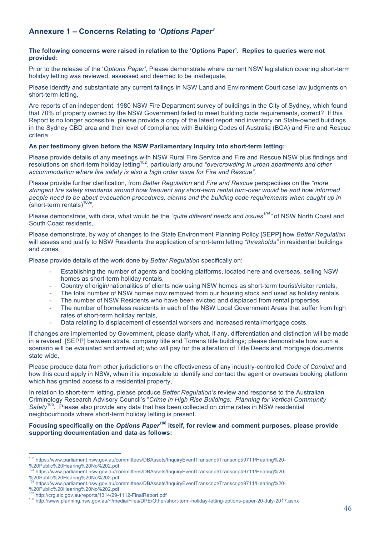# **Annexure 1 – Concerns Relating to** *'Options Paper'*

#### **The following concerns were raised in relation to the 'Options Paper'. Replies to queries were not provided:**

Prior to the release of the '*Options Paper',* Please demonstrate where current NSW legislation covering short-term holiday letting was reviewed, assessed and deemed to be inadequate,

Please identify and substantiate any current failings in NSW Land and Environment Court case law judgments on short-term letting,

Are reports of an independent, 1980 NSW Fire Department survey of buildings in the City of Sydney, which found that 70% of property owned by the NSW Government failed to meet building code requirements, correct? If this Report is no longer accessible, please provide a copy of the latest report and inventory on State-owned buildings in the Sydney CBD area and their level of compliance with Building Codes of Australia (BCA) and Fire and Rescue criteria.

#### **As per testimony given before the NSW Parliamentary Inquiry into short-term letting:**

Please provide details of any meetings with NSW Rural Fire Service and Fire and Rescue NSW plus findings and resolutions on short-term holiday letting<sup>102</sup>, particularly around "overcrowding in urban apartments and other *accommodation where fire safety is also a high order issue for Fire and Rescue",*

Please provide further clarification, from *Better Regulation* and *Fire and Rescue* perspectives on the *"more stringent fire safety standards around how frequent any short-term rental turn-over would be and how informed people need to be about evacuation procedures, alarms and the building code requirements when caught up in*  (short-term rentals) $103$ 

Please demonstrate, with data, what would be the *"quite different needs and issues<sup>104</sup>"* of NSW North Coast and South Coast residents,

Please demonstrate, by way of changes to the State Environment Planning Policy [SEPP] how *Better Regulation*  will assess and justify to NSW Residents the application of short-term letting *"thresholds"* in residential buildings and zones,

Please provide details of the work done by *Better Regulation* specifically on:

- Establishing the number of agents and booking platforms, located here and overseas, selling NSW homes as short-term holiday rentals,
- Country of origin/nationalities of clients now using NSW homes as short-term tourist/visitor rentals,
- The total number of NSW homes now removed from our housing stock and used as holiday rentals,
- The number of NSW Residents who have been evicted and displaced from rental properties,
- The number of homeless residents in each of the NSW Local Government Areas that suffer from high rates of short-term holiday rentals,
- Data relating to displacement of essential workers and increased rental/mortgage costs.

If changes are implemented by Government, please clarify what, if any, differentiation and distinction will be made in a revised [SEPP] between strata, company title and Torrens title buildings; please demonstrate how such a scenario will be evaluated and arrived at; who will pay for the alteration of Title Deeds and mortgage documents state wide,

Please produce data from other jurisdictions on the effectiveness of any industry-controlled *Code of Conduct* and how this could apply in NSW, when it is impossible to identify and contact the agent or overseas booking platform which has granted access to a residential property,

In relation to short-term letting, please produce *Better Regulation's* review and response to the Australian Criminology Research Advisory Council's "*Crime in High Rise Buildings: Planning for Vertical Community*  <sup>5</sup>. Please also provide any data that has been collected on crime rates in NSW residential neighbourhoods where short-term holiday letting is present.

Focusing specifically on the *Options Paper<sup>106</sup>* itself, for review and comment purposes, please provide **supporting documentation and data as follows:**

- %20Public%20Hearing%20No%202.pdf
- 104 https://www.parliament.nsw.gov.au/committees/DBAssets/InquiryEventTranscript/Transcript/9711/Hearing%20- %20Public%20Hearing%20No%202.pdf<br><sup>105</sup> http://crg.aic.gov.au/reports/1314/29-1112-FinalReport.pdf
- 

 $\overline{a}$ 102 https://www.parliament.nsw.gov.au/committees/DBAssets/InquiryEventTranscript/Transcript/9711/Hearing%20- %20Public%20Hearing%20No%202.pdf

<sup>103</sup> https://www.parliament.nsw.gov.au/committees/DBAssets/InquiryEventTranscript/Transcript/9711/Hearing%20-

<sup>106</sup> http://www.planning.nsw.gov.au/~/media/Files/DPE/Other/short-term-holiday-letting-options-paper-20-July-2017.ashx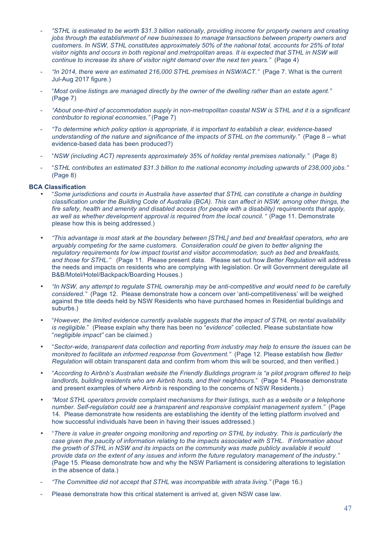- *"STHL is estimated to be worth \$31.3 billion nationally, providing income for property owners and creating jobs through the establishment of new businesses to manage transactions between property owners and customers. In NSW, STHL constitutes approximately 50% of the national total, accounts for 25% of total*  visitor nights and occurs in both regional and metropolitan areas. It is expected that STHL in NSW will *continue to increase its share of visitor night demand over the next ten years."* (Page 4)
- *"In 2014, there were an estimated 216,000 STHL premises in NSW/ACT."* (Page 7. What is the current Jul-Aug 2017 figure.)
- "*Most online listings are managed directly by the owner of the dwelling rather than an estate agent."*  (Page 7)
- *"About one-third of accommodation supply in non-metropolitan coastal NSW is STHL and it is a significant contributor to regional economies."* (Page 7)
- *"To determine which policy option is appropriate, it is important to establish a clear, evidence-based understanding of the nature and significance of the impacts of STHL on the community."* (Page 8 – what evidence-based data has been produced?)
- "*NSW (including ACT) represents approximately 35% of holiday rental premises nationally."* (Page 8)
- "*STHL contributes an estimated \$31.3 billion to the national economy including upwards of 238,000 jobs."*  (Page 8)

#### **BCA Classification**

- "*Some jurisdictions and courts in Australia have asserted that STHL can constitute a change in building classification under the Building Code of Australia (BCA). This can affect in NSW, among other things, the fire safety, health and amenity and disabled access (for people with a disability) requirements that apply, as well as whether development approval is required from the local council.* " (Page 11. Demonstrate please how this is being addressed.)
- *"This advantage is most stark at the boundary between [STHL] and bed and breakfast operators, who are arguably competing for the same customers. Consideration could be given to better aligning the regulatory requirements for low impact tourist and visitor accommodation, such as bed and breakfasts, and those for STHL."* (Page 11. Please present data. Please set out how *Better Regulation* will address the needs and impacts on residents who are complying with legislation. Or will Government deregulate all B&B/Motel/Hotel/Backpack/Boarding Houses.)
- *"In NSW, any attempt to regulate STHL ownership may be anti-competitive and would need to be carefully considered."* (Page 12. Please demonstrate how a concern over 'anti-competitiveness' will be weighed against the title deeds held by NSW Residents who have purchased homes in Residential buildings and suburbs.)
- "*However, the limited evidence currently available suggests that the impact of STHL on rental availability is negligible.*" (Please explain why there has been no "*evidence*" collected. Please substantiate how "*negligible impact"* can be claimed.)
- "*Sector-wide, transparent data collection and reporting from industry may help to ensure the issues can be monitored to facilitate an informed response from Government."* (Page 12. Please establish how *Better Regulation* will obtain transparent data and confirm from whom this will be sourced, and then verified.)
- "*According to Airbnb's Australian website the Friendly Buildings program is "a pilot program offered to help landlords, building residents who are Airbnb hosts, and their neighbours.*" (Page 14. Please demonstrate and present examples of where *Airbnb* is responding to the concerns of NSW Residents.)
- *"Most STHL operators provide complaint mechanisms for their listings, such as a website or a telephone number. Self-regulation could see a transparent and responsive complaint management system."* (Page 14. Please demonstrate how residents are establishing the identity of the letting platform involved and how successful individuals have been in having their issues addressed.)
- "*There is value in greater ongoing monitoring and reporting on STHL by industry. This is particularly the case given the paucity of information relating to the impacts associated with STHL. If information about the growth of STHL in NSW and its impacts on the community was made publicly available it would provide data on the extent of any issues and inform the future regulatory management of the industry."* (Page 15. Please demonstrate how and why the NSW Parliament is considering alterations to legislation in the absence of data.)
- *"The Committee did not accept that STHL was incompatible with strata living."* (Page 16.)
- Please demonstrate how this critical statement is arrived at, given NSW case law.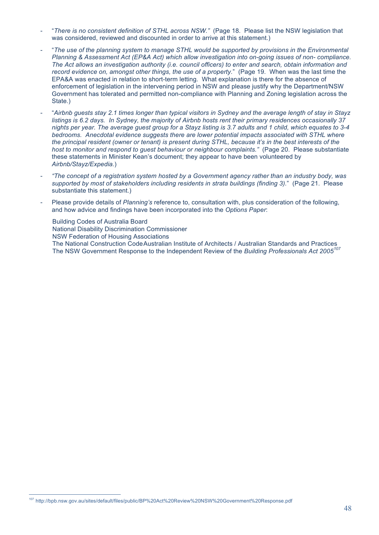- "*There is no consistent definition of STHL across NSW."* (Page 18. Please list the NSW legislation that was considered, reviewed and discounted in order to arrive at this statement.)
- "*The use of the planning system to manage STHL would be supported by provisions in the Environmental Planning & Assessment Act (EP&A Act) which allow investigation into on-going issues of non- compliance. The Act allows an investigation authority (i.e. council officers) to enter and search, obtain information and record evidence on, amongst other things, the use of a property.*" (Page 19. When was the last time the EPA&A was enacted in relation to short-term letting. What explanation is there for the absence of enforcement of legislation in the intervening period in NSW and please justify why the Department/NSW Government has tolerated and permitted non-compliance with Planning and Zoning legislation across the State.)
- "*Airbnb guests stay 2.1 times longer than typical visitors in Sydney and the average length of stay in Stayz listings is 6.2 days. In Sydney, the majority of Airbnb hosts rent their primary residences occasionally 37 nights per year. The average guest group for a Stayz listing is 3.7 adults and 1 child, which equates to 3-4 bedrooms. Anecdotal evidence suggests there are lower potential impacts associated with STHL where the principal resident (owner or tenant) is present during STHL, because it's in the best interests of the host to monitor and respond to guest behaviour or neighbour complaints."* (Page 20. Please substantiate these statements in Minister Kean's document; they appear to have been volunteered by *Airbnb/Stayz/Expedia.*)
- *"The concept of a registration system hosted by a Government agency rather than an industry body, was supported by most of stakeholders including residents in strata buildings (finding 3).*" (Page 21. Please substantiate this statement.)
- Please provide details of *Planning's* reference to, consultation with, plus consideration of the following, and how advice and findings have been incorporated into the *Options Paper*:

Building Codes of Australia Board National Disability Discrimination Commissioner NSW Federation of Housing Associations The National Construction CodeAustralian Institute of Architects / Australian Standards and Practices The NSW Government Response to the Independent Review of the *Building Professionals Act 2005<sup>107</sup>*

107 http://bpb.nsw.gov.au/sites/default/files/public/BP%20Act%20Review%20NSW%20Government%20Response.pdf